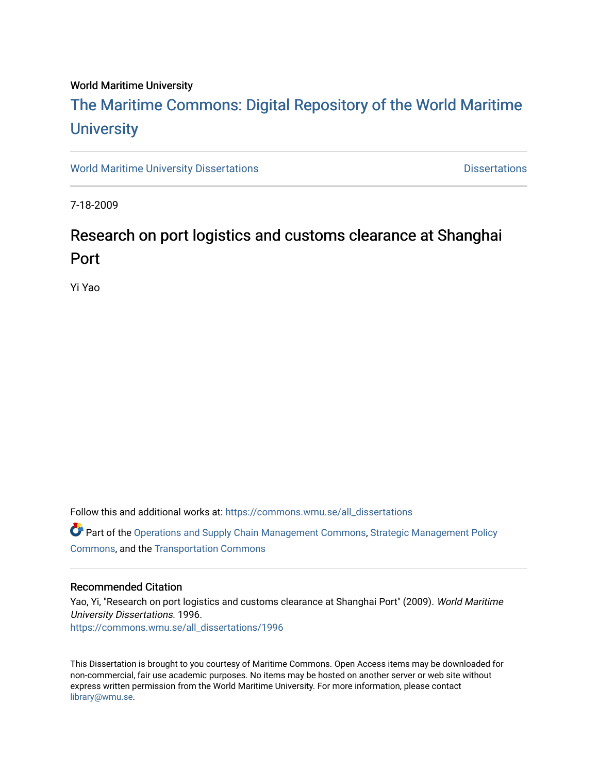## World Maritime University

# [The Maritime Commons: Digital Repository of the World Maritime](https://commons.wmu.se/)  **University**

[World Maritime University Dissertations](https://commons.wmu.se/all_dissertations) **Distributions** [Dissertations](https://commons.wmu.se/dissertations) Dissertations

7-18-2009

# Research on port logistics and customs clearance at Shanghai Port

Yi Yao

Follow this and additional works at: [https://commons.wmu.se/all\\_dissertations](https://commons.wmu.se/all_dissertations?utm_source=commons.wmu.se%2Fall_dissertations%2F1996&utm_medium=PDF&utm_campaign=PDFCoverPages) 

Part of the [Operations and Supply Chain Management Commons,](http://network.bepress.com/hgg/discipline/1229?utm_source=commons.wmu.se%2Fall_dissertations%2F1996&utm_medium=PDF&utm_campaign=PDFCoverPages) [Strategic Management Policy](http://network.bepress.com/hgg/discipline/642?utm_source=commons.wmu.se%2Fall_dissertations%2F1996&utm_medium=PDF&utm_campaign=PDFCoverPages)  [Commons](http://network.bepress.com/hgg/discipline/642?utm_source=commons.wmu.se%2Fall_dissertations%2F1996&utm_medium=PDF&utm_campaign=PDFCoverPages), and the [Transportation Commons](http://network.bepress.com/hgg/discipline/1068?utm_source=commons.wmu.se%2Fall_dissertations%2F1996&utm_medium=PDF&utm_campaign=PDFCoverPages)

### Recommended Citation

Yao, Yi, "Research on port logistics and customs clearance at Shanghai Port" (2009). World Maritime University Dissertations. 1996. [https://commons.wmu.se/all\\_dissertations/1996](https://commons.wmu.se/all_dissertations/1996?utm_source=commons.wmu.se%2Fall_dissertations%2F1996&utm_medium=PDF&utm_campaign=PDFCoverPages)

This Dissertation is brought to you courtesy of Maritime Commons. Open Access items may be downloaded for non-commercial, fair use academic purposes. No items may be hosted on another server or web site without express written permission from the World Maritime University. For more information, please contact [library@wmu.se](mailto:library@wmu.edu).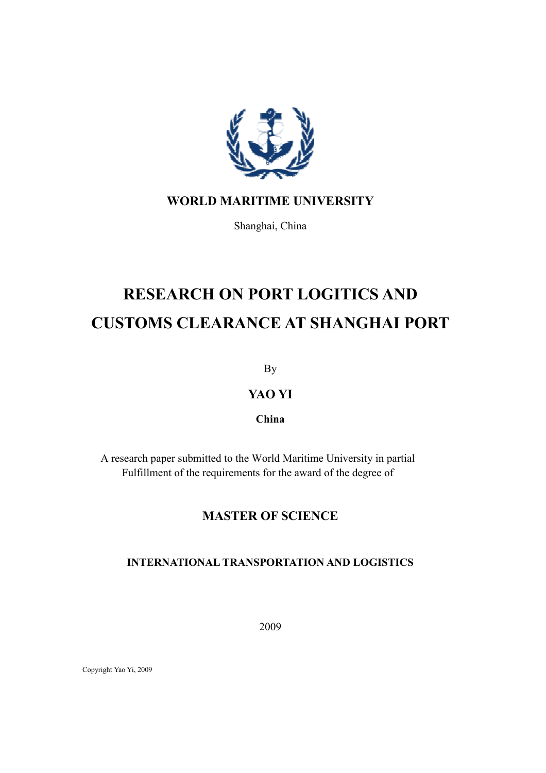

# WORLD MARITIME UNIVERSITY

Shanghai, China

# RESEARCH ON PORT LOGITICS AND CUSTOMS CLEARANCE AT SHANGHAI PORT

By

# YAO YI

# China

A research paper submitted to the World Maritime University in partial Fulfillment of the requirements for the award of the degree of

# MASTER OF SCIENCE

# INTERNATIONAL TRANSPORTATION AND LOGISTICS

2009

Copyright Yao Yi, 2009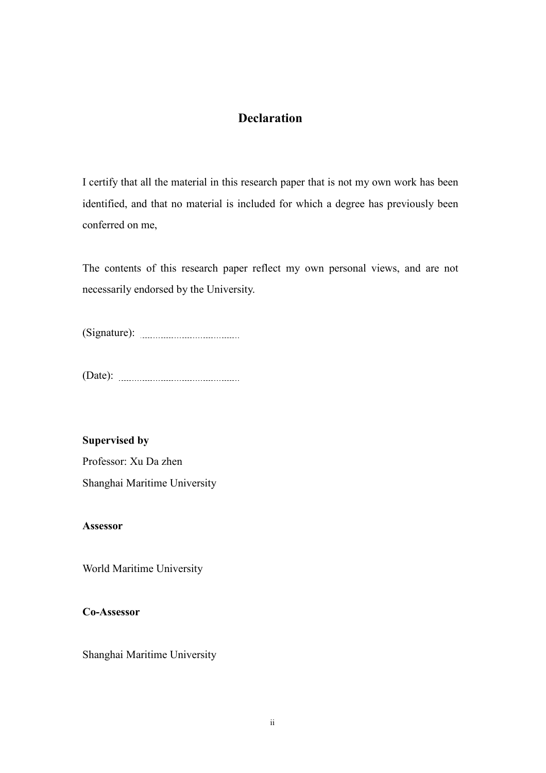# **Declaration**

I certify that all the material in this research paper that is not my own work has been identified, and that no material is included for which a degree has previously been conferred on me,

The contents of this research paper reflect my own personal views, and are not necessarily endorsed by the University.

(Signature):

(Date):

# Supervised by

Professor: Xu Da zhen Shanghai Maritime University

# Assessor

World Maritime University

# Co-Assessor

Shanghai Maritime University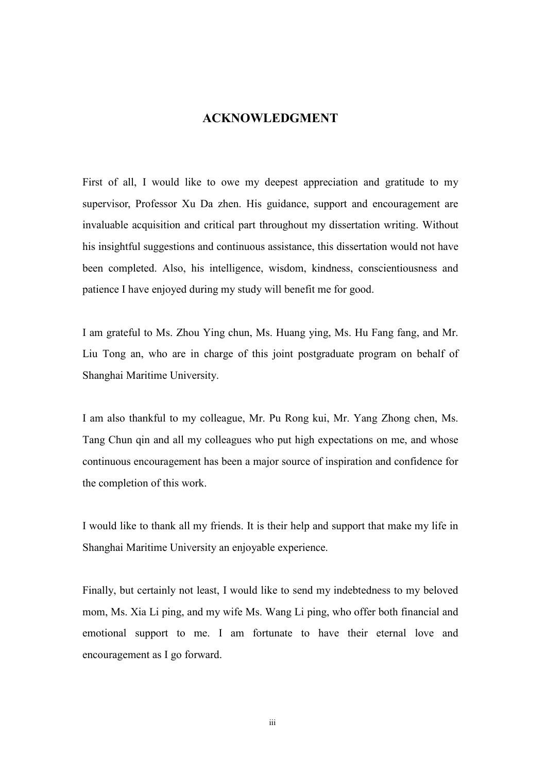# ACKNOWLEDGMENT

First of all, I would like to owe my deepest appreciation and gratitude to my supervisor, Professor Xu Da zhen. His guidance, support and encouragement are invaluable acquisition and critical part throughout my dissertation writing. Without his insightful suggestions and continuous assistance, this dissertation would not have been completed. Also, his intelligence, wisdom, kindness, conscientiousness and patience I have enjoyed during my study will benefit me for good.

I am grateful to Ms. Zhou Ying chun, Ms. Huang ying, Ms. Hu Fang fang, and Mr. Liu Tong an, who are in charge of this joint postgraduate program on behalf of Shanghai Maritime University.

I am also thankful to my colleague, Mr. Pu Rong kui, Mr. Yang Zhong chen, Ms. Tang Chun qin and all my colleagues who put high expectations on me, and whose continuous encouragement has been a major source of inspiration and confidence for the completion of this work.

I would like to thank all my friends. It is their help and support that make my life in Shanghai Maritime University an enjoyable experience.

Finally, but certainly not least, I would like to send my indebtedness to my beloved mom, Ms. Xia Li ping, and my wife Ms. Wang Li ping, who offer both financial and emotional support to me. I am fortunate to have their eternal love and encouragement as I go forward.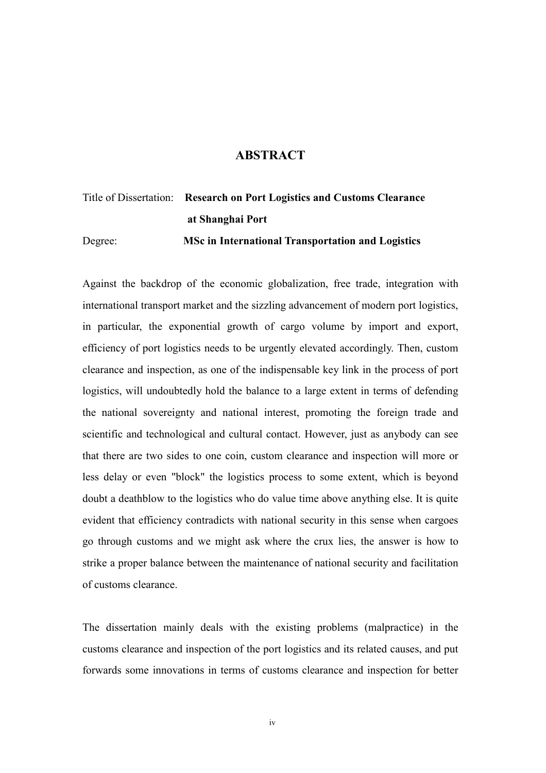## **ABSTRACT**

# Title of Dissertation: Research on Port Logistics and Customs Clearance at Shanghai Port Degree: MSc in International Transportation and Logistics

Against the backdrop of the economic globalization, free trade, integration with international transport market and the sizzling advancement of modern port logistics, in particular, the exponential growth of cargo volume by import and export, efficiency of port logistics needs to be urgently elevated accordingly. Then, custom clearance and inspection, as one of the indispensable key link in the process of port logistics, will undoubtedly hold the balance to a large extent in terms of defending the national sovereignty and national interest, promoting the foreign trade and scientific and technological and cultural contact. However, just as anybody can see that there are two sides to one coin, custom clearance and inspection will more or less delay or even "block" the logistics process to some extent, which is beyond doubt a deathblow to the logistics who do value time above anything else. It is quite evident that efficiency contradicts with national security in this sense when cargoes go through customs and we might ask where the crux lies, the answer is how to strike a proper balance between the maintenance of national security and facilitation of customs clearance.

The dissertation mainly deals with the existing problems (malpractice) in the customs clearance and inspection of the port logistics and its related causes, and put forwards some innovations in terms of customs clearance and inspection for better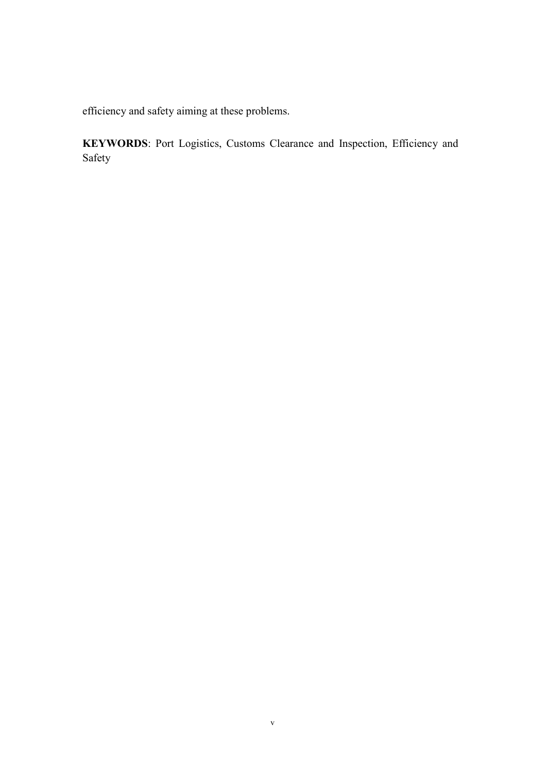efficiency and safety aiming at these problems.

KEYWORDS: Port Logistics, Customs Clearance and Inspection, Efficiency and Safety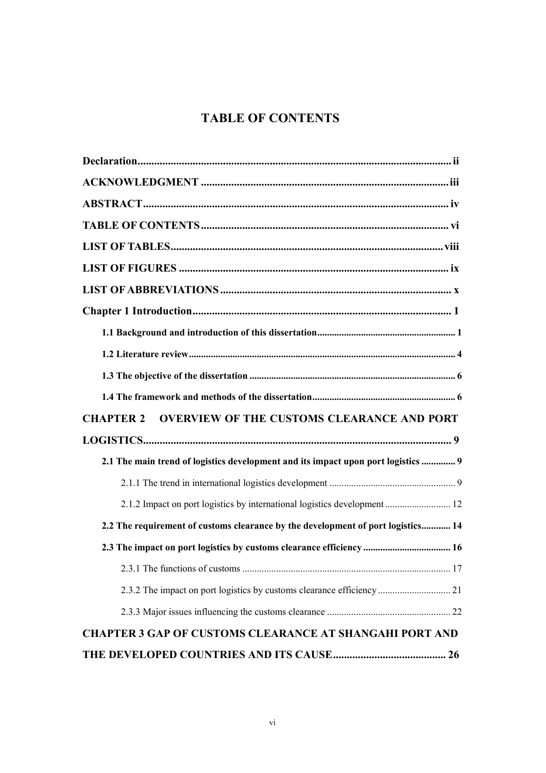# TABLE OF CONTENTS

| <b>OVERVIEW OF THE CUSTOMS CLEARANCE AND PORT</b><br><b>CHAPTER 2</b>             |
|-----------------------------------------------------------------------------------|
|                                                                                   |
| 2.1 The main trend of logistics development and its impact upon port logistics  9 |
|                                                                                   |
| 2.1.2 Impact on port logistics by international logistics development 12          |
| 2.2 The requirement of customs clearance by the development of port logistics 14  |
| 2.3 The impact on port logistics by customs clearance efficiency  16              |
|                                                                                   |
| 2.3.2 The impact on port logistics by customs clearance efficiency  21            |
|                                                                                   |
| <b>CHAPTER 3 GAP OF CUSTOMS CLEARANCE AT SHANGAHI PORT AND</b>                    |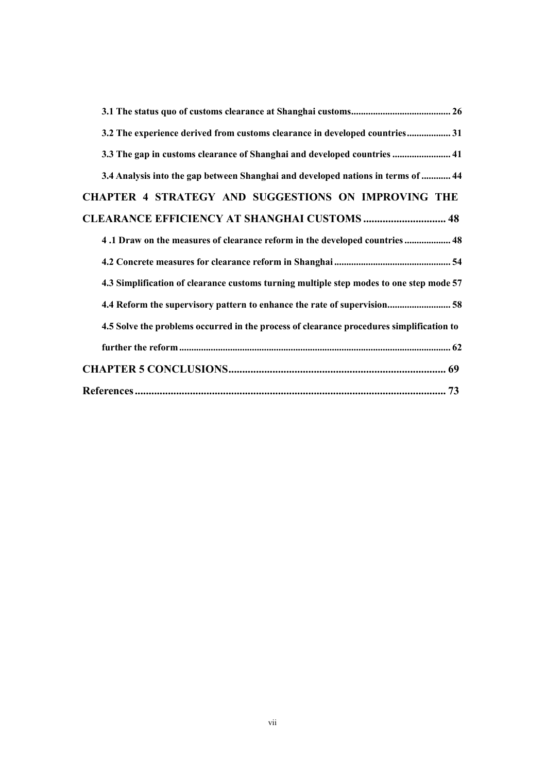| 3.2 The experience derived from customs clearance in developed countries 31              |  |
|------------------------------------------------------------------------------------------|--|
| 3.3 The gap in customs clearance of Shanghai and developed countries  41                 |  |
| 3.4 Analysis into the gap between Shanghai and developed nations in terms of  44         |  |
| <b>CHAPTER 4 STRATEGY AND SUGGESTIONS ON IMPROVING THE</b>                               |  |
| <b>CLEARANCE EFFICIENCY AT SHANGHAI CUSTOMS  48</b>                                      |  |
| 48. Draw on the measures of clearance reform in the developed countries 48               |  |
|                                                                                          |  |
| 4.3 Simplification of clearance customs turning multiple step modes to one step mode 57  |  |
| 4.4 Reform the supervisory pattern to enhance the rate of supervision 58                 |  |
| 4.5 Solve the problems occurred in the process of clearance procedures simplification to |  |
|                                                                                          |  |
|                                                                                          |  |
|                                                                                          |  |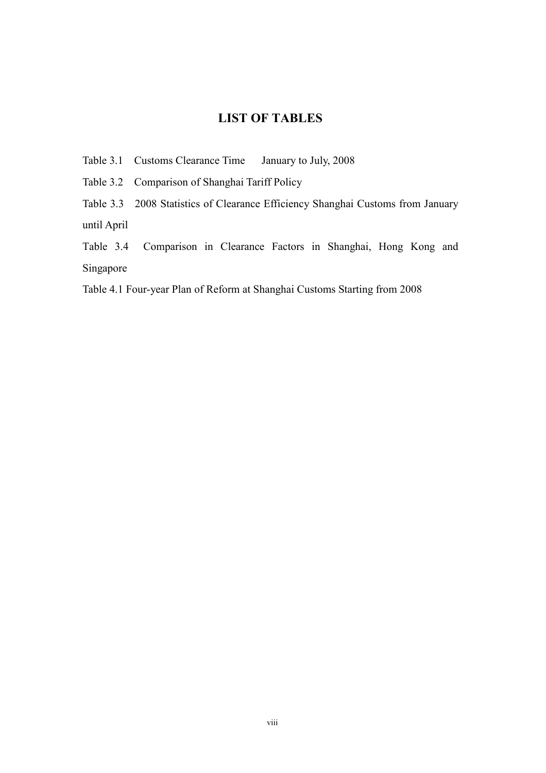# LIST OF TABLES

Table 3.1 Customs Clearance Time January to July, 2008

Table 3.2 Comparison of Shanghai Tariff Policy

Table 3.3 2008 Statistics of Clearance Efficiency Shanghai Customs from January until April

Table 3.4 Comparison in Clearance Factors in Shanghai, Hong Kong and Singapore

Table 4.1 Four-year Plan of Reform at Shanghai Customs Starting from 2008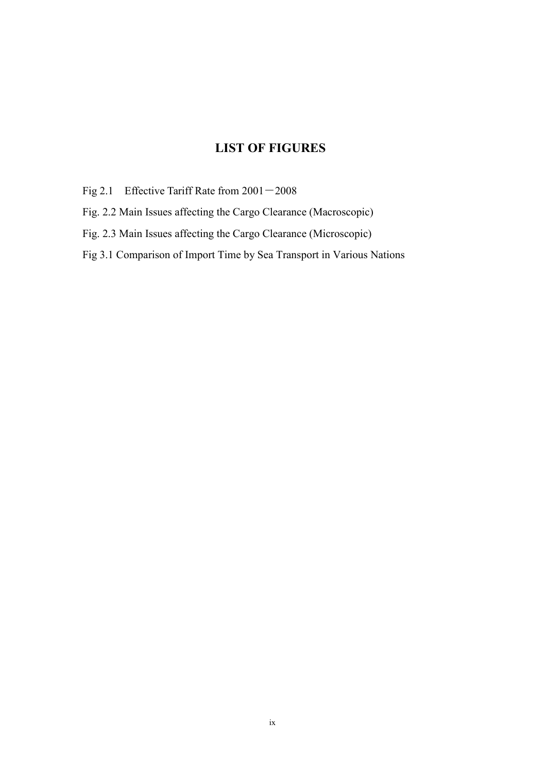# LIST OF FIGURES

- Fig 2.1 Effective Tariff Rate from  $2001 2008$
- Fig. 2.2 Main Issues affecting the Cargo Clearance (Macroscopic)
- Fig. 2.3 Main Issues affecting the Cargo Clearance (Microscopic)
- Fig 3.1 Comparison of Import Time by Sea Transport in Various Nations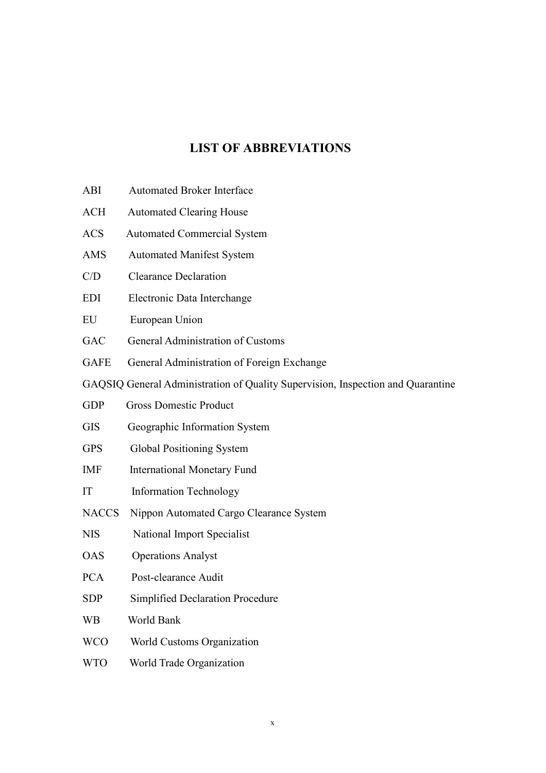# LIST OF ABBREVIATIONS

- ABI Automated Broker Interface
- ACH Automated Clearing House
- ACS Automated Commercial System
- AMS Automated Manifest System
- C/D Clearance Declaration
- EDI Electronic Data Interchange
- EU European Union
- GAC General Administration of Customs
- GAFE General Administration of Foreign Exchange
- GAQSIQ General Administration of Quality Supervision, Inspection and Quarantine
- GDP Gross Domestic Product
- GIS Geographic Information System
- GPS Global Positioning System
- IMF International Monetary Fund
- IT Information Technology
- NACCS Nippon Automated Cargo Clearance System
- NIS National Import Specialist
- OAS Operations Analyst
- PCA Post-clearance Audit
- SDP Simplified Declaration Procedure
- WB World Bank
- WCO World Customs Organization
- WTO World Trade Organization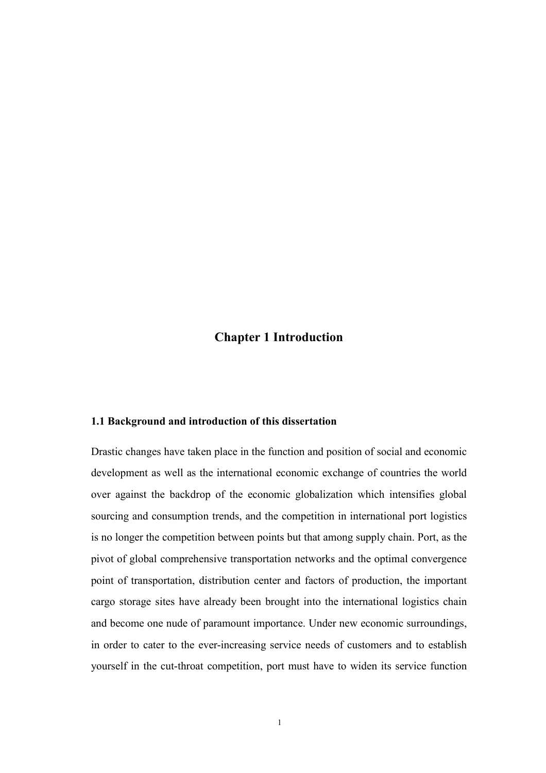# Chapter 1 Introduction

## 1.1 Background and introduction of this dissertation

Drastic changes have taken place in the function and position of social and economic development as well as the international economic exchange of countries the world over against the backdrop of the economic globalization which intensifies global sourcing and consumption trends, and the competition in international port logistics is no longer the competition between points but that among supply chain. Port, as the pivot of global comprehensive transportation networks and the optimal convergence point of transportation, distribution center and factors of production, the important cargo storage sites have already been brought into the international logistics chain and become one nude of paramount importance. Under new economic surroundings, in order to cater to the ever-increasing service needs of customers and to establish yourself in the cut-throat competition, port must have to widen its service function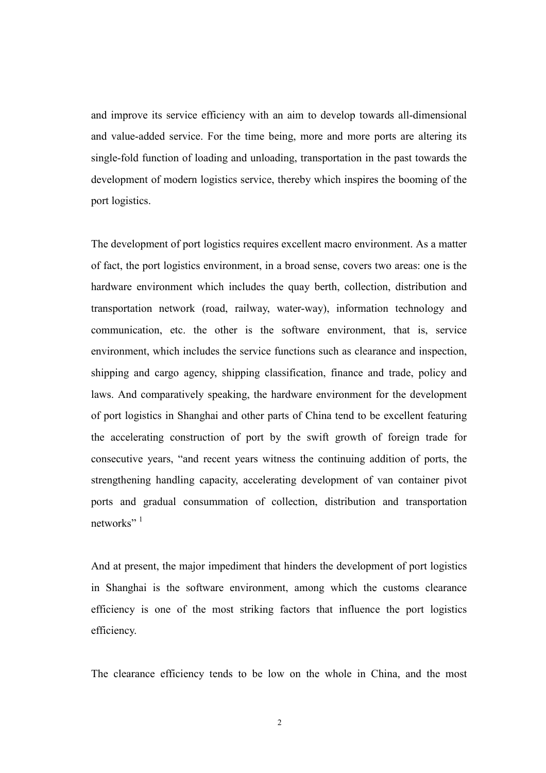and improve its service efficiency with an aim to develop towards all-dimensional and value-added service. For the time being, more and more ports are altering its single-fold function of loading and unloading, transportation in the past towards the development of modern logistics service, thereby which inspires the booming of the port logistics.

The development of port logistics requires excellent macro environment. As a matter of fact, the port logistics environment, in a broad sense, covers two areas: one is the hardware environment which includes the quay berth, collection, distribution and transportation network (road, railway, water-way), information technology and communication, etc. the other is the software environment, that is, service environment, which includes the service functions such as clearance and inspection, shipping and cargo agency, shipping classification, finance and trade, policy and laws. And comparatively speaking, the hardware environment for the development of port logistics in Shanghai and other parts of China tend to be excellent featuring the accelerating construction of port by the swift growth of foreign trade for consecutive years, "and recent years witness the continuing addition of ports, the strengthening handling capacity, accelerating development of van container pivot ports and gradual consummation of collection, distribution and transportation networks" $<sup>1</sup>$ </sup>

And at present, the major impediment that hinders the development of port logistics in Shanghai is the software environment, among which the customs clearance efficiency is one of the most striking factors that influence the port logistics efficiency.

The clearance efficiency tends to be low on the whole in China, and the most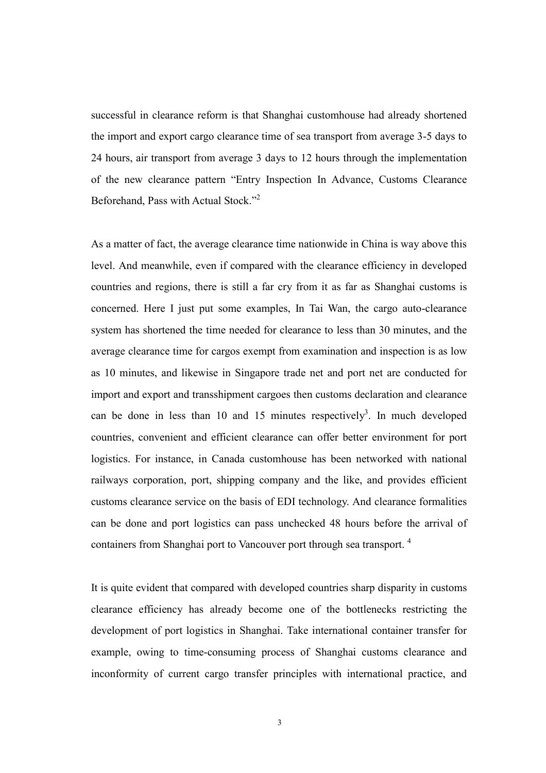successful in clearance reform is that Shanghai customhouse had already shortened the import and export cargo clearance time of sea transport from average 3-5 days to 24 hours, air transport from average 3 days to 12 hours through the implementation of the new clearance pattern "Entry Inspection In Advance, Customs Clearance Beforehand, Pass with Actual Stock."<sup>2</sup>

As a matter of fact, the average clearance time nationwide in China is way above this level. And meanwhile, even if compared with the clearance efficiency in developed countries and regions, there is still a far cry from it as far as Shanghai customs is concerned. Here I just put some examples, In Tai Wan, the cargo auto-clearance system has shortened the time needed for clearance to less than 30 minutes, and the average clearance time for cargos exempt from examination and inspection is as low as 10 minutes, and likewise in Singapore trade net and port net are conducted for import and export and transshipment cargoes then customs declaration and clearance can be done in less than 10 and 15 minutes respectively<sup>3</sup>. In much developed countries, convenient and efficient clearance can offer better environment for port logistics. For instance, in Canada customhouse has been networked with national railways corporation, port, shipping company and the like, and provides efficient customs clearance service on the basis of EDI technology. And clearance formalities can be done and port logistics can pass unchecked 48 hours before the arrival of containers from Shanghai port to Vancouver port through sea transport. <sup>4</sup>

It is quite evident that compared with developed countries sharp disparity in customs clearance efficiency has already become one of the bottlenecks restricting the development of port logistics in Shanghai. Take international container transfer for example, owing to time-consuming process of Shanghai customs clearance and inconformity of current cargo transfer principles with international practice, and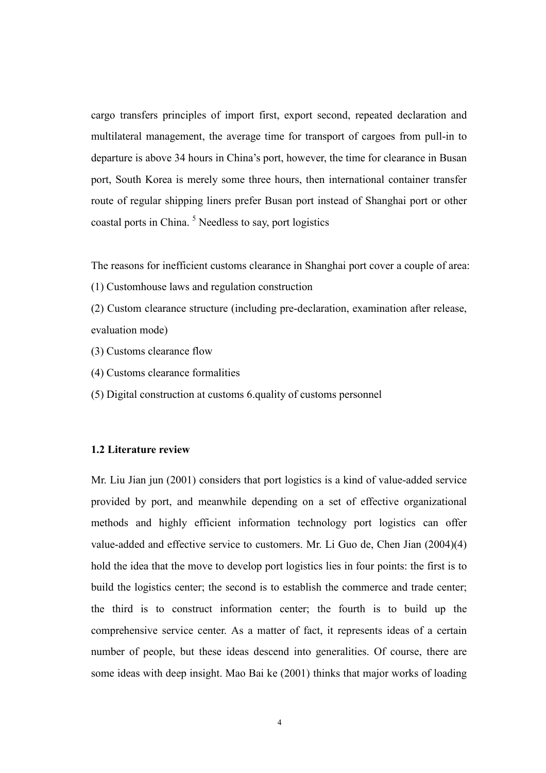cargo transfers principles of import first, export second, repeated declaration and multilateral management, the average time for transport of cargoes from pull-in to departure is above 34 hours in China's port, however, the time for clearance in Busan port, South Korea is merely some three hours, then international container transfer route of regular shipping liners prefer Busan port instead of Shanghai port or other coastal ports in China.<sup>5</sup> Needless to say, port logistics

The reasons for inefficient customs clearance in Shanghai port cover a couple of area:

(1) Customhouse laws and regulation construction

(2) Custom clearance structure (including pre-declaration, examination after release, evaluation mode)

- (3) Customs clearance flow
- (4) Customs clearance formalities
- (5) Digital construction at customs 6.quality of customs personnel

#### 1.2 Literature review

Mr. Liu Jian jun (2001) considers that port logistics is a kind of value-added service provided by port, and meanwhile depending on a set of effective organizational methods and highly efficient information technology port logistics can offer value-added and effective service to customers. Mr. Li Guo de, Chen Jian (2004)(4) hold the idea that the move to develop port logistics lies in four points: the first is to build the logistics center; the second is to establish the commerce and trade center; the third is to construct information center; the fourth is to build up the comprehensive service center. As a matter of fact, it represents ideas of a certain number of people, but these ideas descend into generalities. Of course, there are some ideas with deep insight. Mao Bai ke (2001) thinks that major works of loading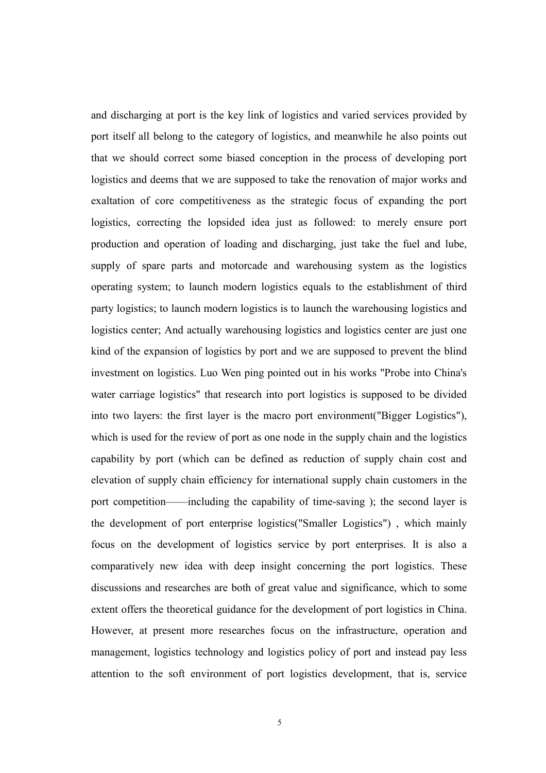and discharging at port is the key link of logistics and varied services provided by port itself all belong to the category of logistics, and meanwhile he also points out that we should correct some biased conception in the process of developing port logistics and deems that we are supposed to take the renovation of major works and exaltation of core competitiveness as the strategic focus of expanding the port logistics, correcting the lopsided idea just as followed: to merely ensure port production and operation of loading and discharging, just take the fuel and lube, supply of spare parts and motorcade and warehousing system as the logistics operating system; to launch modern logistics equals to the establishment of third party logistics; to launch modern logistics is to launch the warehousing logistics and logistics center; And actually warehousing logistics and logistics center are just one kind of the expansion of logistics by port and we are supposed to prevent the blind investment on logistics. Luo Wen ping pointed out in his works "Probe into China's water carriage logistics" that research into port logistics is supposed to be divided into two layers: the first layer is the macro port environment("Bigger Logistics"), which is used for the review of port as one node in the supply chain and the logistics capability by port (which can be defined as reduction of supply chain cost and elevation of supply chain efficiency for international supply chain customers in the port competition——including the capability of time-saving ); the second layer is the development of port enterprise logistics("Smaller Logistics") , which mainly focus on the development of logistics service by port enterprises. It is also a comparatively new idea with deep insight concerning the port logistics. These discussions and researches are both of great value and significance, which to some extent offers the theoretical guidance for the development of port logistics in China. However, at present more researches focus on the infrastructure, operation and management, logistics technology and logistics policy of port and instead pay less attention to the soft environment of port logistics development, that is, service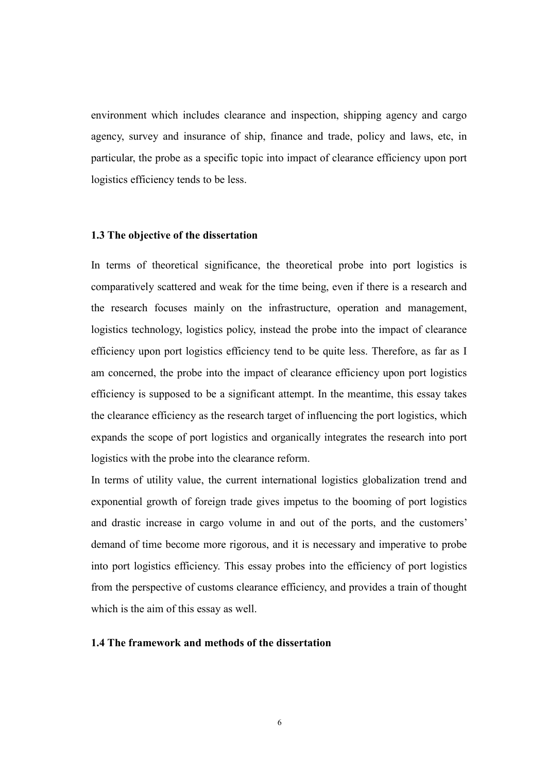environment which includes clearance and inspection, shipping agency and cargo agency, survey and insurance of ship, finance and trade, policy and laws, etc, in particular, the probe as a specific topic into impact of clearance efficiency upon port logistics efficiency tends to be less.

#### 1.3 The objective of the dissertation

In terms of theoretical significance, the theoretical probe into port logistics is comparatively scattered and weak for the time being, even if there is a research and the research focuses mainly on the infrastructure, operation and management, logistics technology, logistics policy, instead the probe into the impact of clearance efficiency upon port logistics efficiency tend to be quite less. Therefore, as far as I am concerned, the probe into the impact of clearance efficiency upon port logistics efficiency is supposed to be a significant attempt. In the meantime, this essay takes the clearance efficiency as the research target of influencing the port logistics, which expands the scope of port logistics and organically integrates the research into port logistics with the probe into the clearance reform.

In terms of utility value, the current international logistics globalization trend and exponential growth of foreign trade gives impetus to the booming of port logistics and drastic increase in cargo volume in and out of the ports, and the customers' demand of time become more rigorous, and it is necessary and imperative to probe into port logistics efficiency. This essay probes into the efficiency of port logistics from the perspective of customs clearance efficiency, and provides a train of thought which is the aim of this essay as well.

#### 1.4 The framework and methods of the dissertation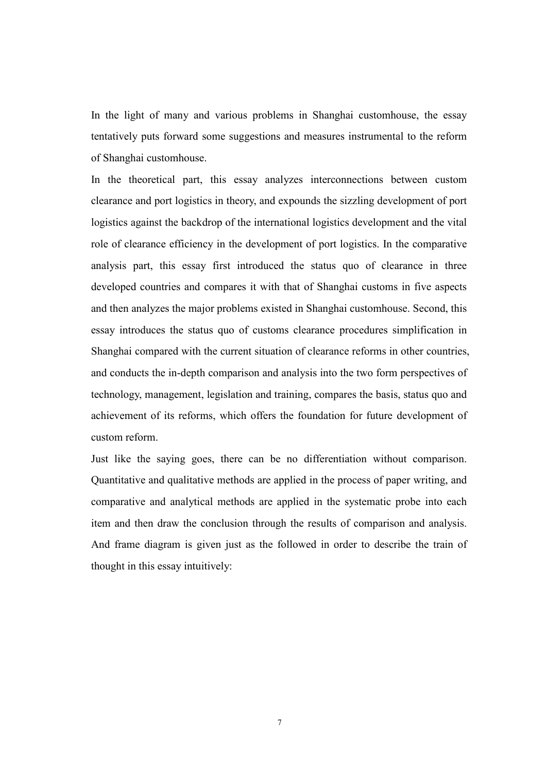In the light of many and various problems in Shanghai customhouse, the essay tentatively puts forward some suggestions and measures instrumental to the reform of Shanghai customhouse.

In the theoretical part, this essay analyzes interconnections between custom clearance and port logistics in theory, and expounds the sizzling development of port logistics against the backdrop of the international logistics development and the vital role of clearance efficiency in the development of port logistics. In the comparative analysis part, this essay first introduced the status quo of clearance in three developed countries and compares it with that of Shanghai customs in five aspects and then analyzes the major problems existed in Shanghai customhouse. Second, this essay introduces the status quo of customs clearance procedures simplification in Shanghai compared with the current situation of clearance reforms in other countries, and conducts the in-depth comparison and analysis into the two form perspectives of technology, management, legislation and training, compares the basis, status quo and achievement of its reforms, which offers the foundation for future development of custom reform.

Just like the saying goes, there can be no differentiation without comparison. Quantitative and qualitative methods are applied in the process of paper writing, and comparative and analytical methods are applied in the systematic probe into each item and then draw the conclusion through the results of comparison and analysis. And frame diagram is given just as the followed in order to describe the train of thought in this essay intuitively: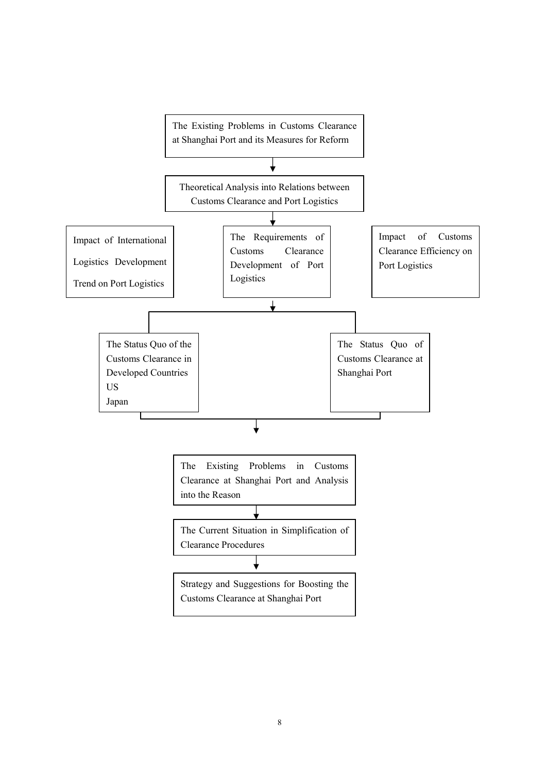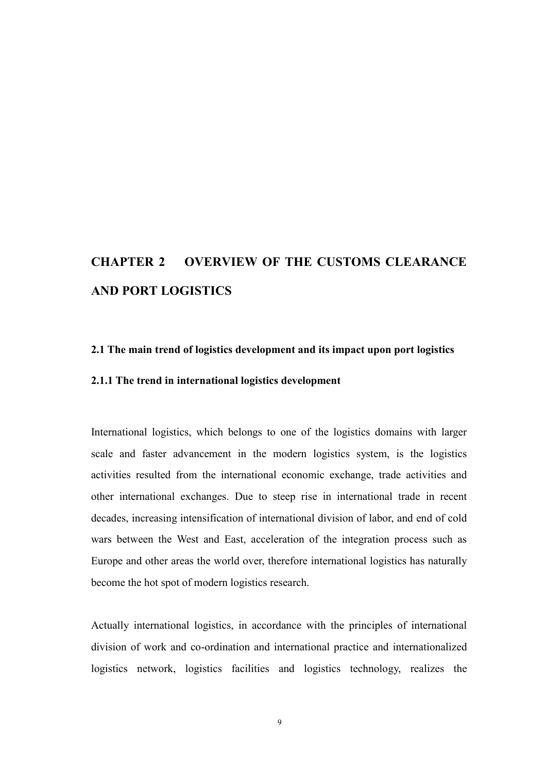# CHAPTER 2 OVERVIEW OF THE CUSTOMS CLEARANCE AND PORT LOGISTICS

#### 2.1 The main trend of logistics development and its impact upon port logistics

## 2.1.1 The trend in international logistics development

International logistics, which belongs to one of the logistics domains with larger scale and faster advancement in the modern logistics system, is the logistics activities resulted from the international economic exchange, trade activities and other international exchanges. Due to steep rise in international trade in recent decades, increasing intensification of international division of labor, and end of cold wars between the West and East, acceleration of the integration process such as Europe and other areas the world over, therefore international logistics has naturally become the hot spot of modern logistics research.

Actually international logistics, in accordance with the principles of international division of work and co-ordination and international practice and internationalized logistics network, logistics facilities and logistics technology, realizes the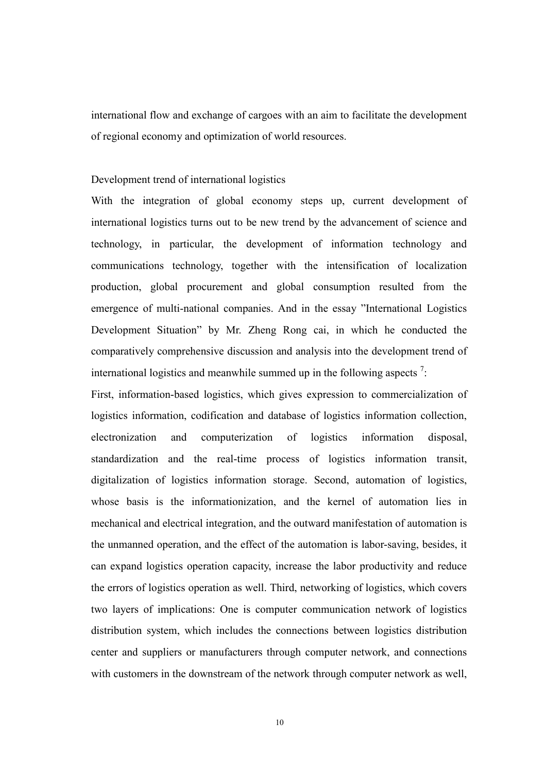international flow and exchange of cargoes with an aim to facilitate the development of regional economy and optimization of world resources.

#### Development trend of international logistics

With the integration of global economy steps up, current development of international logistics turns out to be new trend by the advancement of science and technology, in particular, the development of information technology and communications technology, together with the intensification of localization production, global procurement and global consumption resulted from the emergence of multi-national companies. And in the essay "International Logistics Development Situation" by Mr. Zheng Rong cai, in which he conducted the comparatively comprehensive discussion and analysis into the development trend of international logistics and meanwhile summed up in the following aspects<sup>7</sup>:

First, information-based logistics, which gives expression to commercialization of logistics information, codification and database of logistics information collection, electronization and computerization of logistics information disposal, standardization and the real-time process of logistics information transit, digitalization of logistics information storage. Second, automation of logistics, whose basis is the informationization, and the kernel of automation lies in mechanical and electrical integration, and the outward manifestation of automation is the unmanned operation, and the effect of the automation is labor-saving, besides, it can expand logistics operation capacity, increase the labor productivity and reduce the errors of logistics operation as well. Third, networking of logistics, which covers two layers of implications: One is computer communication network of logistics distribution system, which includes the connections between logistics distribution center and suppliers or manufacturers through computer network, and connections with customers in the downstream of the network through computer network as well,

10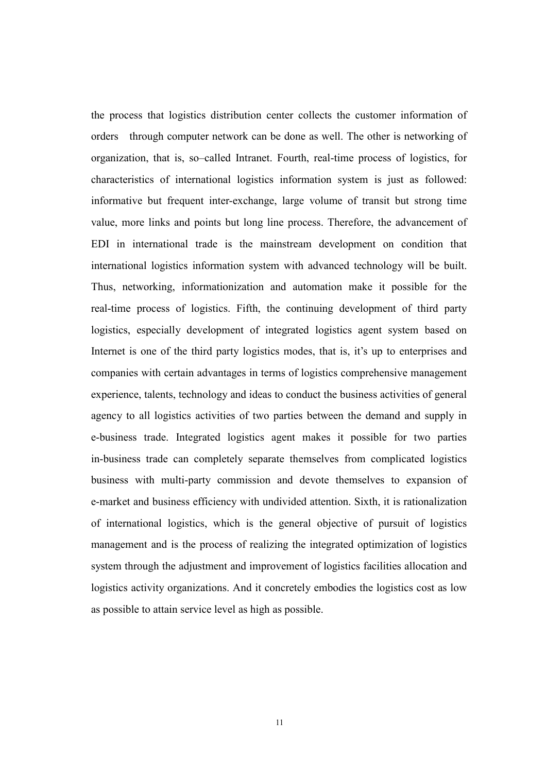the process that logistics distribution center collects the customer information of orders through computer network can be done as well. The other is networking of organization, that is, so–called Intranet. Fourth, real-time process of logistics, for characteristics of international logistics information system is just as followed: informative but frequent inter-exchange, large volume of transit but strong time value, more links and points but long line process. Therefore, the advancement of EDI in international trade is the mainstream development on condition that international logistics information system with advanced technology will be built. Thus, networking, informationization and automation make it possible for the real-time process of logistics. Fifth, the continuing development of third party logistics, especially development of integrated logistics agent system based on Internet is one of the third party logistics modes, that is, it's up to enterprises and companies with certain advantages in terms of logistics comprehensive management experience, talents, technology and ideas to conduct the business activities of general agency to all logistics activities of two parties between the demand and supply in e-business trade. Integrated logistics agent makes it possible for two parties in-business trade can completely separate themselves from complicated logistics business with multi-party commission and devote themselves to expansion of e-market and business efficiency with undivided attention. Sixth, it is rationalization of international logistics, which is the general objective of pursuit of logistics management and is the process of realizing the integrated optimization of logistics system through the adjustment and improvement of logistics facilities allocation and logistics activity organizations. And it concretely embodies the logistics cost as low as possible to attain service level as high as possible.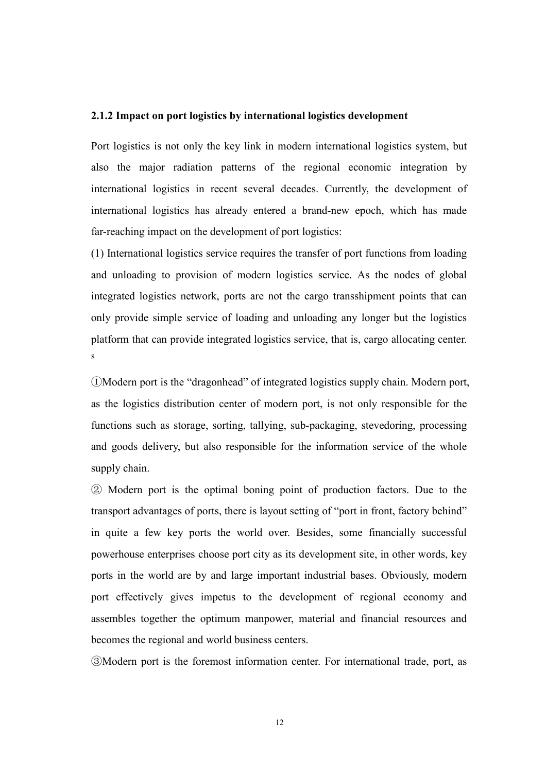#### 2.1.2 Impact on port logistics by international logistics development

Port logistics is not only the key link in modern international logistics system, but also the major radiation patterns of the regional economic integration by international logistics in recent several decades. Currently, the development of international logistics has already entered a brand-new epoch, which has made far-reaching impact on the development of port logistics:

(1) International logistics service requires the transfer of port functions from loading and unloading to provision of modern logistics service. As the nodes of global integrated logistics network, ports are not the cargo transshipment points that can only provide simple service of loading and unloading any longer but the logistics platform that can provide integrated logistics service, that is, cargo allocating center. 8

①Modern port is the "dragonhead" of integrated logistics supply chain. Modern port, as the logistics distribution center of modern port, is not only responsible for the functions such as storage, sorting, tallying, sub-packaging, stevedoring, processing and goods delivery, but also responsible for the information service of the whole supply chain.

② Modern port is the optimal boning point of production factors. Due to the transport advantages of ports, there is layout setting of "port in front, factory behind" in quite a few key ports the world over. Besides, some financially successful powerhouse enterprises choose port city as its development site, in other words, key ports in the world are by and large important industrial bases. Obviously, modern port effectively gives impetus to the development of regional economy and assembles together the optimum manpower, material and financial resources and becomes the regional and world business centers.

③Modern port is the foremost information center. For international trade, port, as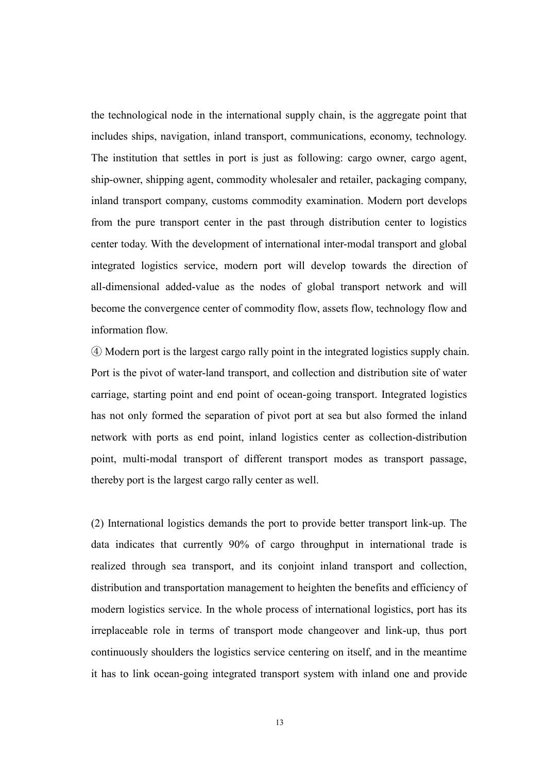the technological node in the international supply chain, is the aggregate point that includes ships, navigation, inland transport, communications, economy, technology. The institution that settles in port is just as following: cargo owner, cargo agent, ship-owner, shipping agent, commodity wholesaler and retailer, packaging company, inland transport company, customs commodity examination. Modern port develops from the pure transport center in the past through distribution center to logistics center today. With the development of international inter-modal transport and global integrated logistics service, modern port will develop towards the direction of all-dimensional added-value as the nodes of global transport network and will become the convergence center of commodity flow, assets flow, technology flow and information flow.

④ Modern port is the largest cargo rally point in the integrated logistics supply chain. Port is the pivot of water-land transport, and collection and distribution site of water carriage, starting point and end point of ocean-going transport. Integrated logistics has not only formed the separation of pivot port at sea but also formed the inland network with ports as end point, inland logistics center as collection-distribution point, multi-modal transport of different transport modes as transport passage, thereby port is the largest cargo rally center as well.

(2) International logistics demands the port to provide better transport link-up. The data indicates that currently 90% of cargo throughput in international trade is realized through sea transport, and its conjoint inland transport and collection, distribution and transportation management to heighten the benefits and efficiency of modern logistics service. In the whole process of international logistics, port has its irreplaceable role in terms of transport mode changeover and link-up, thus port continuously shoulders the logistics service centering on itself, and in the meantime it has to link ocean-going integrated transport system with inland one and provide

13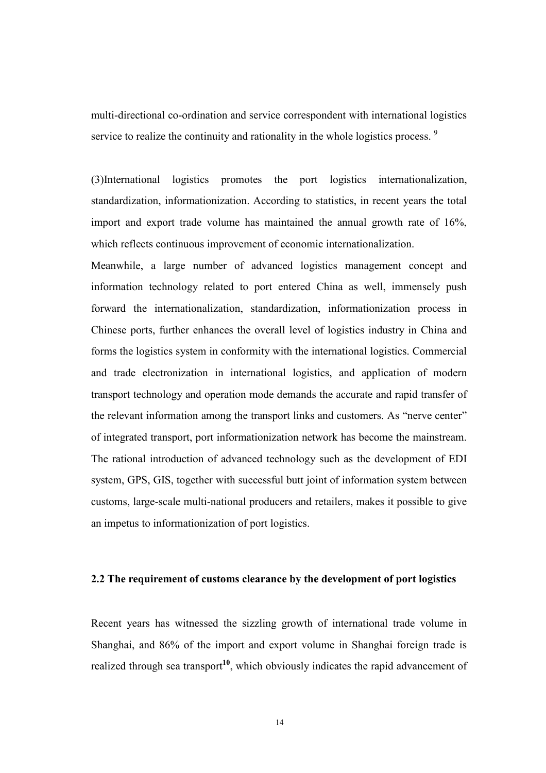multi-directional co-ordination and service correspondent with international logistics service to realize the continuity and rationality in the whole logistics process.<sup>9</sup>

(3)International logistics promotes the port logistics internationalization, standardization, informationization. According to statistics, in recent years the total import and export trade volume has maintained the annual growth rate of 16%, which reflects continuous improvement of economic internationalization.

Meanwhile, a large number of advanced logistics management concept and information technology related to port entered China as well, immensely push forward the internationalization, standardization, informationization process in Chinese ports, further enhances the overall level of logistics industry in China and forms the logistics system in conformity with the international logistics. Commercial and trade electronization in international logistics, and application of modern transport technology and operation mode demands the accurate and rapid transfer of the relevant information among the transport links and customers. As "nerve center" of integrated transport, port informationization network has become the mainstream. The rational introduction of advanced technology such as the development of EDI system, GPS, GIS, together with successful butt joint of information system between customs, large-scale multi-national producers and retailers, makes it possible to give an impetus to informationization of port logistics.

## 2.2 The requirement of customs clearance by the development of port logistics

Recent years has witnessed the sizzling growth of international trade volume in Shanghai, and 86% of the import and export volume in Shanghai foreign trade is realized through sea transport<sup>10</sup>, which obviously indicates the rapid advancement of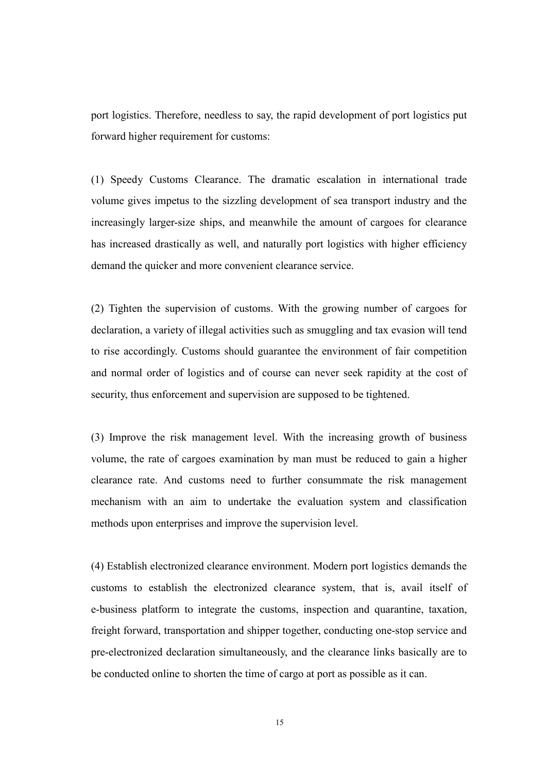port logistics. Therefore, needless to say, the rapid development of port logistics put forward higher requirement for customs:

(1) Speedy Customs Clearance. The dramatic escalation in international trade volume gives impetus to the sizzling development of sea transport industry and the increasingly larger-size ships, and meanwhile the amount of cargoes for clearance has increased drastically as well, and naturally port logistics with higher efficiency demand the quicker and more convenient clearance service.

(2) Tighten the supervision of customs. With the growing number of cargoes for declaration, a variety of illegal activities such as smuggling and tax evasion will tend to rise accordingly. Customs should guarantee the environment of fair competition and normal order of logistics and of course can never seek rapidity at the cost of security, thus enforcement and supervision are supposed to be tightened.

(3) Improve the risk management level. With the increasing growth of business volume, the rate of cargoes examination by man must be reduced to gain a higher clearance rate. And customs need to further consummate the risk management mechanism with an aim to undertake the evaluation system and classification methods upon enterprises and improve the supervision level.

(4) Establish electronized clearance environment. Modern port logistics demands the customs to establish the electronized clearance system, that is, avail itself of e-business platform to integrate the customs, inspection and quarantine, taxation, freight forward, transportation and shipper together, conducting one-stop service and pre-electronized declaration simultaneously, and the clearance links basically are to be conducted online to shorten the time of cargo at port as possible as it can.

15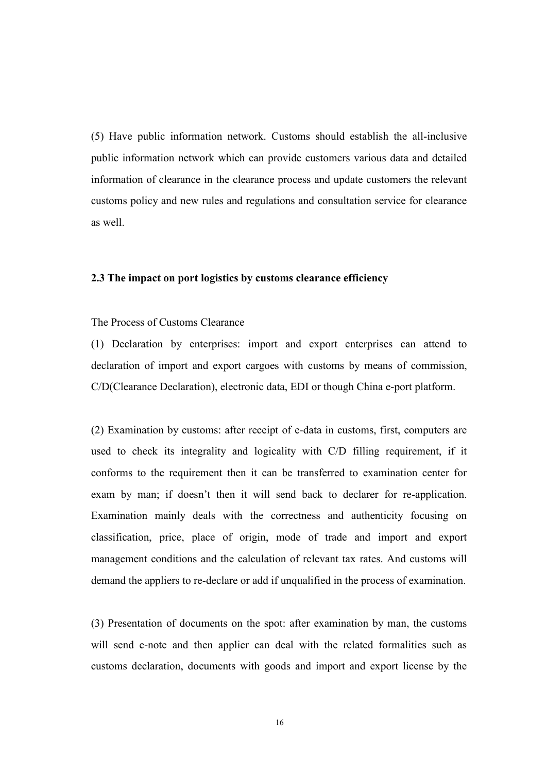(5) Have public information network. Customs should establish the all-inclusive public information network which can provide customers various data and detailed information of clearance in the clearance process and update customers the relevant customs policy and new rules and regulations and consultation service for clearance as well.

#### 2.3 The impact on port logistics by customs clearance efficiency

#### The Process of Customs Clearance

(1) Declaration by enterprises: import and export enterprises can attend to declaration of import and export cargoes with customs by means of commission, C/D(Clearance Declaration), electronic data, EDI or though China e-port platform.

(2) Examination by customs: after receipt of e-data in customs, first, computers are used to check its integrality and logicality with C/D filling requirement, if it conforms to the requirement then it can be transferred to examination center for exam by man; if doesn't then it will send back to declarer for re-application. Examination mainly deals with the correctness and authenticity focusing on classification, price, place of origin, mode of trade and import and export management conditions and the calculation of relevant tax rates. And customs will demand the appliers to re-declare or add if unqualified in the process of examination.

(3) Presentation of documents on the spot: after examination by man, the customs will send e-note and then applier can deal with the related formalities such as customs declaration, documents with goods and import and export license by the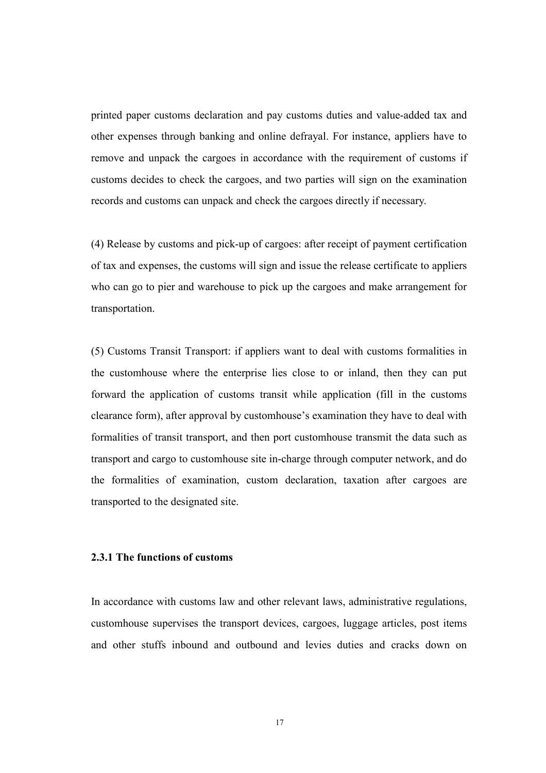printed paper customs declaration and pay customs duties and value-added tax and other expenses through banking and online defrayal. For instance, appliers have to remove and unpack the cargoes in accordance with the requirement of customs if customs decides to check the cargoes, and two parties will sign on the examination records and customs can unpack and check the cargoes directly if necessary.

(4) Release by customs and pick-up of cargoes: after receipt of payment certification of tax and expenses, the customs will sign and issue the release certificate to appliers who can go to pier and warehouse to pick up the cargoes and make arrangement for transportation.

(5) Customs Transit Transport: if appliers want to deal with customs formalities in the customhouse where the enterprise lies close to or inland, then they can put forward the application of customs transit while application (fill in the customs clearance form), after approval by customhouse's examination they have to deal with formalities of transit transport, and then port customhouse transmit the data such as transport and cargo to customhouse site in-charge through computer network, and do the formalities of examination, custom declaration, taxation after cargoes are transported to the designated site.

## 2.3.1 The functions of customs

In accordance with customs law and other relevant laws, administrative regulations, customhouse supervises the transport devices, cargoes, luggage articles, post items and other stuffs inbound and outbound and levies duties and cracks down on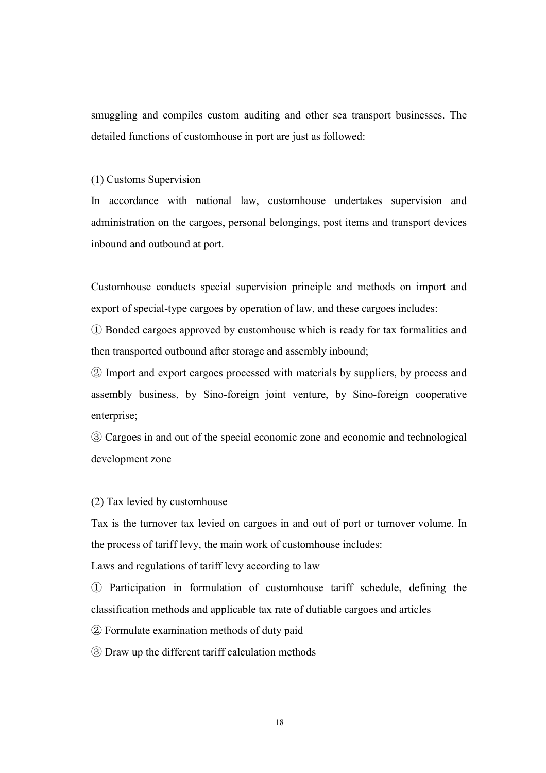smuggling and compiles custom auditing and other sea transport businesses. The detailed functions of customhouse in port are just as followed:

#### (1) Customs Supervision

In accordance with national law, customhouse undertakes supervision and administration on the cargoes, personal belongings, post items and transport devices inbound and outbound at port.

Customhouse conducts special supervision principle and methods on import and export of special-type cargoes by operation of law, and these cargoes includes:

① Bonded cargoes approved by customhouse which is ready for tax formalities and then transported outbound after storage and assembly inbound;

② Import and export cargoes processed with materials by suppliers, by process and assembly business, by Sino-foreign joint venture, by Sino-foreign cooperative enterprise;

③ Cargoes in and out of the special economic zone and economic and technological development zone

(2) Tax levied by customhouse

Tax is the turnover tax levied on cargoes in and out of port or turnover volume. In the process of tariff levy, the main work of customhouse includes:

Laws and regulations of tariff levy according to law

① Participation in formulation of customhouse tariff schedule, defining the classification methods and applicable tax rate of dutiable cargoes and articles

② Formulate examination methods of duty paid

③ Draw up the different tariff calculation methods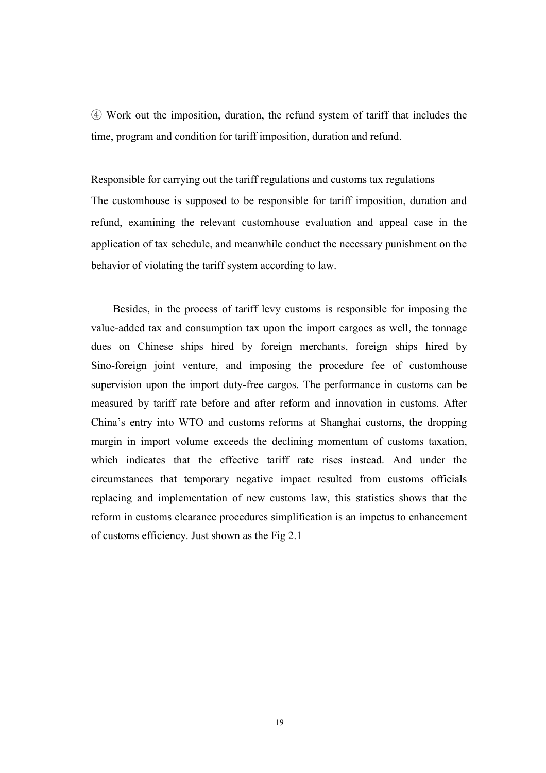④ Work out the imposition, duration, the refund system of tariff that includes the time, program and condition for tariff imposition, duration and refund.

Responsible for carrying out the tariff regulations and customs tax regulations The customhouse is supposed to be responsible for tariff imposition, duration and refund, examining the relevant customhouse evaluation and appeal case in the application of tax schedule, and meanwhile conduct the necessary punishment on the behavior of violating the tariff system according to law.

Besides, in the process of tariff levy customs is responsible for imposing the value-added tax and consumption tax upon the import cargoes as well, the tonnage dues on Chinese ships hired by foreign merchants, foreign ships hired by Sino-foreign joint venture, and imposing the procedure fee of customhouse supervision upon the import duty-free cargos. The performance in customs can be measured by tariff rate before and after reform and innovation in customs. After China's entry into WTO and customs reforms at Shanghai customs, the dropping margin in import volume exceeds the declining momentum of customs taxation, which indicates that the effective tariff rate rises instead. And under the circumstances that temporary negative impact resulted from customs officials replacing and implementation of new customs law, this statistics shows that the reform in customs clearance procedures simplification is an impetus to enhancement of customs efficiency. Just shown as the Fig 2.1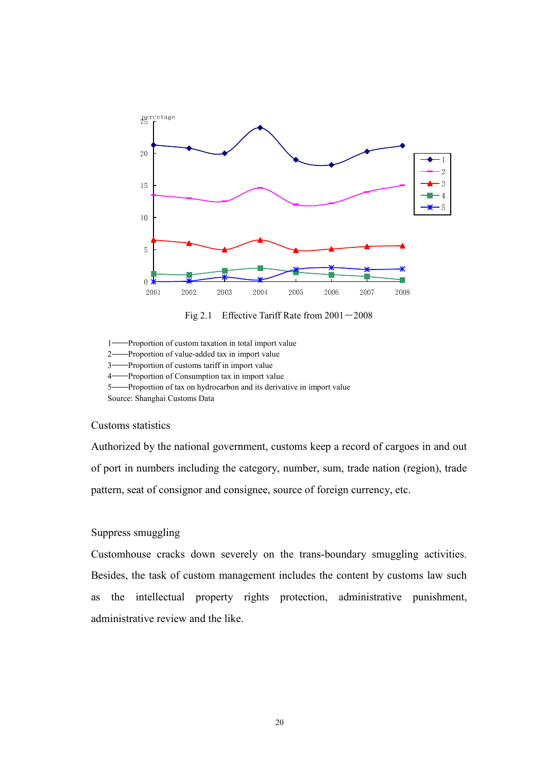

Fig 2.1 Effective Tariff Rate from  $2001 - 2008$ 

1——Proportion of custom taxation in total import value

2——Proportion of value-added tax in import value

3——Proportion of customs tariff in import value

4——Proportion of Consumption tax in import value

5——Proportion of tax on hydrocarbon and its derivative in import value

Source: Shanghai Customs Data

# Customs statistics

Authorized by the national government, customs keep a record of cargoes in and out of port in numbers including the category, number, sum, trade nation (region), trade pattern, seat of consignor and consignee, source of foreign currency, etc.

# Suppress smuggling

Customhouse cracks down severely on the trans-boundary smuggling activities. Besides, the task of custom management includes the content by customs law such as the intellectual property rights protection, administrative punishment, administrative review and the like.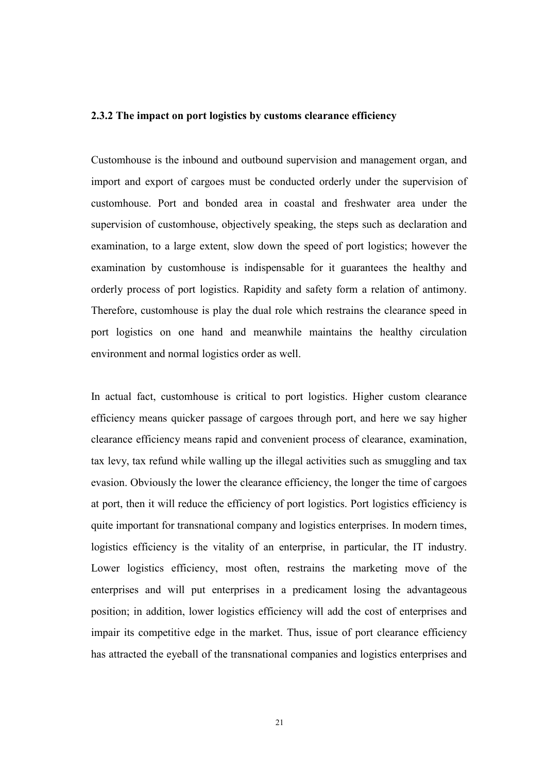#### 2.3.2 The impact on port logistics by customs clearance efficiency

Customhouse is the inbound and outbound supervision and management organ, and import and export of cargoes must be conducted orderly under the supervision of customhouse. Port and bonded area in coastal and freshwater area under the supervision of customhouse, objectively speaking, the steps such as declaration and examination, to a large extent, slow down the speed of port logistics; however the examination by customhouse is indispensable for it guarantees the healthy and orderly process of port logistics. Rapidity and safety form a relation of antimony. Therefore, customhouse is play the dual role which restrains the clearance speed in port logistics on one hand and meanwhile maintains the healthy circulation environment and normal logistics order as well.

In actual fact, customhouse is critical to port logistics. Higher custom clearance efficiency means quicker passage of cargoes through port, and here we say higher clearance efficiency means rapid and convenient process of clearance, examination, tax levy, tax refund while walling up the illegal activities such as smuggling and tax evasion. Obviously the lower the clearance efficiency, the longer the time of cargoes at port, then it will reduce the efficiency of port logistics. Port logistics efficiency is quite important for transnational company and logistics enterprises. In modern times, logistics efficiency is the vitality of an enterprise, in particular, the IT industry. Lower logistics efficiency, most often, restrains the marketing move of the enterprises and will put enterprises in a predicament losing the advantageous position; in addition, lower logistics efficiency will add the cost of enterprises and impair its competitive edge in the market. Thus, issue of port clearance efficiency has attracted the eyeball of the transnational companies and logistics enterprises and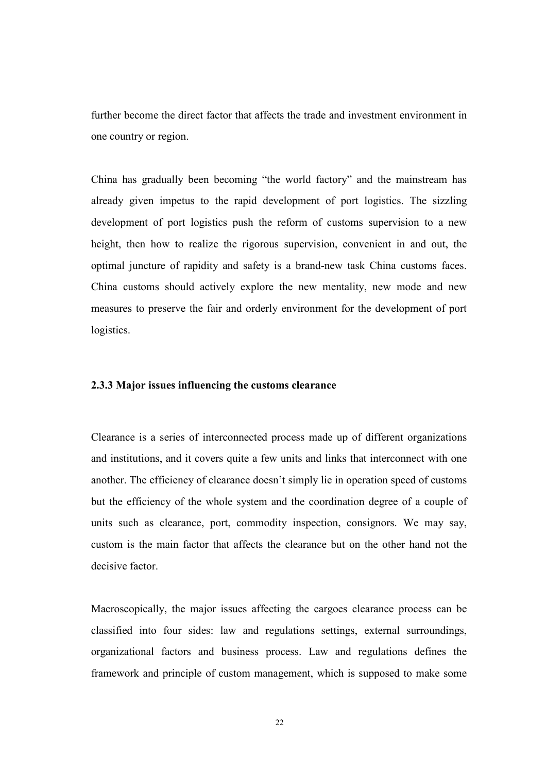further become the direct factor that affects the trade and investment environment in one country or region.

China has gradually been becoming "the world factory" and the mainstream has already given impetus to the rapid development of port logistics. The sizzling development of port logistics push the reform of customs supervision to a new height, then how to realize the rigorous supervision, convenient in and out, the optimal juncture of rapidity and safety is a brand-new task China customs faces. China customs should actively explore the new mentality, new mode and new measures to preserve the fair and orderly environment for the development of port logistics.

#### 2.3.3 Major issues influencing the customs clearance

Clearance is a series of interconnected process made up of different organizations and institutions, and it covers quite a few units and links that interconnect with one another. The efficiency of clearance doesn't simply lie in operation speed of customs but the efficiency of the whole system and the coordination degree of a couple of units such as clearance, port, commodity inspection, consignors. We may say, custom is the main factor that affects the clearance but on the other hand not the decisive factor

Macroscopically, the major issues affecting the cargoes clearance process can be classified into four sides: law and regulations settings, external surroundings, organizational factors and business process. Law and regulations defines the framework and principle of custom management, which is supposed to make some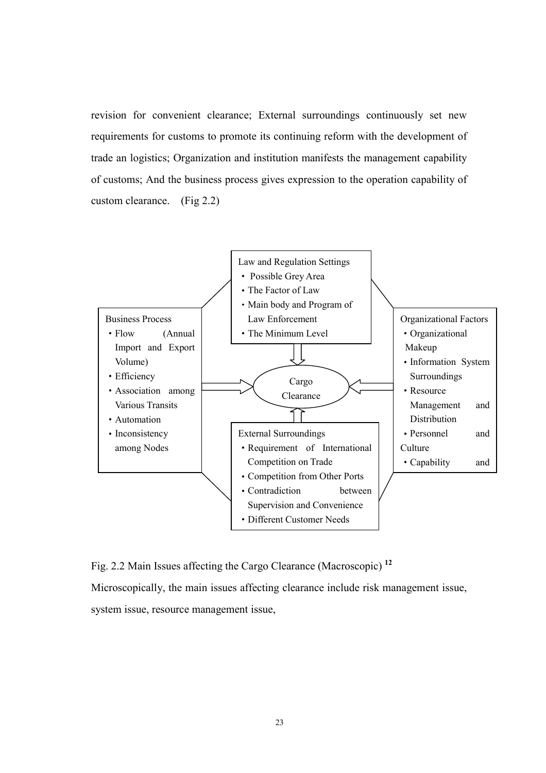revision for convenient clearance; External surroundings continuously set new requirements for customs to promote its continuing reform with the development of trade an logistics; Organization and institution manifests the management capability of customs; And the business process gives expression to the operation capability of custom clearance. (Fig 2.2)



Fig. 2.2 Main Issues affecting the Cargo Clearance (Macroscopic) <sup>12</sup> Microscopically, the main issues affecting clearance include risk management issue, system issue, resource management issue,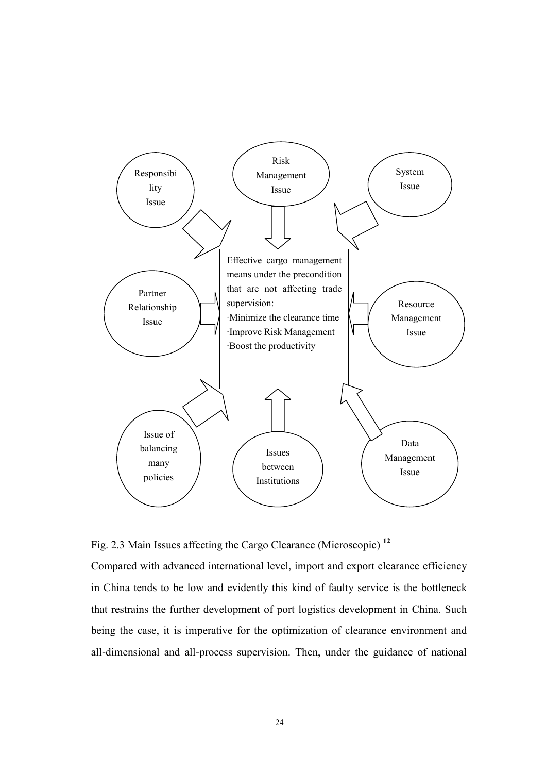

Fig. 2.3 Main Issues affecting the Cargo Clearance (Microscopic) <sup>12</sup>

Compared with advanced international level, import and export clearance efficiency in China tends to be low and evidently this kind of faulty service is the bottleneck that restrains the further development of port logistics development in China. Such being the case, it is imperative for the optimization of clearance environment and all-dimensional and all-process supervision. Then, under the guidance of national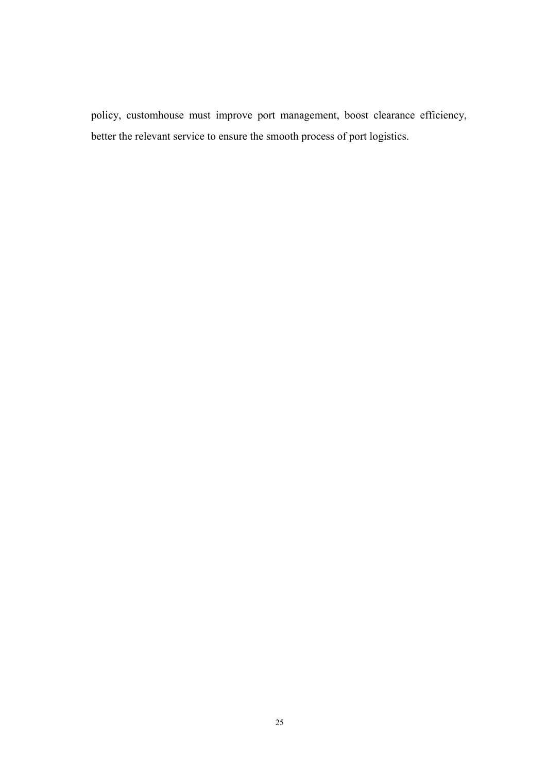policy, customhouse must improve port management, boost clearance efficiency, better the relevant service to ensure the smooth process of port logistics.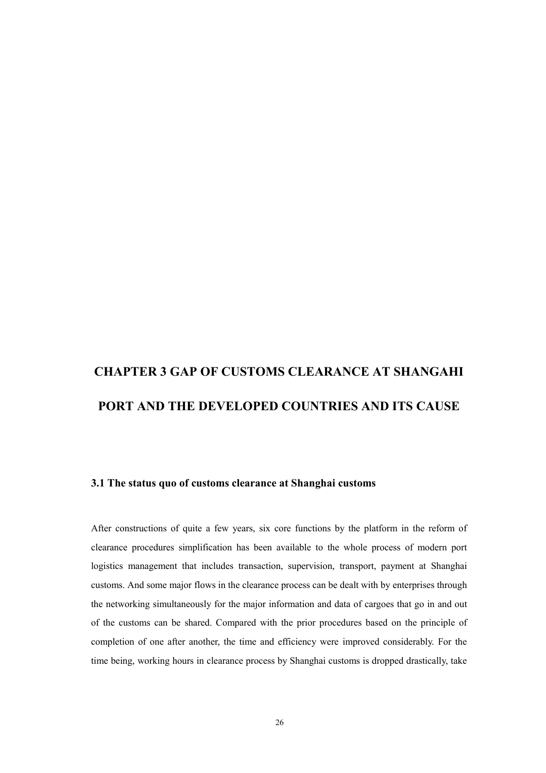## CHAPTER 3 GAP OF CUSTOMS CLEARANCE AT SHANGAHI PORT AND THE DEVELOPED COUNTRIES AND ITS CAUSE

#### 3.1 The status quo of customs clearance at Shanghai customs

After constructions of quite a few years, six core functions by the platform in the reform of clearance procedures simplification has been available to the whole process of modern port logistics management that includes transaction, supervision, transport, payment at Shanghai customs. And some major flows in the clearance process can be dealt with by enterprises through the networking simultaneously for the major information and data of cargoes that go in and out of the customs can be shared. Compared with the prior procedures based on the principle of completion of one after another, the time and efficiency were improved considerably. For the time being, working hours in clearance process by Shanghai customs is dropped drastically, take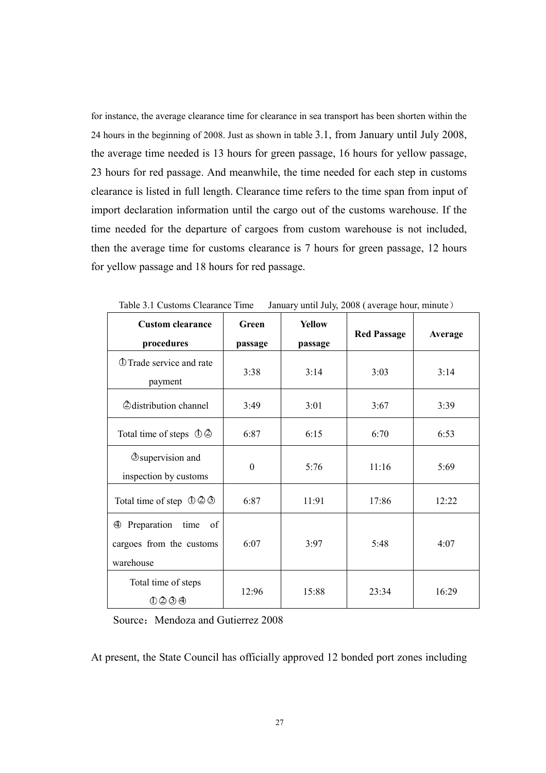for instance, the average clearance time for clearance in sea transport has been shorten within the 24 hours in the beginning of 2008. Just as shown in table 3.1, from January until July 2008, the average time needed is 13 hours for green passage, 16 hours for yellow passage, 23 hours for red passage. And meanwhile, the time needed for each step in customs clearance is listed in full length. Clearance time refers to the time span from input of import declaration information until the cargo out of the customs warehouse. If the time needed for the departure of cargoes from custom warehouse is not included, then the average time for customs clearance is 7 hours for green passage, 12 hours for yellow passage and 18 hours for red passage.

| <b>Custom clearance</b>                                                           | Green    | <b>Yellow</b> | <b>Red Passage</b> | Average |
|-----------------------------------------------------------------------------------|----------|---------------|--------------------|---------|
| procedures                                                                        | passage  | passage       |                    |         |
| <b><i>OTrade service and rate</i></b><br>payment                                  | 3:38     | 3:14          | 3:03               | 3:14    |
| <b><i>@distribution channel</i></b>                                               | 3:49     | 3:01          | 3:67               | 3:39    |
| Total time of steps $\Phi$ $\Phi$                                                 | 6:87     | 6:15          | 6:70               | 6:53    |
| <b>O</b> supervision and<br>inspection by customs                                 | $\Omega$ | 5:76          | 11:16              | 5:69    |
| Total time of step $\Phi \otimes \Phi$                                            | 6:87     | 11:91         | 17:86              | 12:22   |
| Preparation<br>time<br>of<br>$\bigoplus$<br>cargoes from the customs<br>warehouse | 6:07     | 3:97          | 5:48               | 4:07    |
| Total time of steps<br>0000                                                       | 12:96    | 15:88         | 23:34              | 16:29   |

Table 3.1 Customs Clearance Time January until July, 2008 ( average hour, minute)

Source: Mendoza and Gutierrez 2008

At present, the State Council has officially approved 12 bonded port zones including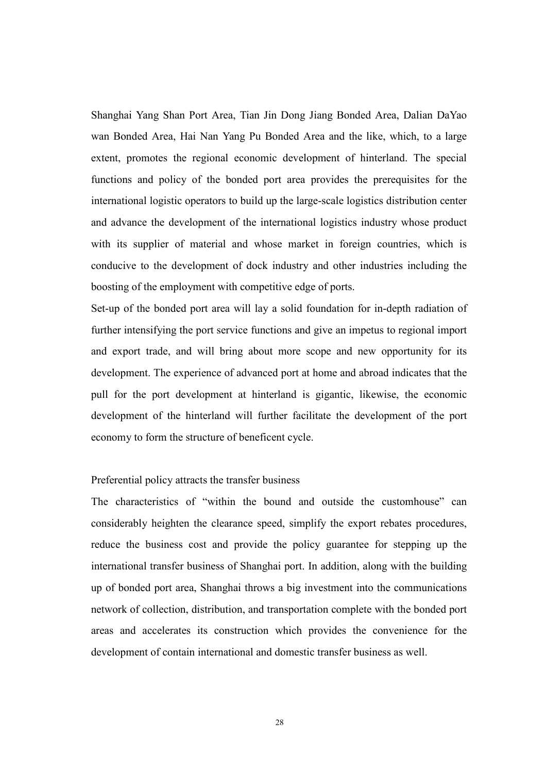Shanghai Yang Shan Port Area, Tian Jin Dong Jiang Bonded Area, Dalian DaYao wan Bonded Area, Hai Nan Yang Pu Bonded Area and the like, which, to a large extent, promotes the regional economic development of hinterland. The special functions and policy of the bonded port area provides the prerequisites for the international logistic operators to build up the large-scale logistics distribution center and advance the development of the international logistics industry whose product with its supplier of material and whose market in foreign countries, which is conducive to the development of dock industry and other industries including the boosting of the employment with competitive edge of ports.

Set-up of the bonded port area will lay a solid foundation for in-depth radiation of further intensifying the port service functions and give an impetus to regional import and export trade, and will bring about more scope and new opportunity for its development. The experience of advanced port at home and abroad indicates that the pull for the port development at hinterland is gigantic, likewise, the economic development of the hinterland will further facilitate the development of the port economy to form the structure of beneficent cycle.

#### Preferential policy attracts the transfer business

The characteristics of "within the bound and outside the customhouse" can considerably heighten the clearance speed, simplify the export rebates procedures, reduce the business cost and provide the policy guarantee for stepping up the international transfer business of Shanghai port. In addition, along with the building up of bonded port area, Shanghai throws a big investment into the communications network of collection, distribution, and transportation complete with the bonded port areas and accelerates its construction which provides the convenience for the development of contain international and domestic transfer business as well.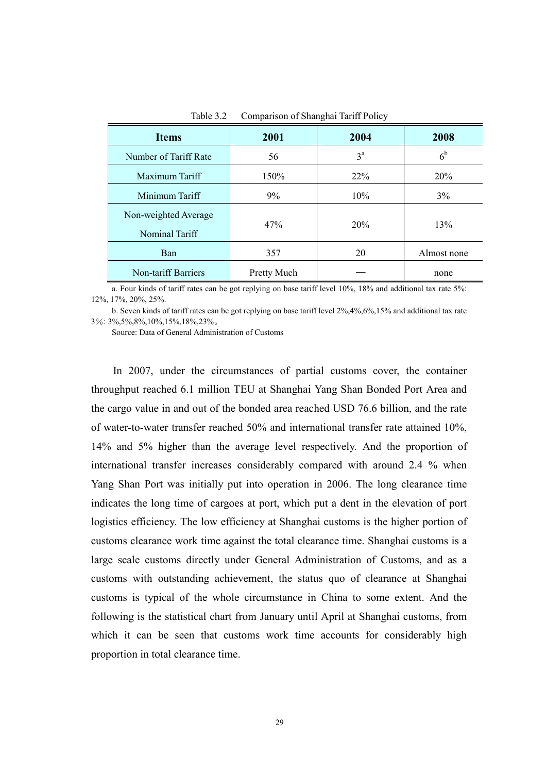| <b>Items</b>                           | 2001        | 2004             | 2008           |
|----------------------------------------|-------------|------------------|----------------|
| Number of Tariff Rate                  | 56          | $3^{\mathrm{a}}$ | 6 <sup>b</sup> |
| Maximum Tariff                         | 150%        | 22%              | 20%            |
| Minimum Tariff                         | 9%          | 10%              | 3%             |
| Non-weighted Average<br>Nominal Tariff | 47%         | 20%              | 13%            |
| Ban                                    | 357         | 20               | Almost none    |
| Non-tariff Barriers                    | Pretty Much |                  | none           |

Table 3.2 Comparison of Shanghai Tariff Policy

a. Four kinds of tariff rates can be got replying on base tariff level 10%, 18% and additional tax rate 5%: 12%, 17%, 20%, 25%.

b. Seven kinds of tariff rates can be got replying on base tariff level 2%,4%,6%,15% and additional tax rate 3%: 3%,5%,8%,10%,15%,18%,23%。

Source: Data of General Administration of Customs

In 2007, under the circumstances of partial customs cover, the container throughput reached 6.1 million TEU at Shanghai Yang Shan Bonded Port Area and the cargo value in and out of the bonded area reached USD 76.6 billion, and the rate of water-to-water transfer reached 50% and international transfer rate attained 10%, 14% and 5% higher than the average level respectively. And the proportion of international transfer increases considerably compared with around 2.4 % when Yang Shan Port was initially put into operation in 2006. The long clearance time indicates the long time of cargoes at port, which put a dent in the elevation of port logistics efficiency. The low efficiency at Shanghai customs is the higher portion of customs clearance work time against the total clearance time. Shanghai customs is a large scale customs directly under General Administration of Customs, and as a customs with outstanding achievement, the status quo of clearance at Shanghai customs is typical of the whole circumstance in China to some extent. And the following is the statistical chart from January until April at Shanghai customs, from which it can be seen that customs work time accounts for considerably high proportion in total clearance time.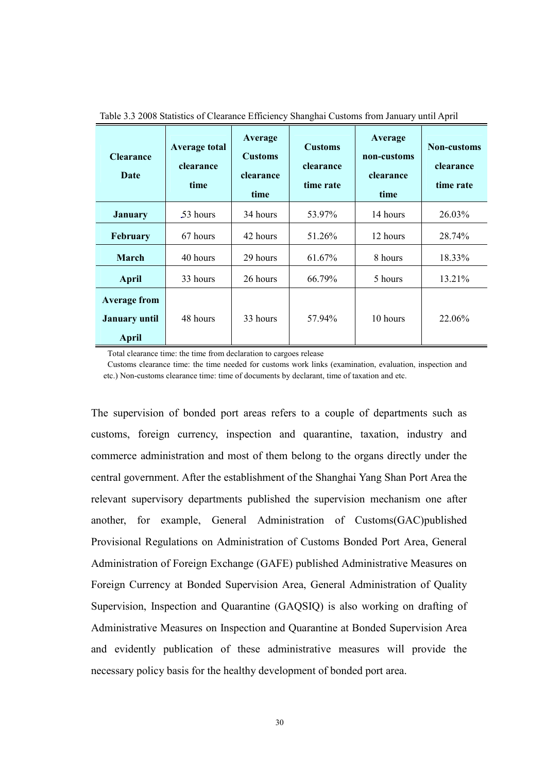| <b>Clearance</b><br>Date                                    | <b>Average total</b><br>clearance<br>time | Average<br><b>Customs</b><br>clearance<br>time | <b>Customs</b><br>clearance<br>time rate | Average<br>non-customs<br>clearance<br>time | <b>Non-customs</b><br>clearance<br>time rate |
|-------------------------------------------------------------|-------------------------------------------|------------------------------------------------|------------------------------------------|---------------------------------------------|----------------------------------------------|
| <b>January</b>                                              | .53 hours                                 | 34 hours                                       | 53.97%                                   | 14 hours                                    | 26.03%                                       |
| <b>February</b>                                             | 67 hours                                  | 42 hours                                       | 51.26%                                   | 12 hours                                    | 28.74%                                       |
| March                                                       | 40 hours                                  | 29 hours                                       | 61.67%                                   | 8 hours                                     | 18.33%                                       |
| <b>April</b>                                                | 33 hours                                  | 26 hours                                       | 66.79%                                   | 5 hours                                     | 13.21%                                       |
| <b>Average from</b><br><b>January until</b><br><b>April</b> | 48 hours                                  | 33 hours                                       | 57.94%                                   | 10 hours                                    | 22.06%                                       |

Table 3.3 2008 Statistics of Clearance Efficiency Shanghai Customs from January until April

Total clearance time: the time from declaration to cargoes release

Customs clearance time: the time needed for customs work links (examination, evaluation, inspection and etc.) Non-customs clearance time: time of documents by declarant, time of taxation and etc.

The supervision of bonded port areas refers to a couple of departments such as customs, foreign currency, inspection and quarantine, taxation, industry and commerce administration and most of them belong to the organs directly under the central government. After the establishment of the Shanghai Yang Shan Port Area the relevant supervisory departments published the supervision mechanism one after another, for example, General Administration of Customs(GAC)published Provisional Regulations on Administration of Customs Bonded Port Area, General Administration of Foreign Exchange (GAFE) published Administrative Measures on Foreign Currency at Bonded Supervision Area, General Administration of Quality Supervision, Inspection and Quarantine (GAQSIQ) is also working on drafting of Administrative Measures on Inspection and Quarantine at Bonded Supervision Area and evidently publication of these administrative measures will provide the necessary policy basis for the healthy development of bonded port area.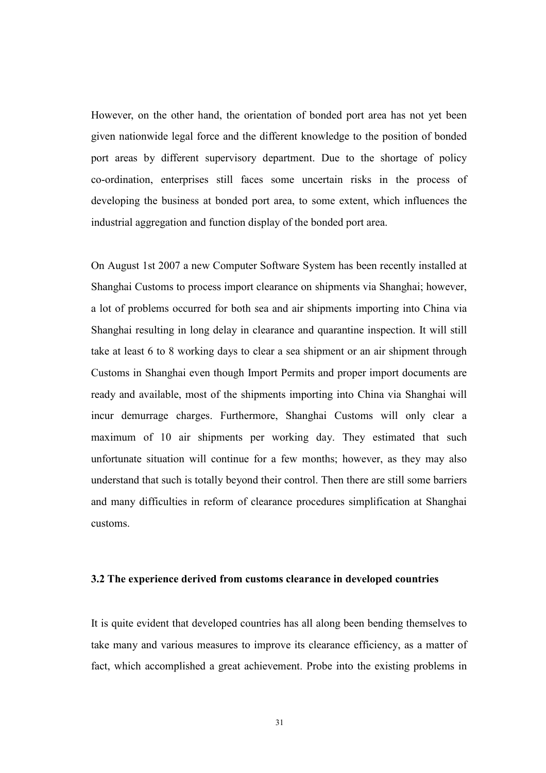However, on the other hand, the orientation of bonded port area has not yet been given nationwide legal force and the different knowledge to the position of bonded port areas by different supervisory department. Due to the shortage of policy co-ordination, enterprises still faces some uncertain risks in the process of developing the business at bonded port area, to some extent, which influences the industrial aggregation and function display of the bonded port area.

On August 1st 2007 a new Computer Software System has been recently installed at Shanghai Customs to process import clearance on shipments via Shanghai; however, a lot of problems occurred for both sea and air shipments importing into China via Shanghai resulting in long delay in clearance and quarantine inspection. It will still take at least 6 to 8 working days to clear a sea shipment or an air shipment through Customs in Shanghai even though Import Permits and proper import documents are ready and available, most of the shipments importing into China via Shanghai will incur demurrage charges. Furthermore, Shanghai Customs will only clear a maximum of 10 air shipments per working day. They estimated that such unfortunate situation will continue for a few months; however, as they may also understand that such is totally beyond their control. Then there are still some barriers and many difficulties in reform of clearance procedures simplification at Shanghai customs.

#### 3.2 The experience derived from customs clearance in developed countries

It is quite evident that developed countries has all along been bending themselves to take many and various measures to improve its clearance efficiency, as a matter of fact, which accomplished a great achievement. Probe into the existing problems in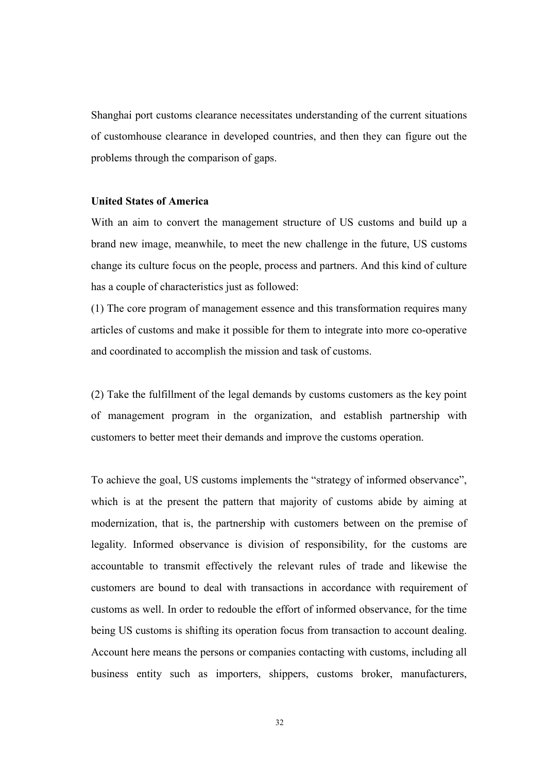Shanghai port customs clearance necessitates understanding of the current situations of customhouse clearance in developed countries, and then they can figure out the problems through the comparison of gaps.

#### United States of America

With an aim to convert the management structure of US customs and build up a brand new image, meanwhile, to meet the new challenge in the future, US customs change its culture focus on the people, process and partners. And this kind of culture has a couple of characteristics just as followed:

(1) The core program of management essence and this transformation requires many articles of customs and make it possible for them to integrate into more co-operative and coordinated to accomplish the mission and task of customs.

(2) Take the fulfillment of the legal demands by customs customers as the key point of management program in the organization, and establish partnership with customers to better meet their demands and improve the customs operation.

To achieve the goal, US customs implements the "strategy of informed observance", which is at the present the pattern that majority of customs abide by aiming at modernization, that is, the partnership with customers between on the premise of legality. Informed observance is division of responsibility, for the customs are accountable to transmit effectively the relevant rules of trade and likewise the customers are bound to deal with transactions in accordance with requirement of customs as well. In order to redouble the effort of informed observance, for the time being US customs is shifting its operation focus from transaction to account dealing. Account here means the persons or companies contacting with customs, including all business entity such as importers, shippers, customs broker, manufacturers,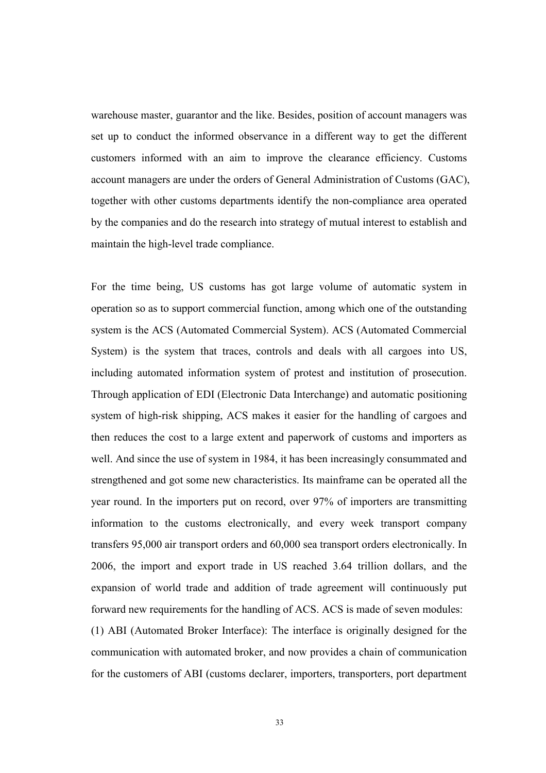warehouse master, guarantor and the like. Besides, position of account managers was set up to conduct the informed observance in a different way to get the different customers informed with an aim to improve the clearance efficiency. Customs account managers are under the orders of General Administration of Customs (GAC), together with other customs departments identify the non-compliance area operated by the companies and do the research into strategy of mutual interest to establish and maintain the high-level trade compliance.

For the time being, US customs has got large volume of automatic system in operation so as to support commercial function, among which one of the outstanding system is the ACS (Automated Commercial System). ACS (Automated Commercial System) is the system that traces, controls and deals with all cargoes into US, including automated information system of protest and institution of prosecution. Through application of EDI (Electronic Data Interchange) and automatic positioning system of high-risk shipping, ACS makes it easier for the handling of cargoes and then reduces the cost to a large extent and paperwork of customs and importers as well. And since the use of system in 1984, it has been increasingly consummated and strengthened and got some new characteristics. Its mainframe can be operated all the year round. In the importers put on record, over 97% of importers are transmitting information to the customs electronically, and every week transport company transfers 95,000 air transport orders and 60,000 sea transport orders electronically. In 2006, the import and export trade in US reached 3.64 trillion dollars, and the expansion of world trade and addition of trade agreement will continuously put forward new requirements for the handling of ACS. ACS is made of seven modules: (1) ABI (Automated Broker Interface): The interface is originally designed for the communication with automated broker, and now provides a chain of communication for the customers of ABI (customs declarer, importers, transporters, port department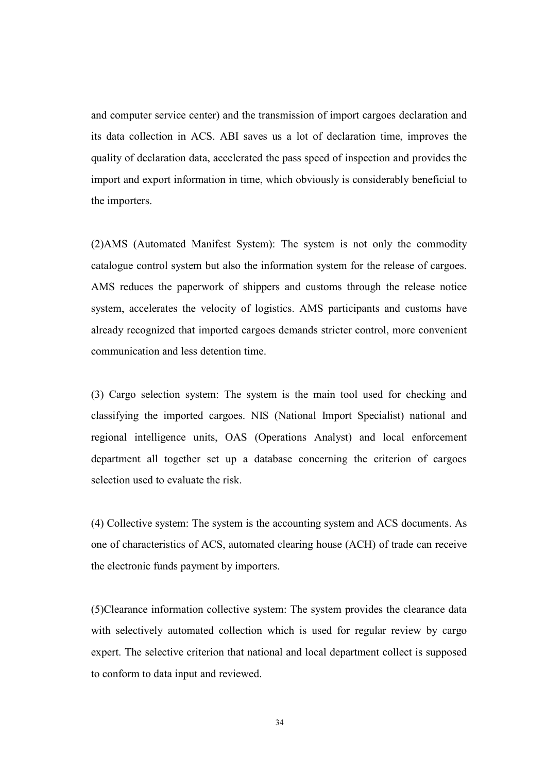and computer service center) and the transmission of import cargoes declaration and its data collection in ACS. ABI saves us a lot of declaration time, improves the quality of declaration data, accelerated the pass speed of inspection and provides the import and export information in time, which obviously is considerably beneficial to the importers.

(2)AMS (Automated Manifest System): The system is not only the commodity catalogue control system but also the information system for the release of cargoes. AMS reduces the paperwork of shippers and customs through the release notice system, accelerates the velocity of logistics. AMS participants and customs have already recognized that imported cargoes demands stricter control, more convenient communication and less detention time.

(3) Cargo selection system: The system is the main tool used for checking and classifying the imported cargoes. NIS (National Import Specialist) national and regional intelligence units, OAS (Operations Analyst) and local enforcement department all together set up a database concerning the criterion of cargoes selection used to evaluate the risk.

(4) Collective system: The system is the accounting system and ACS documents. As one of characteristics of ACS, automated clearing house (ACH) of trade can receive the electronic funds payment by importers.

(5)Clearance information collective system: The system provides the clearance data with selectively automated collection which is used for regular review by cargo expert. The selective criterion that national and local department collect is supposed to conform to data input and reviewed.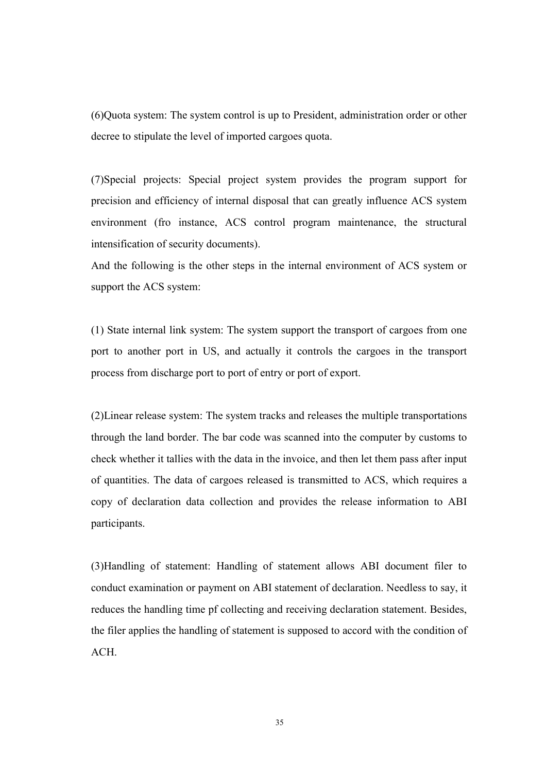(6)Quota system: The system control is up to President, administration order or other decree to stipulate the level of imported cargoes quota.

(7)Special projects: Special project system provides the program support for precision and efficiency of internal disposal that can greatly influence ACS system environment (fro instance, ACS control program maintenance, the structural intensification of security documents).

And the following is the other steps in the internal environment of ACS system or support the ACS system:

(1) State internal link system: The system support the transport of cargoes from one port to another port in US, and actually it controls the cargoes in the transport process from discharge port to port of entry or port of export.

(2)Linear release system: The system tracks and releases the multiple transportations through the land border. The bar code was scanned into the computer by customs to check whether it tallies with the data in the invoice, and then let them pass after input of quantities. The data of cargoes released is transmitted to ACS, which requires a copy of declaration data collection and provides the release information to ABI participants.

(3)Handling of statement: Handling of statement allows ABI document filer to conduct examination or payment on ABI statement of declaration. Needless to say, it reduces the handling time pf collecting and receiving declaration statement. Besides, the filer applies the handling of statement is supposed to accord with the condition of ACH.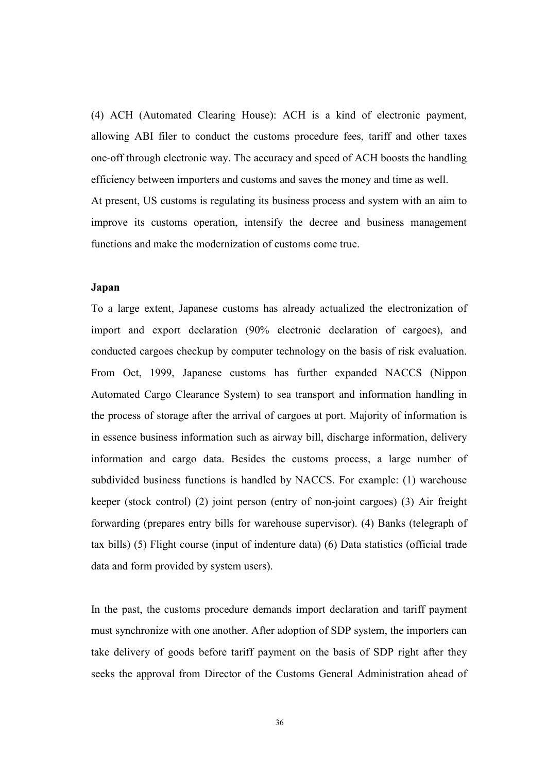(4) ACH (Automated Clearing House): ACH is a kind of electronic payment, allowing ABI filer to conduct the customs procedure fees, tariff and other taxes one-off through electronic way. The accuracy and speed of ACH boosts the handling efficiency between importers and customs and saves the money and time as well. At present, US customs is regulating its business process and system with an aim to improve its customs operation, intensify the decree and business management functions and make the modernization of customs come true.

#### Japan

To a large extent, Japanese customs has already actualized the electronization of import and export declaration (90% electronic declaration of cargoes), and conducted cargoes checkup by computer technology on the basis of risk evaluation. From Oct, 1999, Japanese customs has further expanded NACCS (Nippon Automated Cargo Clearance System) to sea transport and information handling in the process of storage after the arrival of cargoes at port. Majority of information is in essence business information such as airway bill, discharge information, delivery information and cargo data. Besides the customs process, a large number of subdivided business functions is handled by NACCS. For example: (1) warehouse keeper (stock control) (2) joint person (entry of non-joint cargoes) (3) Air freight forwarding (prepares entry bills for warehouse supervisor). (4) Banks (telegraph of tax bills) (5) Flight course (input of indenture data) (6) Data statistics (official trade data and form provided by system users).

In the past, the customs procedure demands import declaration and tariff payment must synchronize with one another. After adoption of SDP system, the importers can take delivery of goods before tariff payment on the basis of SDP right after they seeks the approval from Director of the Customs General Administration ahead of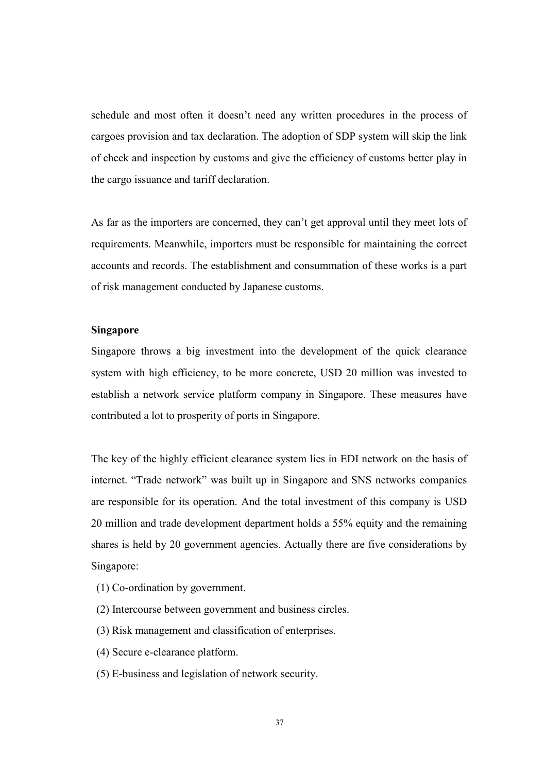schedule and most often it doesn't need any written procedures in the process of cargoes provision and tax declaration. The adoption of SDP system will skip the link of check and inspection by customs and give the efficiency of customs better play in the cargo issuance and tariff declaration.

As far as the importers are concerned, they can't get approval until they meet lots of requirements. Meanwhile, importers must be responsible for maintaining the correct accounts and records. The establishment and consummation of these works is a part of risk management conducted by Japanese customs.

#### Singapore

Singapore throws a big investment into the development of the quick clearance system with high efficiency, to be more concrete, USD 20 million was invested to establish a network service platform company in Singapore. These measures have contributed a lot to prosperity of ports in Singapore.

The key of the highly efficient clearance system lies in EDI network on the basis of internet. "Trade network" was built up in Singapore and SNS networks companies are responsible for its operation. And the total investment of this company is USD 20 million and trade development department holds a 55% equity and the remaining shares is held by 20 government agencies. Actually there are five considerations by Singapore:

- (1) Co-ordination by government.
- (2) Intercourse between government and business circles.
- (3) Risk management and classification of enterprises.
- (4) Secure e-clearance platform.
- (5) E-business and legislation of network security.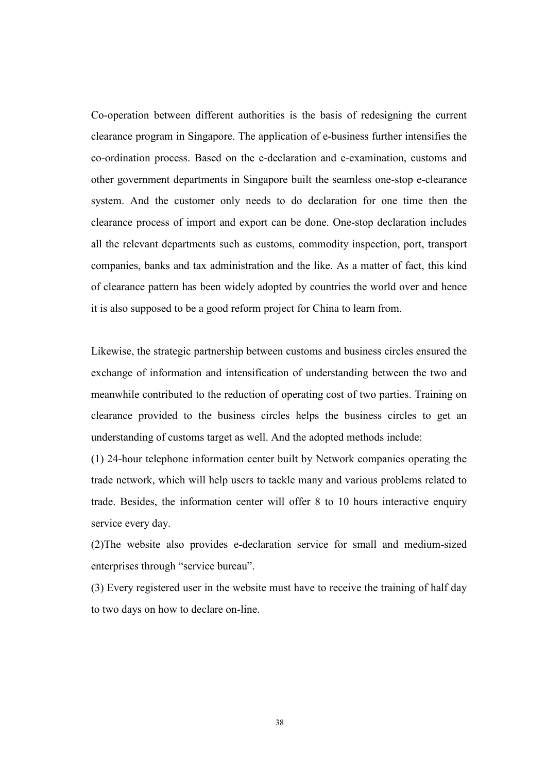Co-operation between different authorities is the basis of redesigning the current clearance program in Singapore. The application of e-business further intensifies the co-ordination process. Based on the e-declaration and e-examination, customs and other government departments in Singapore built the seamless one-stop e-clearance system. And the customer only needs to do declaration for one time then the clearance process of import and export can be done. One-stop declaration includes all the relevant departments such as customs, commodity inspection, port, transport companies, banks and tax administration and the like. As a matter of fact, this kind of clearance pattern has been widely adopted by countries the world over and hence it is also supposed to be a good reform project for China to learn from.

Likewise, the strategic partnership between customs and business circles ensured the exchange of information and intensification of understanding between the two and meanwhile contributed to the reduction of operating cost of two parties. Training on clearance provided to the business circles helps the business circles to get an understanding of customs target as well. And the adopted methods include:

(1) 24-hour telephone information center built by Network companies operating the trade network, which will help users to tackle many and various problems related to trade. Besides, the information center will offer 8 to 10 hours interactive enquiry service every day.

(2)The website also provides e-declaration service for small and medium-sized enterprises through "service bureau".

(3) Every registered user in the website must have to receive the training of half day to two days on how to declare on-line.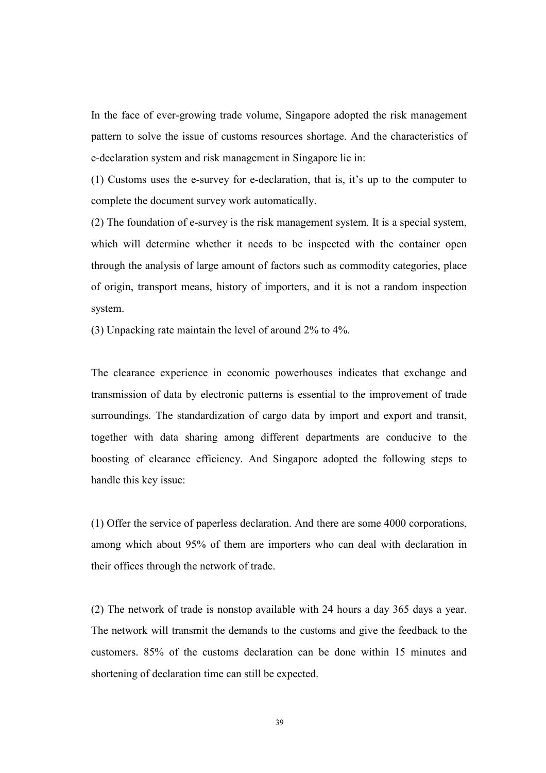In the face of ever-growing trade volume, Singapore adopted the risk management pattern to solve the issue of customs resources shortage. And the characteristics of e-declaration system and risk management in Singapore lie in:

(1) Customs uses the e-survey for e-declaration, that is, it's up to the computer to complete the document survey work automatically.

(2) The foundation of e-survey is the risk management system. It is a special system, which will determine whether it needs to be inspected with the container open through the analysis of large amount of factors such as commodity categories, place of origin, transport means, history of importers, and it is not a random inspection system.

(3) Unpacking rate maintain the level of around 2% to 4%.

The clearance experience in economic powerhouses indicates that exchange and transmission of data by electronic patterns is essential to the improvement of trade surroundings. The standardization of cargo data by import and export and transit, together with data sharing among different departments are conducive to the boosting of clearance efficiency. And Singapore adopted the following steps to handle this key issue:

(1) Offer the service of paperless declaration. And there are some 4000 corporations, among which about 95% of them are importers who can deal with declaration in their offices through the network of trade.

(2) The network of trade is nonstop available with 24 hours a day 365 days a year. The network will transmit the demands to the customs and give the feedback to the customers. 85% of the customs declaration can be done within 15 minutes and shortening of declaration time can still be expected.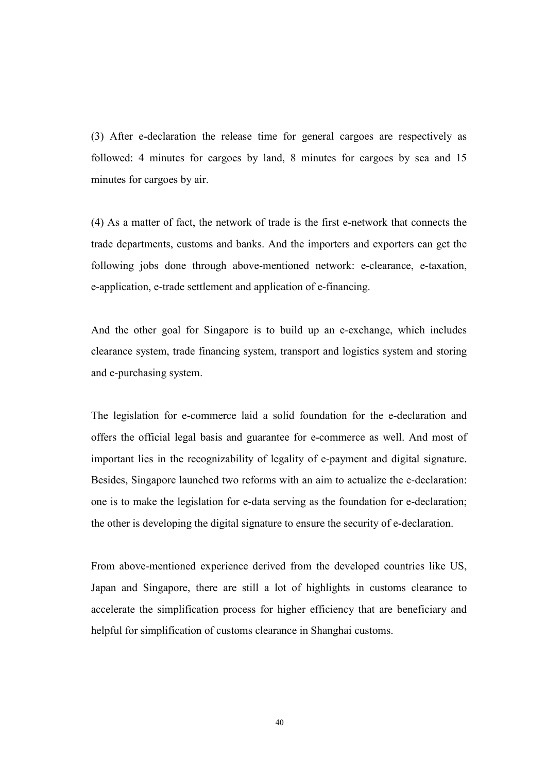(3) After e-declaration the release time for general cargoes are respectively as followed: 4 minutes for cargoes by land, 8 minutes for cargoes by sea and 15 minutes for cargoes by air.

(4) As a matter of fact, the network of trade is the first e-network that connects the trade departments, customs and banks. And the importers and exporters can get the following jobs done through above-mentioned network: e-clearance, e-taxation, e-application, e-trade settlement and application of e-financing.

And the other goal for Singapore is to build up an e-exchange, which includes clearance system, trade financing system, transport and logistics system and storing and e-purchasing system.

The legislation for e-commerce laid a solid foundation for the e-declaration and offers the official legal basis and guarantee for e-commerce as well. And most of important lies in the recognizability of legality of e-payment and digital signature. Besides, Singapore launched two reforms with an aim to actualize the e-declaration: one is to make the legislation for e-data serving as the foundation for e-declaration; the other is developing the digital signature to ensure the security of e-declaration.

From above-mentioned experience derived from the developed countries like US, Japan and Singapore, there are still a lot of highlights in customs clearance to accelerate the simplification process for higher efficiency that are beneficiary and helpful for simplification of customs clearance in Shanghai customs.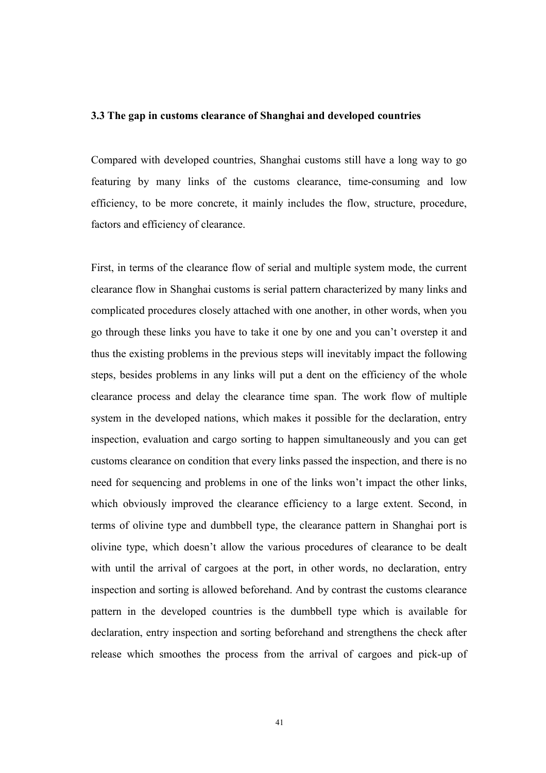#### 3.3 The gap in customs clearance of Shanghai and developed countries

Compared with developed countries, Shanghai customs still have a long way to go featuring by many links of the customs clearance, time-consuming and low efficiency, to be more concrete, it mainly includes the flow, structure, procedure, factors and efficiency of clearance.

First, in terms of the clearance flow of serial and multiple system mode, the current clearance flow in Shanghai customs is serial pattern characterized by many links and complicated procedures closely attached with one another, in other words, when you go through these links you have to take it one by one and you can't overstep it and thus the existing problems in the previous steps will inevitably impact the following steps, besides problems in any links will put a dent on the efficiency of the whole clearance process and delay the clearance time span. The work flow of multiple system in the developed nations, which makes it possible for the declaration, entry inspection, evaluation and cargo sorting to happen simultaneously and you can get customs clearance on condition that every links passed the inspection, and there is no need for sequencing and problems in one of the links won't impact the other links, which obviously improved the clearance efficiency to a large extent. Second, in terms of olivine type and dumbbell type, the clearance pattern in Shanghai port is olivine type, which doesn't allow the various procedures of clearance to be dealt with until the arrival of cargoes at the port, in other words, no declaration, entry inspection and sorting is allowed beforehand. And by contrast the customs clearance pattern in the developed countries is the dumbbell type which is available for declaration, entry inspection and sorting beforehand and strengthens the check after release which smoothes the process from the arrival of cargoes and pick-up of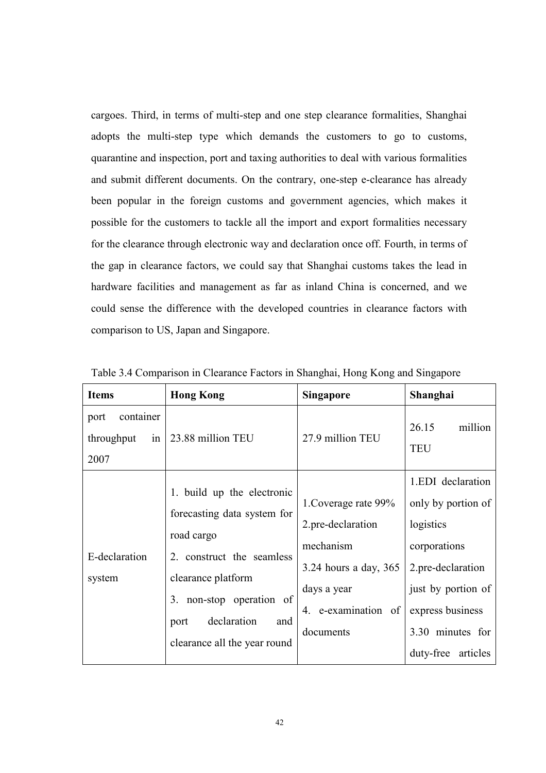cargoes. Third, in terms of multi-step and one step clearance formalities, Shanghai adopts the multi-step type which demands the customers to go to customs, quarantine and inspection, port and taxing authorities to deal with various formalities and submit different documents. On the contrary, one-step e-clearance has already been popular in the foreign customs and government agencies, which makes it possible for the customers to tackle all the import and export formalities necessary for the clearance through electronic way and declaration once off. Fourth, in terms of the gap in clearance factors, we could say that Shanghai customs takes the lead in hardware facilities and management as far as inland China is concerned, and we could sense the difference with the developed countries in clearance factors with comparison to US, Japan and Singapore.

| <b>Items</b>                                             | <b>Hong Kong</b>                                                                                                                                                                                                        | <b>Singapore</b>                                                                                                                   | Shanghai                                                                                                                                                                      |
|----------------------------------------------------------|-------------------------------------------------------------------------------------------------------------------------------------------------------------------------------------------------------------------------|------------------------------------------------------------------------------------------------------------------------------------|-------------------------------------------------------------------------------------------------------------------------------------------------------------------------------|
| container<br>port<br>throughput<br>$\frac{1}{2}$<br>2007 | 23.88 million TEU                                                                                                                                                                                                       | 27.9 million TEU                                                                                                                   | 26.15<br>million<br><b>TEU</b>                                                                                                                                                |
| E-declaration<br>system                                  | 1. build up the electronic<br>forecasting data system for<br>road cargo<br>2. construct the seamless<br>clearance platform<br>non-stop operation of<br>3.<br>declaration<br>and<br>port<br>clearance all the year round | 1. Coverage rate 99%<br>2.pre-declaration<br>mechanism<br>3.24 hours a day, 365<br>days a year<br>4. e-examination of<br>documents | 1.EDI declaration<br>only by portion of<br>logistics<br>corporations<br>2.pre-declaration<br>just by portion of<br>express business<br>3.30 minutes for<br>duty-free articles |

Table 3.4 Comparison in Clearance Factors in Shanghai, Hong Kong and Singapore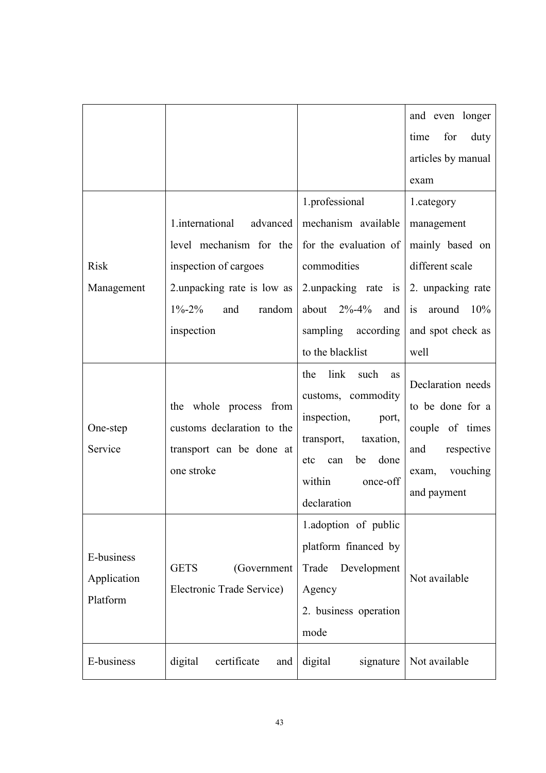|                                       |                                                                                                |                                                                                                                                                                     | and even longer<br>for<br>time<br>duty                                                                            |
|---------------------------------------|------------------------------------------------------------------------------------------------|---------------------------------------------------------------------------------------------------------------------------------------------------------------------|-------------------------------------------------------------------------------------------------------------------|
|                                       |                                                                                                |                                                                                                                                                                     | articles by manual                                                                                                |
|                                       |                                                                                                |                                                                                                                                                                     | exam                                                                                                              |
|                                       |                                                                                                | 1.professional                                                                                                                                                      | 1.category                                                                                                        |
|                                       | 1.international<br>advanced                                                                    | mechanism available                                                                                                                                                 | management                                                                                                        |
|                                       | level mechanism for the                                                                        | for the evaluation of                                                                                                                                               | mainly based on                                                                                                   |
| <b>Risk</b>                           | inspection of cargoes                                                                          | commodities                                                                                                                                                         | different scale                                                                                                   |
| Management                            | 2.unpacking rate is low as                                                                     | 2.unpacking rate is                                                                                                                                                 | 2. unpacking rate                                                                                                 |
|                                       | $1\% - 2\%$<br>random<br>and                                                                   | about $2\% - 4\%$ and                                                                                                                                               | is<br>around<br>10%                                                                                               |
|                                       | inspection                                                                                     | sampling<br>according                                                                                                                                               | and spot check as                                                                                                 |
|                                       |                                                                                                | to the blacklist                                                                                                                                                    | well                                                                                                              |
| One-step<br>Service                   | the whole process from<br>customs declaration to the<br>transport can be done at<br>one stroke | link<br>the<br>such<br>as<br>customs, commodity<br>inspection,<br>port,<br>taxation,<br>transport,<br>done<br>be<br>etc<br>can<br>within<br>once-off<br>declaration | Declaration needs<br>to be done for a<br>couple of times<br>respective<br>and<br>vouching<br>exam,<br>and payment |
| E-business<br>Application<br>Platform | <b>GETS</b><br>(Government<br>Electronic Trade Service)                                        | 1.adoption of public<br>platform financed by<br>Trade<br>Development<br>Agency<br>2. business operation<br>mode                                                     | Not available                                                                                                     |
| E-business                            | digital<br>certificate<br>and                                                                  | digital<br>signature                                                                                                                                                | Not available                                                                                                     |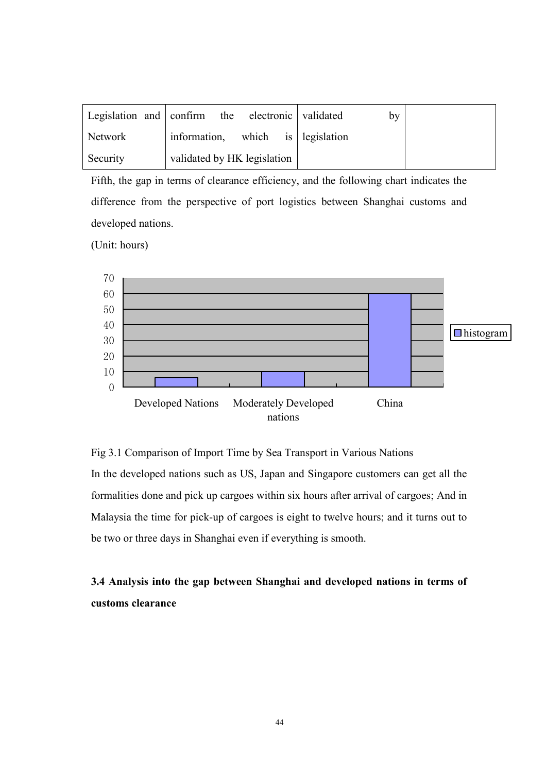|          | Legislation and confirm the electronic validated | by |  |
|----------|--------------------------------------------------|----|--|
| Network  | information,<br>which is legislation             |    |  |
| Security | validated by HK legislation                      |    |  |

Fifth, the gap in terms of clearance efficiency, and the following chart indicates the difference from the perspective of port logistics between Shanghai customs and developed nations.

(Unit: hours)



Fig 3.1 Comparison of Import Time by Sea Transport in Various Nations

In the developed nations such as US, Japan and Singapore customers can get all the formalities done and pick up cargoes within six hours after arrival of cargoes; And in Malaysia the time for pick-up of cargoes is eight to twelve hours; and it turns out to be two or three days in Shanghai even if everything is smooth.

3.4 Analysis into the gap between Shanghai and developed nations in terms of customs clearance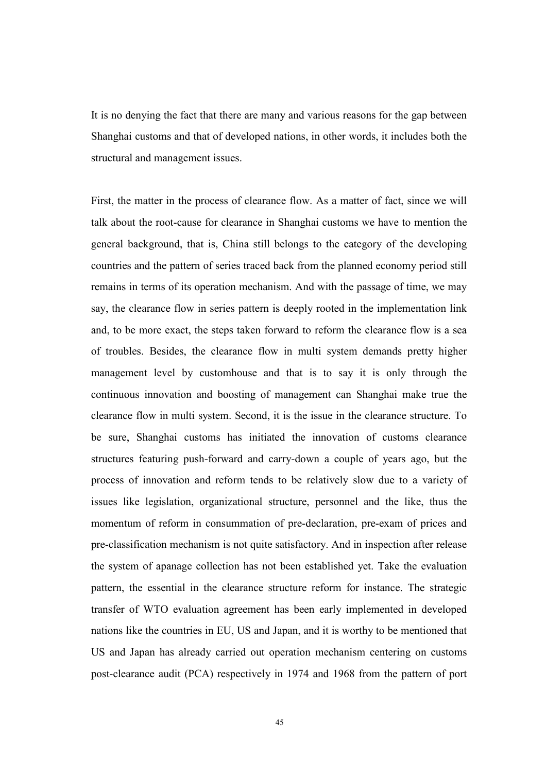It is no denying the fact that there are many and various reasons for the gap between Shanghai customs and that of developed nations, in other words, it includes both the structural and management issues.

First, the matter in the process of clearance flow. As a matter of fact, since we will talk about the root-cause for clearance in Shanghai customs we have to mention the general background, that is, China still belongs to the category of the developing countries and the pattern of series traced back from the planned economy period still remains in terms of its operation mechanism. And with the passage of time, we may say, the clearance flow in series pattern is deeply rooted in the implementation link and, to be more exact, the steps taken forward to reform the clearance flow is a sea of troubles. Besides, the clearance flow in multi system demands pretty higher management level by customhouse and that is to say it is only through the continuous innovation and boosting of management can Shanghai make true the clearance flow in multi system. Second, it is the issue in the clearance structure. To be sure, Shanghai customs has initiated the innovation of customs clearance structures featuring push-forward and carry-down a couple of years ago, but the process of innovation and reform tends to be relatively slow due to a variety of issues like legislation, organizational structure, personnel and the like, thus the momentum of reform in consummation of pre-declaration, pre-exam of prices and pre-classification mechanism is not quite satisfactory. And in inspection after release the system of apanage collection has not been established yet. Take the evaluation pattern, the essential in the clearance structure reform for instance. The strategic transfer of WTO evaluation agreement has been early implemented in developed nations like the countries in EU, US and Japan, and it is worthy to be mentioned that US and Japan has already carried out operation mechanism centering on customs post-clearance audit (PCA) respectively in 1974 and 1968 from the pattern of port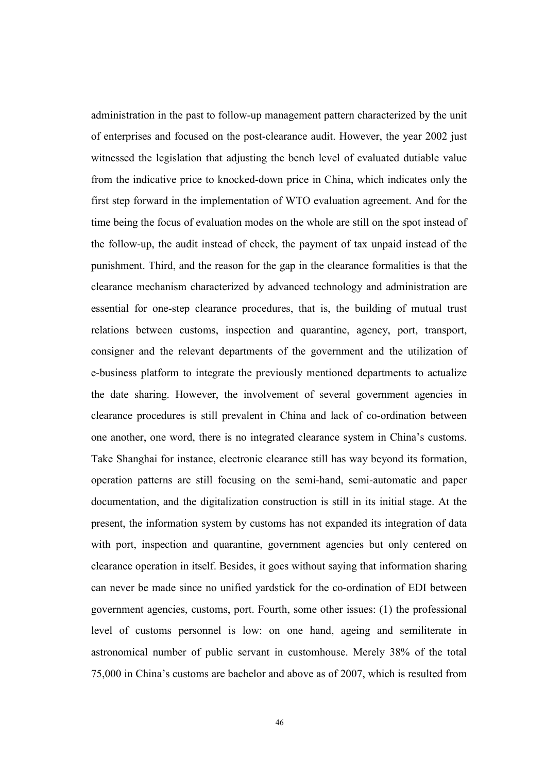administration in the past to follow-up management pattern characterized by the unit of enterprises and focused on the post-clearance audit. However, the year 2002 just witnessed the legislation that adjusting the bench level of evaluated dutiable value from the indicative price to knocked-down price in China, which indicates only the first step forward in the implementation of WTO evaluation agreement. And for the time being the focus of evaluation modes on the whole are still on the spot instead of the follow-up, the audit instead of check, the payment of tax unpaid instead of the punishment. Third, and the reason for the gap in the clearance formalities is that the clearance mechanism characterized by advanced technology and administration are essential for one-step clearance procedures, that is, the building of mutual trust relations between customs, inspection and quarantine, agency, port, transport, consigner and the relevant departments of the government and the utilization of e-business platform to integrate the previously mentioned departments to actualize the date sharing. However, the involvement of several government agencies in clearance procedures is still prevalent in China and lack of co-ordination between one another, one word, there is no integrated clearance system in China's customs. Take Shanghai for instance, electronic clearance still has way beyond its formation, operation patterns are still focusing on the semi-hand, semi-automatic and paper documentation, and the digitalization construction is still in its initial stage. At the present, the information system by customs has not expanded its integration of data with port, inspection and quarantine, government agencies but only centered on clearance operation in itself. Besides, it goes without saying that information sharing can never be made since no unified yardstick for the co-ordination of EDI between government agencies, customs, port. Fourth, some other issues: (1) the professional level of customs personnel is low: on one hand, ageing and semiliterate in astronomical number of public servant in customhouse. Merely 38% of the total 75,000 in China's customs are bachelor and above as of 2007, which is resulted from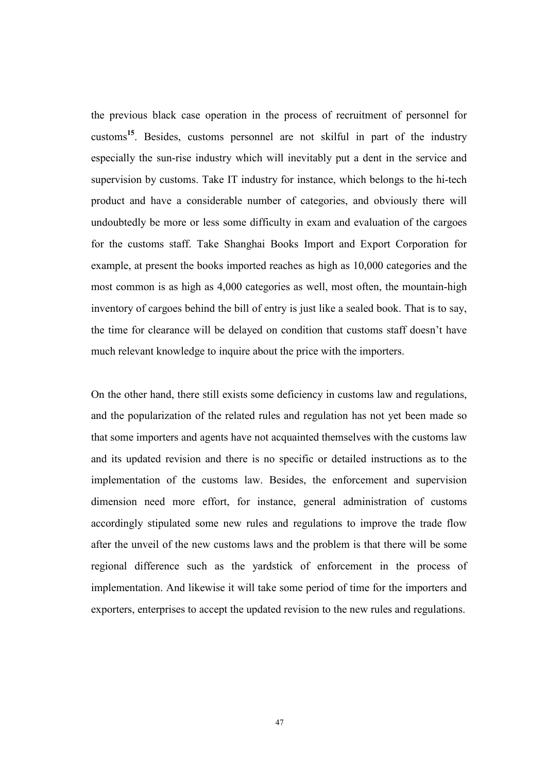the previous black case operation in the process of recruitment of personnel for customs<sup>15</sup>. Besides, customs personnel are not skilful in part of the industry especially the sun-rise industry which will inevitably put a dent in the service and supervision by customs. Take IT industry for instance, which belongs to the hi-tech product and have a considerable number of categories, and obviously there will undoubtedly be more or less some difficulty in exam and evaluation of the cargoes for the customs staff. Take Shanghai Books Import and Export Corporation for example, at present the books imported reaches as high as 10,000 categories and the most common is as high as 4,000 categories as well, most often, the mountain-high inventory of cargoes behind the bill of entry is just like a sealed book. That is to say, the time for clearance will be delayed on condition that customs staff doesn't have much relevant knowledge to inquire about the price with the importers.

On the other hand, there still exists some deficiency in customs law and regulations, and the popularization of the related rules and regulation has not yet been made so that some importers and agents have not acquainted themselves with the customs law and its updated revision and there is no specific or detailed instructions as to the implementation of the customs law. Besides, the enforcement and supervision dimension need more effort, for instance, general administration of customs accordingly stipulated some new rules and regulations to improve the trade flow after the unveil of the new customs laws and the problem is that there will be some regional difference such as the yardstick of enforcement in the process of implementation. And likewise it will take some period of time for the importers and exporters, enterprises to accept the updated revision to the new rules and regulations.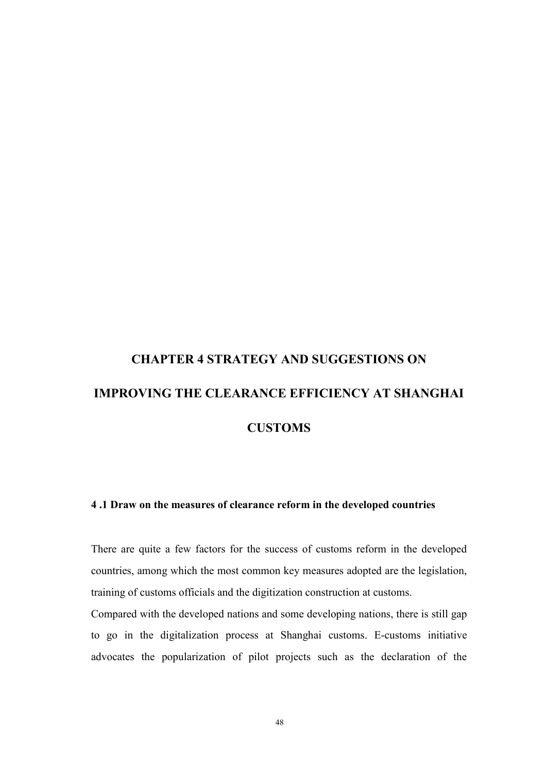# CHAPTER 4 STRATEGY AND SUGGESTIONS ON IMPROVING THE CLEARANCE EFFICIENCY AT SHANGHAI **CUSTOMS**

#### 4 .1 Draw on the measures of clearance reform in the developed countries

There are quite a few factors for the success of customs reform in the developed countries, among which the most common key measures adopted are the legislation, training of customs officials and the digitization construction at customs.

Compared with the developed nations and some developing nations, there is still gap to go in the digitalization process at Shanghai customs. E-customs initiative advocates the popularization of pilot projects such as the declaration of the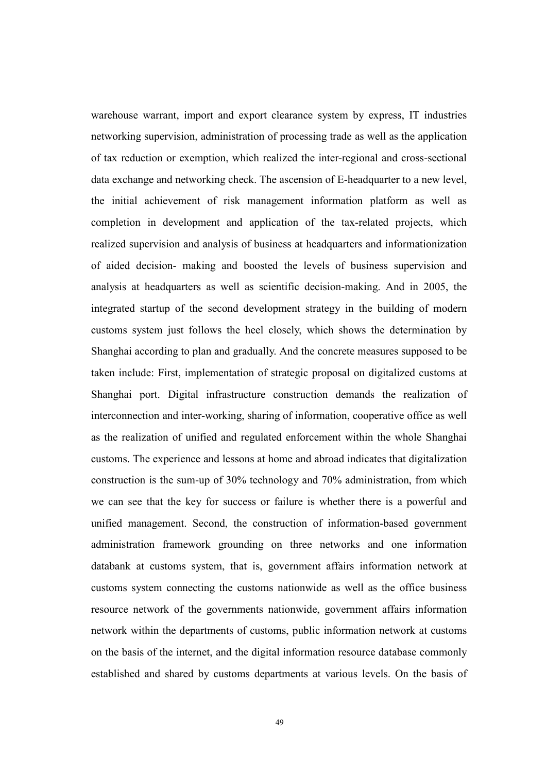warehouse warrant, import and export clearance system by express, IT industries networking supervision, administration of processing trade as well as the application of tax reduction or exemption, which realized the inter-regional and cross-sectional data exchange and networking check. The ascension of E-headquarter to a new level, the initial achievement of risk management information platform as well as completion in development and application of the tax-related projects, which realized supervision and analysis of business at headquarters and informationization of aided decision- making and boosted the levels of business supervision and analysis at headquarters as well as scientific decision-making. And in 2005, the integrated startup of the second development strategy in the building of modern customs system just follows the heel closely, which shows the determination by Shanghai according to plan and gradually. And the concrete measures supposed to be taken include: First, implementation of strategic proposal on digitalized customs at Shanghai port. Digital infrastructure construction demands the realization of interconnection and inter-working, sharing of information, cooperative office as well as the realization of unified and regulated enforcement within the whole Shanghai customs. The experience and lessons at home and abroad indicates that digitalization construction is the sum-up of 30% technology and 70% administration, from which we can see that the key for success or failure is whether there is a powerful and unified management. Second, the construction of information-based government administration framework grounding on three networks and one information databank at customs system, that is, government affairs information network at customs system connecting the customs nationwide as well as the office business resource network of the governments nationwide, government affairs information network within the departments of customs, public information network at customs on the basis of the internet, and the digital information resource database commonly established and shared by customs departments at various levels. On the basis of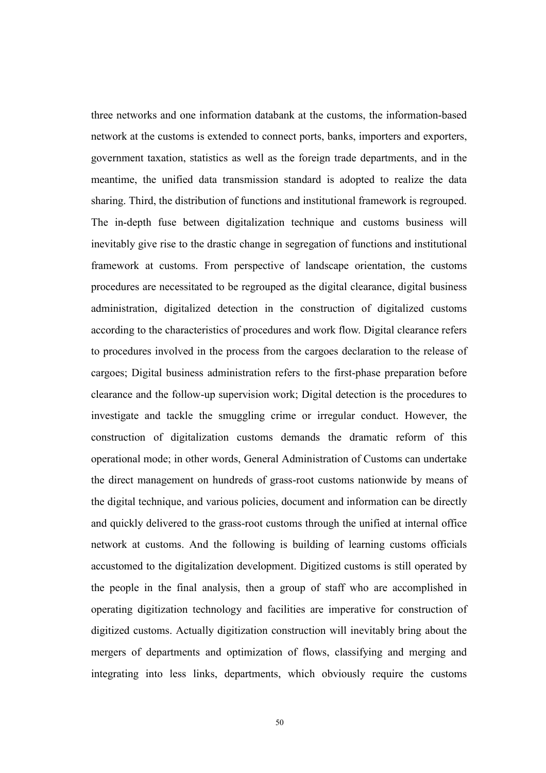three networks and one information databank at the customs, the information-based network at the customs is extended to connect ports, banks, importers and exporters, government taxation, statistics as well as the foreign trade departments, and in the meantime, the unified data transmission standard is adopted to realize the data sharing. Third, the distribution of functions and institutional framework is regrouped. The in-depth fuse between digitalization technique and customs business will inevitably give rise to the drastic change in segregation of functions and institutional framework at customs. From perspective of landscape orientation, the customs procedures are necessitated to be regrouped as the digital clearance, digital business administration, digitalized detection in the construction of digitalized customs according to the characteristics of procedures and work flow. Digital clearance refers to procedures involved in the process from the cargoes declaration to the release of cargoes; Digital business administration refers to the first-phase preparation before clearance and the follow-up supervision work; Digital detection is the procedures to investigate and tackle the smuggling crime or irregular conduct. However, the construction of digitalization customs demands the dramatic reform of this operational mode; in other words, General Administration of Customs can undertake the direct management on hundreds of grass-root customs nationwide by means of the digital technique, and various policies, document and information can be directly and quickly delivered to the grass-root customs through the unified at internal office network at customs. And the following is building of learning customs officials accustomed to the digitalization development. Digitized customs is still operated by the people in the final analysis, then a group of staff who are accomplished in operating digitization technology and facilities are imperative for construction of digitized customs. Actually digitization construction will inevitably bring about the mergers of departments and optimization of flows, classifying and merging and integrating into less links, departments, which obviously require the customs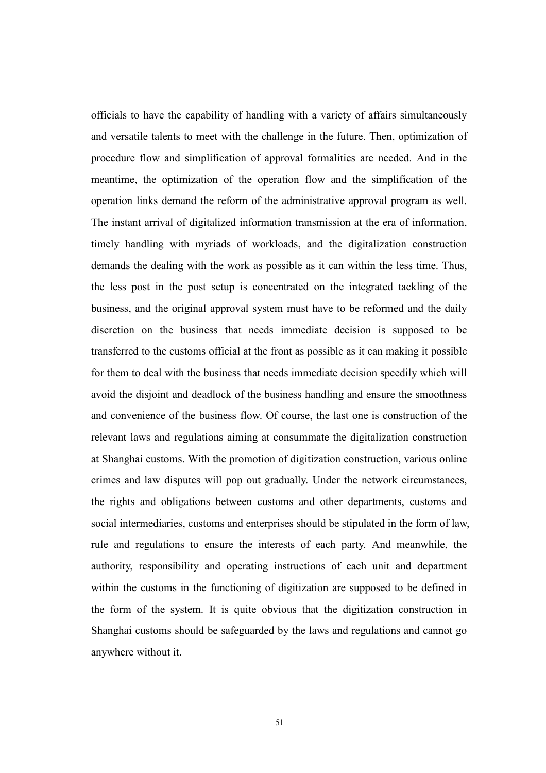officials to have the capability of handling with a variety of affairs simultaneously and versatile talents to meet with the challenge in the future. Then, optimization of procedure flow and simplification of approval formalities are needed. And in the meantime, the optimization of the operation flow and the simplification of the operation links demand the reform of the administrative approval program as well. The instant arrival of digitalized information transmission at the era of information, timely handling with myriads of workloads, and the digitalization construction demands the dealing with the work as possible as it can within the less time. Thus, the less post in the post setup is concentrated on the integrated tackling of the business, and the original approval system must have to be reformed and the daily discretion on the business that needs immediate decision is supposed to be transferred to the customs official at the front as possible as it can making it possible for them to deal with the business that needs immediate decision speedily which will avoid the disjoint and deadlock of the business handling and ensure the smoothness and convenience of the business flow. Of course, the last one is construction of the relevant laws and regulations aiming at consummate the digitalization construction at Shanghai customs. With the promotion of digitization construction, various online crimes and law disputes will pop out gradually. Under the network circumstances, the rights and obligations between customs and other departments, customs and social intermediaries, customs and enterprises should be stipulated in the form of law, rule and regulations to ensure the interests of each party. And meanwhile, the authority, responsibility and operating instructions of each unit and department within the customs in the functioning of digitization are supposed to be defined in the form of the system. It is quite obvious that the digitization construction in Shanghai customs should be safeguarded by the laws and regulations and cannot go anywhere without it.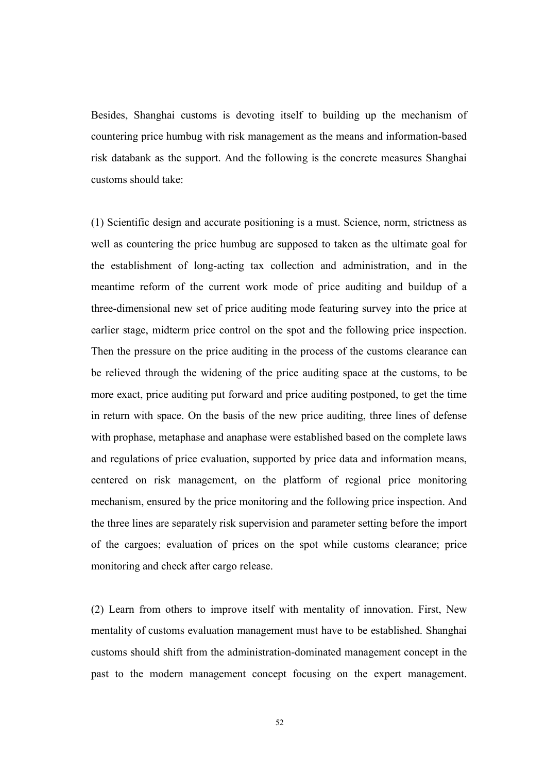Besides, Shanghai customs is devoting itself to building up the mechanism of countering price humbug with risk management as the means and information-based risk databank as the support. And the following is the concrete measures Shanghai customs should take:

(1) Scientific design and accurate positioning is a must. Science, norm, strictness as well as countering the price humbug are supposed to taken as the ultimate goal for the establishment of long-acting tax collection and administration, and in the meantime reform of the current work mode of price auditing and buildup of a three-dimensional new set of price auditing mode featuring survey into the price at earlier stage, midterm price control on the spot and the following price inspection. Then the pressure on the price auditing in the process of the customs clearance can be relieved through the widening of the price auditing space at the customs, to be more exact, price auditing put forward and price auditing postponed, to get the time in return with space. On the basis of the new price auditing, three lines of defense with prophase, metaphase and anaphase were established based on the complete laws and regulations of price evaluation, supported by price data and information means, centered on risk management, on the platform of regional price monitoring mechanism, ensured by the price monitoring and the following price inspection. And the three lines are separately risk supervision and parameter setting before the import of the cargoes; evaluation of prices on the spot while customs clearance; price monitoring and check after cargo release.

(2) Learn from others to improve itself with mentality of innovation. First, New mentality of customs evaluation management must have to be established. Shanghai customs should shift from the administration-dominated management concept in the past to the modern management concept focusing on the expert management.

52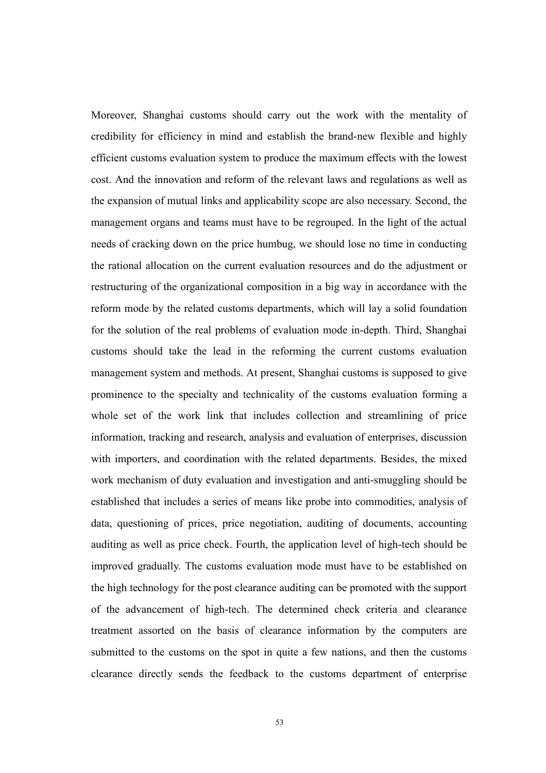Moreover, Shanghai customs should carry out the work with the mentality of credibility for efficiency in mind and establish the brand-new flexible and highly efficient customs evaluation system to produce the maximum effects with the lowest cost. And the innovation and reform of the relevant laws and regulations as well as the expansion of mutual links and applicability scope are also necessary. Second, the management organs and teams must have to be regrouped. In the light of the actual needs of cracking down on the price humbug, we should lose no time in conducting the rational allocation on the current evaluation resources and do the adjustment or restructuring of the organizational composition in a big way in accordance with the reform mode by the related customs departments, which will lay a solid foundation for the solution of the real problems of evaluation mode in-depth. Third, Shanghai customs should take the lead in the reforming the current customs evaluation management system and methods. At present, Shanghai customs is supposed to give prominence to the specialty and technicality of the customs evaluation forming a whole set of the work link that includes collection and streamlining of price information, tracking and research, analysis and evaluation of enterprises, discussion with importers, and coordination with the related departments. Besides, the mixed work mechanism of duty evaluation and investigation and anti-smuggling should be established that includes a series of means like probe into commodities, analysis of data, questioning of prices, price negotiation, auditing of documents, accounting auditing as well as price check. Fourth, the application level of high-tech should be improved gradually. The customs evaluation mode must have to be established on the high technology for the post clearance auditing can be promoted with the support of the advancement of high-tech. The determined check criteria and clearance treatment assorted on the basis of clearance information by the computers are submitted to the customs on the spot in quite a few nations, and then the customs clearance directly sends the feedback to the customs department of enterprise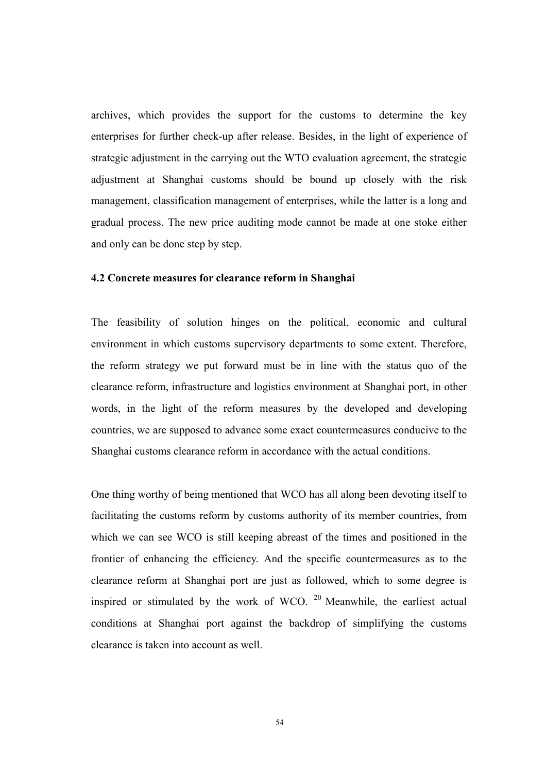archives, which provides the support for the customs to determine the key enterprises for further check-up after release. Besides, in the light of experience of strategic adjustment in the carrying out the WTO evaluation agreement, the strategic adjustment at Shanghai customs should be bound up closely with the risk management, classification management of enterprises, while the latter is a long and gradual process. The new price auditing mode cannot be made at one stoke either and only can be done step by step.

#### 4.2 Concrete measures for clearance reform in Shanghai

The feasibility of solution hinges on the political, economic and cultural environment in which customs supervisory departments to some extent. Therefore, the reform strategy we put forward must be in line with the status quo of the clearance reform, infrastructure and logistics environment at Shanghai port, in other words, in the light of the reform measures by the developed and developing countries, we are supposed to advance some exact countermeasures conducive to the Shanghai customs clearance reform in accordance with the actual conditions.

One thing worthy of being mentioned that WCO has all along been devoting itself to facilitating the customs reform by customs authority of its member countries, from which we can see WCO is still keeping abreast of the times and positioned in the frontier of enhancing the efficiency. And the specific countermeasures as to the clearance reform at Shanghai port are just as followed, which to some degree is inspired or stimulated by the work of WCO.  $20$  Meanwhile, the earliest actual conditions at Shanghai port against the backdrop of simplifying the customs clearance is taken into account as well.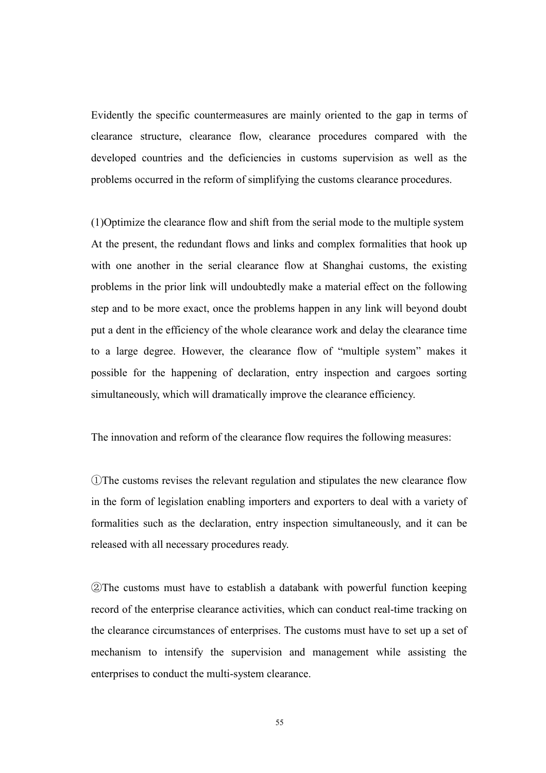Evidently the specific countermeasures are mainly oriented to the gap in terms of clearance structure, clearance flow, clearance procedures compared with the developed countries and the deficiencies in customs supervision as well as the problems occurred in the reform of simplifying the customs clearance procedures.

(1)Optimize the clearance flow and shift from the serial mode to the multiple system At the present, the redundant flows and links and complex formalities that hook up with one another in the serial clearance flow at Shanghai customs, the existing problems in the prior link will undoubtedly make a material effect on the following step and to be more exact, once the problems happen in any link will beyond doubt put a dent in the efficiency of the whole clearance work and delay the clearance time to a large degree. However, the clearance flow of "multiple system" makes it possible for the happening of declaration, entry inspection and cargoes sorting simultaneously, which will dramatically improve the clearance efficiency.

The innovation and reform of the clearance flow requires the following measures:

①The customs revises the relevant regulation and stipulates the new clearance flow in the form of legislation enabling importers and exporters to deal with a variety of formalities such as the declaration, entry inspection simultaneously, and it can be released with all necessary procedures ready.

②The customs must have to establish a databank with powerful function keeping record of the enterprise clearance activities, which can conduct real-time tracking on the clearance circumstances of enterprises. The customs must have to set up a set of mechanism to intensify the supervision and management while assisting the enterprises to conduct the multi-system clearance.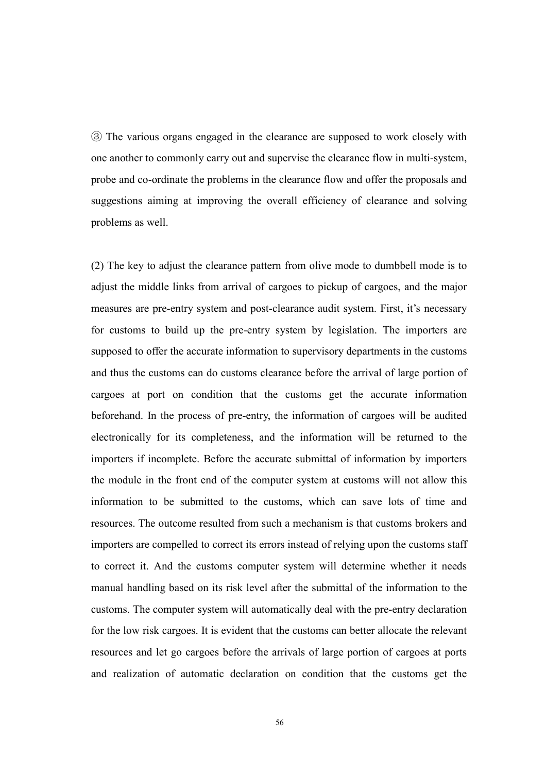③ The various organs engaged in the clearance are supposed to work closely with one another to commonly carry out and supervise the clearance flow in multi-system, probe and co-ordinate the problems in the clearance flow and offer the proposals and suggestions aiming at improving the overall efficiency of clearance and solving problems as well.

(2) The key to adjust the clearance pattern from olive mode to dumbbell mode is to adjust the middle links from arrival of cargoes to pickup of cargoes, and the major measures are pre-entry system and post-clearance audit system. First, it's necessary for customs to build up the pre-entry system by legislation. The importers are supposed to offer the accurate information to supervisory departments in the customs and thus the customs can do customs clearance before the arrival of large portion of cargoes at port on condition that the customs get the accurate information beforehand. In the process of pre-entry, the information of cargoes will be audited electronically for its completeness, and the information will be returned to the importers if incomplete. Before the accurate submittal of information by importers the module in the front end of the computer system at customs will not allow this information to be submitted to the customs, which can save lots of time and resources. The outcome resulted from such a mechanism is that customs brokers and importers are compelled to correct its errors instead of relying upon the customs staff to correct it. And the customs computer system will determine whether it needs manual handling based on its risk level after the submittal of the information to the customs. The computer system will automatically deal with the pre-entry declaration for the low risk cargoes. It is evident that the customs can better allocate the relevant resources and let go cargoes before the arrivals of large portion of cargoes at ports and realization of automatic declaration on condition that the customs get the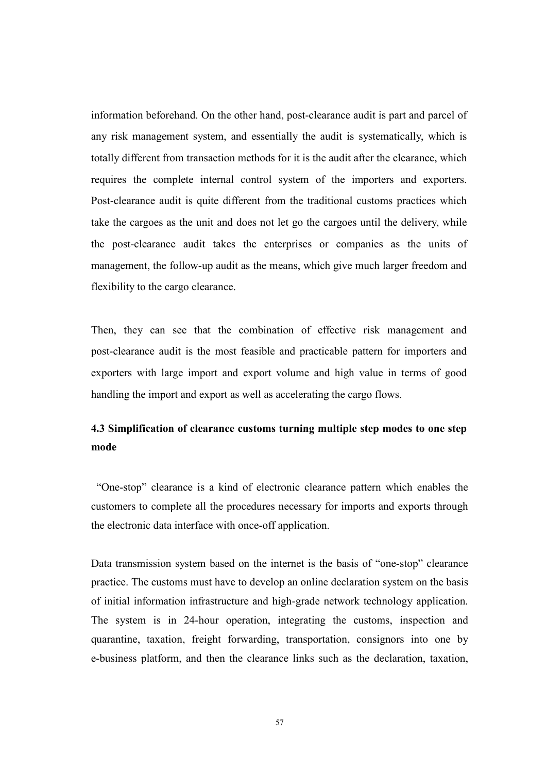information beforehand. On the other hand, post-clearance audit is part and parcel of any risk management system, and essentially the audit is systematically, which is totally different from transaction methods for it is the audit after the clearance, which requires the complete internal control system of the importers and exporters. Post-clearance audit is quite different from the traditional customs practices which take the cargoes as the unit and does not let go the cargoes until the delivery, while the post-clearance audit takes the enterprises or companies as the units of management, the follow-up audit as the means, which give much larger freedom and flexibility to the cargo clearance.

Then, they can see that the combination of effective risk management and post-clearance audit is the most feasible and practicable pattern for importers and exporters with large import and export volume and high value in terms of good handling the import and export as well as accelerating the cargo flows.

### 4.3 Simplification of clearance customs turning multiple step modes to one step mode

 "One-stop" clearance is a kind of electronic clearance pattern which enables the customers to complete all the procedures necessary for imports and exports through the electronic data interface with once-off application.

Data transmission system based on the internet is the basis of "one-stop" clearance practice. The customs must have to develop an online declaration system on the basis of initial information infrastructure and high-grade network technology application. The system is in 24-hour operation, integrating the customs, inspection and quarantine, taxation, freight forwarding, transportation, consignors into one by e-business platform, and then the clearance links such as the declaration, taxation,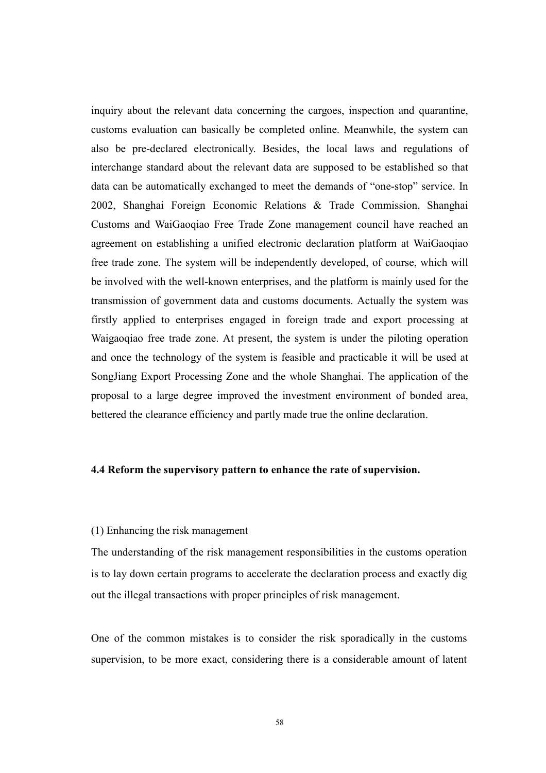inquiry about the relevant data concerning the cargoes, inspection and quarantine, customs evaluation can basically be completed online. Meanwhile, the system can also be pre-declared electronically. Besides, the local laws and regulations of interchange standard about the relevant data are supposed to be established so that data can be automatically exchanged to meet the demands of "one-stop" service. In 2002, Shanghai Foreign Economic Relations & Trade Commission, Shanghai Customs and WaiGaoqiao Free Trade Zone management council have reached an agreement on establishing a unified electronic declaration platform at WaiGaoqiao free trade zone. The system will be independently developed, of course, which will be involved with the well-known enterprises, and the platform is mainly used for the transmission of government data and customs documents. Actually the system was firstly applied to enterprises engaged in foreign trade and export processing at Waigaoqiao free trade zone. At present, the system is under the piloting operation and once the technology of the system is feasible and practicable it will be used at SongJiang Export Processing Zone and the whole Shanghai. The application of the proposal to a large degree improved the investment environment of bonded area, bettered the clearance efficiency and partly made true the online declaration.

#### 4.4 Reform the supervisory pattern to enhance the rate of supervision.

#### (1) Enhancing the risk management

The understanding of the risk management responsibilities in the customs operation is to lay down certain programs to accelerate the declaration process and exactly dig out the illegal transactions with proper principles of risk management.

One of the common mistakes is to consider the risk sporadically in the customs supervision, to be more exact, considering there is a considerable amount of latent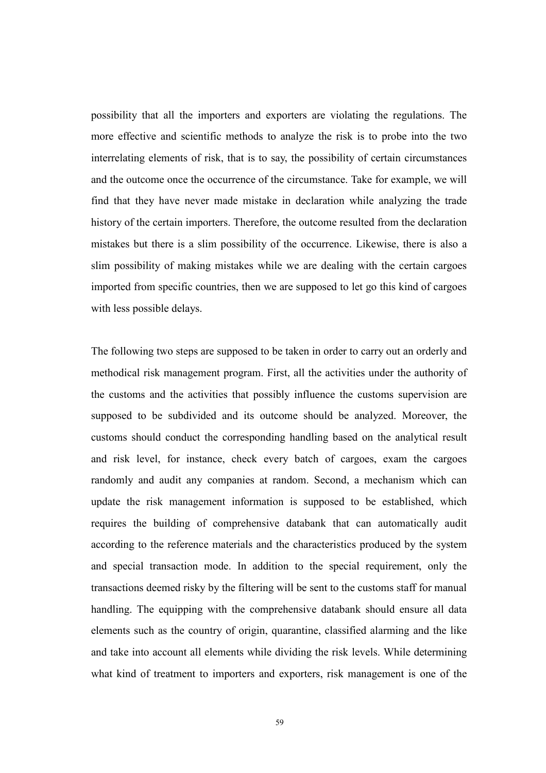possibility that all the importers and exporters are violating the regulations. The more effective and scientific methods to analyze the risk is to probe into the two interrelating elements of risk, that is to say, the possibility of certain circumstances and the outcome once the occurrence of the circumstance. Take for example, we will find that they have never made mistake in declaration while analyzing the trade history of the certain importers. Therefore, the outcome resulted from the declaration mistakes but there is a slim possibility of the occurrence. Likewise, there is also a slim possibility of making mistakes while we are dealing with the certain cargoes imported from specific countries, then we are supposed to let go this kind of cargoes with less possible delays.

The following two steps are supposed to be taken in order to carry out an orderly and methodical risk management program. First, all the activities under the authority of the customs and the activities that possibly influence the customs supervision are supposed to be subdivided and its outcome should be analyzed. Moreover, the customs should conduct the corresponding handling based on the analytical result and risk level, for instance, check every batch of cargoes, exam the cargoes randomly and audit any companies at random. Second, a mechanism which can update the risk management information is supposed to be established, which requires the building of comprehensive databank that can automatically audit according to the reference materials and the characteristics produced by the system and special transaction mode. In addition to the special requirement, only the transactions deemed risky by the filtering will be sent to the customs staff for manual handling. The equipping with the comprehensive databank should ensure all data elements such as the country of origin, quarantine, classified alarming and the like and take into account all elements while dividing the risk levels. While determining what kind of treatment to importers and exporters, risk management is one of the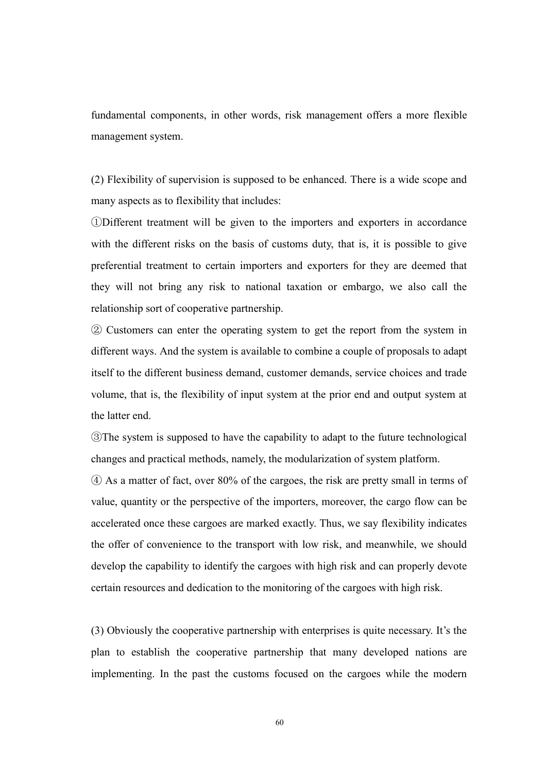fundamental components, in other words, risk management offers a more flexible management system.

(2) Flexibility of supervision is supposed to be enhanced. There is a wide scope and many aspects as to flexibility that includes:

①Different treatment will be given to the importers and exporters in accordance with the different risks on the basis of customs duty, that is, it is possible to give preferential treatment to certain importers and exporters for they are deemed that they will not bring any risk to national taxation or embargo, we also call the relationship sort of cooperative partnership.

② Customers can enter the operating system to get the report from the system in different ways. And the system is available to combine a couple of proposals to adapt itself to the different business demand, customer demands, service choices and trade volume, that is, the flexibility of input system at the prior end and output system at the latter end.

③The system is supposed to have the capability to adapt to the future technological changes and practical methods, namely, the modularization of system platform.

④ As a matter of fact, over 80% of the cargoes, the risk are pretty small in terms of value, quantity or the perspective of the importers, moreover, the cargo flow can be accelerated once these cargoes are marked exactly. Thus, we say flexibility indicates the offer of convenience to the transport with low risk, and meanwhile, we should develop the capability to identify the cargoes with high risk and can properly devote certain resources and dedication to the monitoring of the cargoes with high risk.

(3) Obviously the cooperative partnership with enterprises is quite necessary. It's the plan to establish the cooperative partnership that many developed nations are implementing. In the past the customs focused on the cargoes while the modern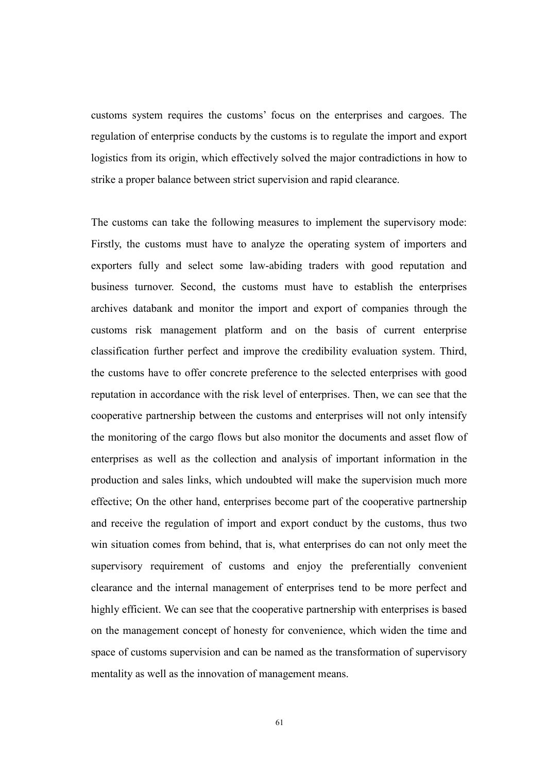customs system requires the customs' focus on the enterprises and cargoes. The regulation of enterprise conducts by the customs is to regulate the import and export logistics from its origin, which effectively solved the major contradictions in how to strike a proper balance between strict supervision and rapid clearance.

The customs can take the following measures to implement the supervisory mode: Firstly, the customs must have to analyze the operating system of importers and exporters fully and select some law-abiding traders with good reputation and business turnover. Second, the customs must have to establish the enterprises archives databank and monitor the import and export of companies through the customs risk management platform and on the basis of current enterprise classification further perfect and improve the credibility evaluation system. Third, the customs have to offer concrete preference to the selected enterprises with good reputation in accordance with the risk level of enterprises. Then, we can see that the cooperative partnership between the customs and enterprises will not only intensify the monitoring of the cargo flows but also monitor the documents and asset flow of enterprises as well as the collection and analysis of important information in the production and sales links, which undoubted will make the supervision much more effective; On the other hand, enterprises become part of the cooperative partnership and receive the regulation of import and export conduct by the customs, thus two win situation comes from behind, that is, what enterprises do can not only meet the supervisory requirement of customs and enjoy the preferentially convenient clearance and the internal management of enterprises tend to be more perfect and highly efficient. We can see that the cooperative partnership with enterprises is based on the management concept of honesty for convenience, which widen the time and space of customs supervision and can be named as the transformation of supervisory mentality as well as the innovation of management means.

61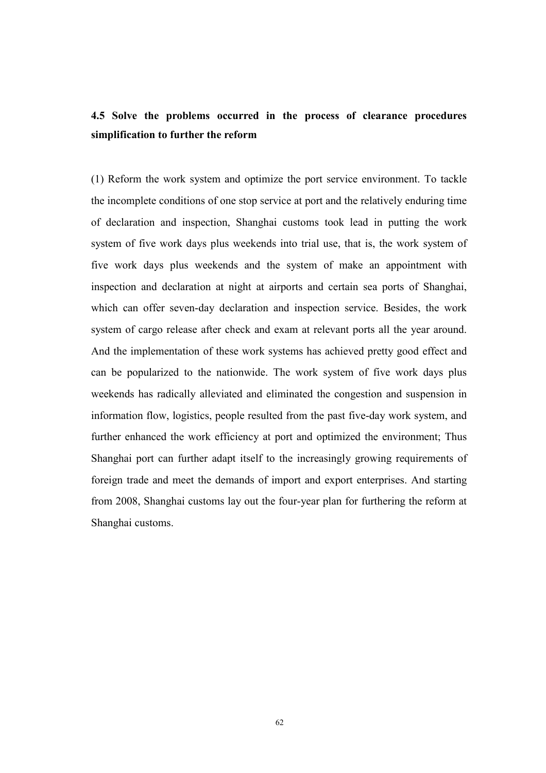# 4.5 Solve the problems occurred in the process of clearance procedures simplification to further the reform

(1) Reform the work system and optimize the port service environment. To tackle the incomplete conditions of one stop service at port and the relatively enduring time of declaration and inspection, Shanghai customs took lead in putting the work system of five work days plus weekends into trial use, that is, the work system of five work days plus weekends and the system of make an appointment with inspection and declaration at night at airports and certain sea ports of Shanghai, which can offer seven-day declaration and inspection service. Besides, the work system of cargo release after check and exam at relevant ports all the year around. And the implementation of these work systems has achieved pretty good effect and can be popularized to the nationwide. The work system of five work days plus weekends has radically alleviated and eliminated the congestion and suspension in information flow, logistics, people resulted from the past five-day work system, and further enhanced the work efficiency at port and optimized the environment; Thus Shanghai port can further adapt itself to the increasingly growing requirements of foreign trade and meet the demands of import and export enterprises. And starting from 2008, Shanghai customs lay out the four-year plan for furthering the reform at Shanghai customs.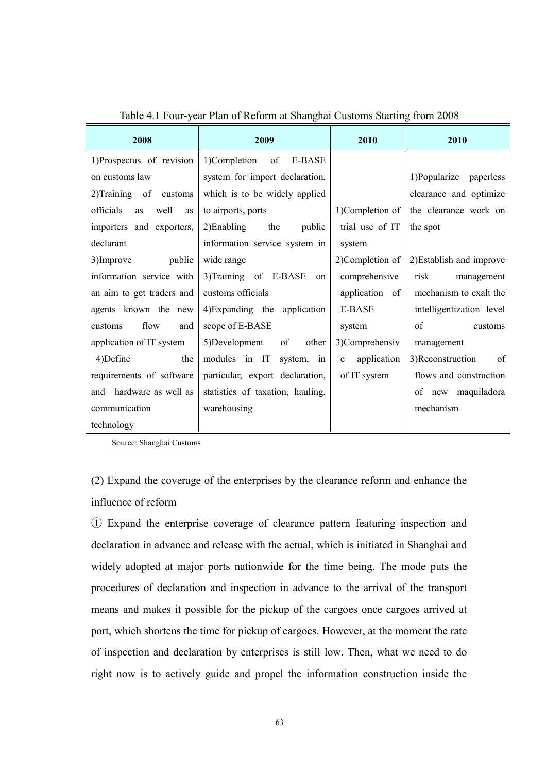| 2008                          | 2009                             | 2010             | 2010                     |
|-------------------------------|----------------------------------|------------------|--------------------------|
| 1)Prospectus of revision      | 1)Completion of E-BASE           |                  |                          |
| on customs law                | system for import declaration,   |                  | 1)Popularize paperless   |
| 2) Training of<br>customs     | which is to be widely applied    |                  | clearance and optimize   |
| officials<br>well<br>as<br>as | to airports, ports               | 1)Completion of  | the clearance work on    |
| importers and exporters,      | $2)$ Enabling<br>the<br>public   | trial use of IT  | the spot                 |
| declarant                     | information service system in    | system           |                          |
| public<br>3)Improve           | wide range                       | 2)Completion of  | 2) Establish and improve |
| information service with      | 3)Training of E-BASE<br>on       | comprehensive    | risk<br>management       |
| an aim to get traders and     | customs officials                | application of   | mechanism to exalt the   |
| agents known the new          | 4) Expanding the application     | E-BASE           | intelligentization level |
| flow<br>customs<br>and        | scope of E-BASE                  | system           | of<br>customs            |
| application of IT system      | 5)Development<br>of<br>other     | 3)Comprehensiv   | management               |
| 4)Define<br>the               | modules in IT<br>system, in      | application<br>e | 3)Reconstruction<br>of   |
| requirements of software      | particular, export declaration,  | of IT system     | flows and construction   |
| hardware as well as<br>and    | statistics of taxation, hauling, |                  | of new maquiladora       |
| communication                 | warehousing                      |                  | mechanism                |
| technology                    |                                  |                  |                          |

Table 4.1 Four-year Plan of Reform at Shanghai Customs Starting from 2008

Source: Shanghai Customs

(2) Expand the coverage of the enterprises by the clearance reform and enhance the influence of reform

① Expand the enterprise coverage of clearance pattern featuring inspection and declaration in advance and release with the actual, which is initiated in Shanghai and widely adopted at major ports nationwide for the time being. The mode puts the procedures of declaration and inspection in advance to the arrival of the transport means and makes it possible for the pickup of the cargoes once cargoes arrived at port, which shortens the time for pickup of cargoes. However, at the moment the rate of inspection and declaration by enterprises is still low. Then, what we need to do right now is to actively guide and propel the information construction inside the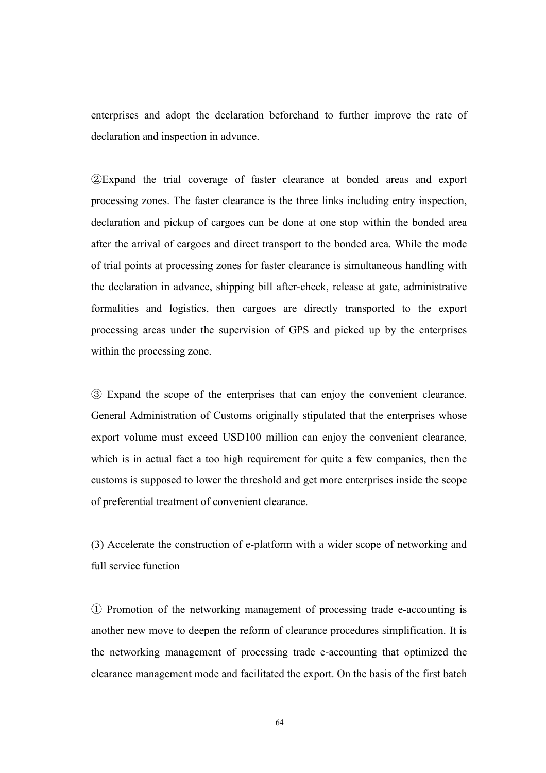enterprises and adopt the declaration beforehand to further improve the rate of declaration and inspection in advance.

②Expand the trial coverage of faster clearance at bonded areas and export processing zones. The faster clearance is the three links including entry inspection, declaration and pickup of cargoes can be done at one stop within the bonded area after the arrival of cargoes and direct transport to the bonded area. While the mode of trial points at processing zones for faster clearance is simultaneous handling with the declaration in advance, shipping bill after-check, release at gate, administrative formalities and logistics, then cargoes are directly transported to the export processing areas under the supervision of GPS and picked up by the enterprises within the processing zone.

③ Expand the scope of the enterprises that can enjoy the convenient clearance. General Administration of Customs originally stipulated that the enterprises whose export volume must exceed USD100 million can enjoy the convenient clearance, which is in actual fact a too high requirement for quite a few companies, then the customs is supposed to lower the threshold and get more enterprises inside the scope of preferential treatment of convenient clearance.

(3) Accelerate the construction of e-platform with a wider scope of networking and full service function

① Promotion of the networking management of processing trade e-accounting is another new move to deepen the reform of clearance procedures simplification. It is the networking management of processing trade e-accounting that optimized the clearance management mode and facilitated the export. On the basis of the first batch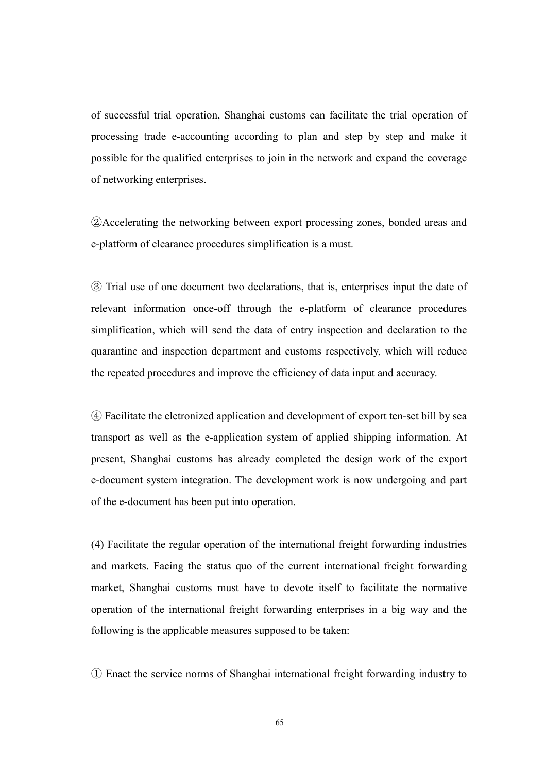of successful trial operation, Shanghai customs can facilitate the trial operation of processing trade e-accounting according to plan and step by step and make it possible for the qualified enterprises to join in the network and expand the coverage of networking enterprises.

②Accelerating the networking between export processing zones, bonded areas and e-platform of clearance procedures simplification is a must.

③ Trial use of one document two declarations, that is, enterprises input the date of relevant information once-off through the e-platform of clearance procedures simplification, which will send the data of entry inspection and declaration to the quarantine and inspection department and customs respectively, which will reduce the repeated procedures and improve the efficiency of data input and accuracy.

④ Facilitate the eletronized application and development of export ten-set bill by sea transport as well as the e-application system of applied shipping information. At present, Shanghai customs has already completed the design work of the export e-document system integration. The development work is now undergoing and part of the e-document has been put into operation.

(4) Facilitate the regular operation of the international freight forwarding industries and markets. Facing the status quo of the current international freight forwarding market, Shanghai customs must have to devote itself to facilitate the normative operation of the international freight forwarding enterprises in a big way and the following is the applicable measures supposed to be taken:

① Enact the service norms of Shanghai international freight forwarding industry to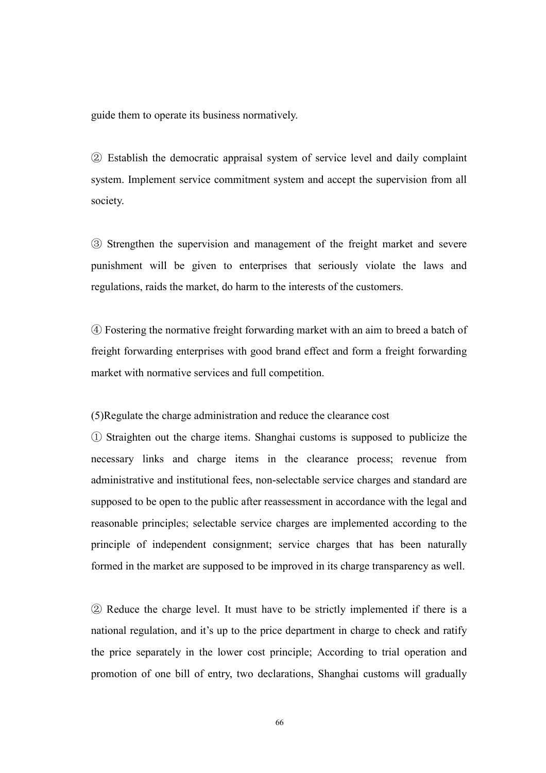guide them to operate its business normatively.

② Establish the democratic appraisal system of service level and daily complaint system. Implement service commitment system and accept the supervision from all society.

③ Strengthen the supervision and management of the freight market and severe punishment will be given to enterprises that seriously violate the laws and regulations, raids the market, do harm to the interests of the customers.

④ Fostering the normative freight forwarding market with an aim to breed a batch of freight forwarding enterprises with good brand effect and form a freight forwarding market with normative services and full competition.

(5)Regulate the charge administration and reduce the clearance cost

① Straighten out the charge items. Shanghai customs is supposed to publicize the necessary links and charge items in the clearance process; revenue from administrative and institutional fees, non-selectable service charges and standard are supposed to be open to the public after reassessment in accordance with the legal and reasonable principles; selectable service charges are implemented according to the principle of independent consignment; service charges that has been naturally formed in the market are supposed to be improved in its charge transparency as well.

② Reduce the charge level. It must have to be strictly implemented if there is a national regulation, and it's up to the price department in charge to check and ratify the price separately in the lower cost principle; According to trial operation and promotion of one bill of entry, two declarations, Shanghai customs will gradually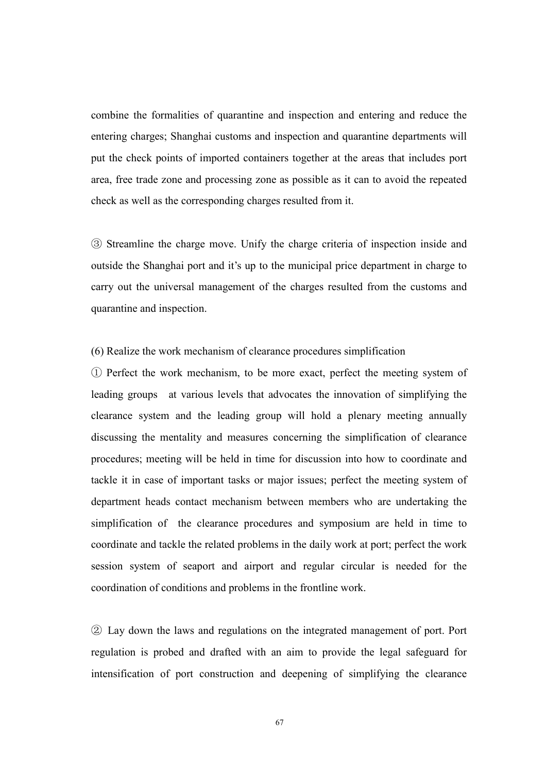combine the formalities of quarantine and inspection and entering and reduce the entering charges; Shanghai customs and inspection and quarantine departments will put the check points of imported containers together at the areas that includes port area, free trade zone and processing zone as possible as it can to avoid the repeated check as well as the corresponding charges resulted from it.

③ Streamline the charge move. Unify the charge criteria of inspection inside and outside the Shanghai port and it's up to the municipal price department in charge to carry out the universal management of the charges resulted from the customs and quarantine and inspection.

#### (6) Realize the work mechanism of clearance procedures simplification

① Perfect the work mechanism, to be more exact, perfect the meeting system of leading groups at various levels that advocates the innovation of simplifying the clearance system and the leading group will hold a plenary meeting annually discussing the mentality and measures concerning the simplification of clearance procedures; meeting will be held in time for discussion into how to coordinate and tackle it in case of important tasks or major issues; perfect the meeting system of department heads contact mechanism between members who are undertaking the simplification of the clearance procedures and symposium are held in time to coordinate and tackle the related problems in the daily work at port; perfect the work session system of seaport and airport and regular circular is needed for the coordination of conditions and problems in the frontline work.

② Lay down the laws and regulations on the integrated management of port. Port regulation is probed and drafted with an aim to provide the legal safeguard for intensification of port construction and deepening of simplifying the clearance

67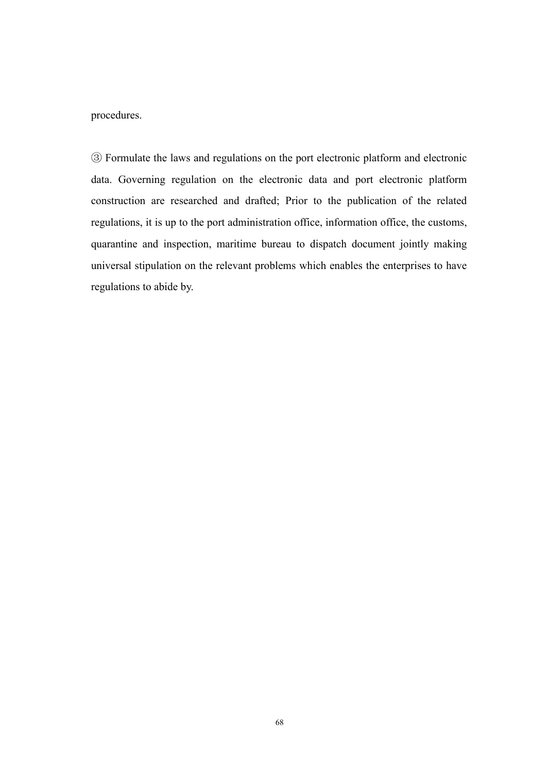#### procedures.

③ Formulate the laws and regulations on the port electronic platform and electronic data. Governing regulation on the electronic data and port electronic platform construction are researched and drafted; Prior to the publication of the related regulations, it is up to the port administration office, information office, the customs, quarantine and inspection, maritime bureau to dispatch document jointly making universal stipulation on the relevant problems which enables the enterprises to have regulations to abide by.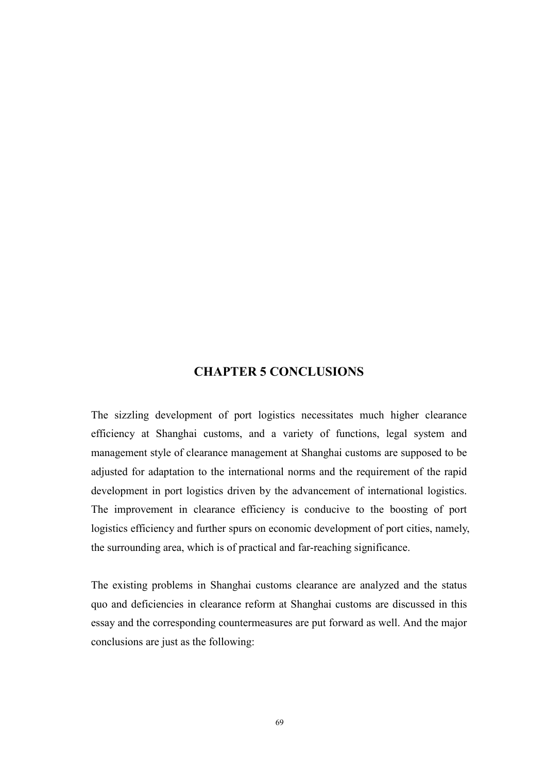### CHAPTER 5 CONCLUSIONS

The sizzling development of port logistics necessitates much higher clearance efficiency at Shanghai customs, and a variety of functions, legal system and management style of clearance management at Shanghai customs are supposed to be adjusted for adaptation to the international norms and the requirement of the rapid development in port logistics driven by the advancement of international logistics. The improvement in clearance efficiency is conducive to the boosting of port logistics efficiency and further spurs on economic development of port cities, namely, the surrounding area, which is of practical and far-reaching significance.

The existing problems in Shanghai customs clearance are analyzed and the status quo and deficiencies in clearance reform at Shanghai customs are discussed in this essay and the corresponding countermeasures are put forward as well. And the major conclusions are just as the following: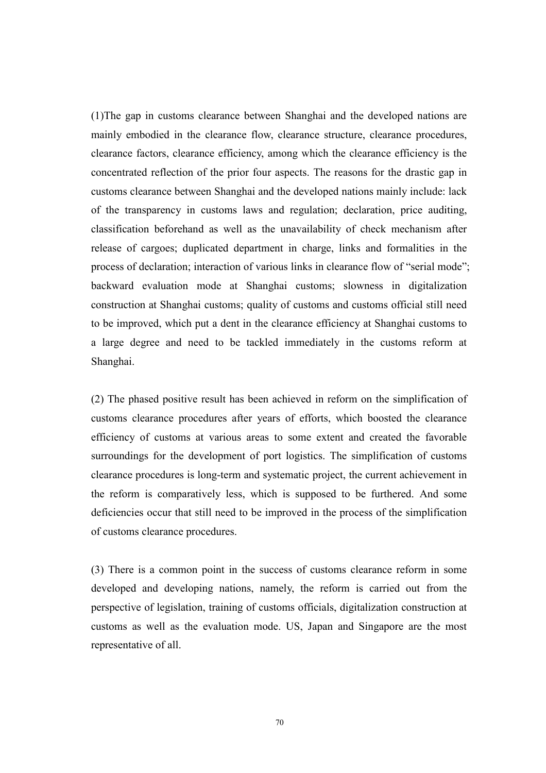(1)The gap in customs clearance between Shanghai and the developed nations are mainly embodied in the clearance flow, clearance structure, clearance procedures, clearance factors, clearance efficiency, among which the clearance efficiency is the concentrated reflection of the prior four aspects. The reasons for the drastic gap in customs clearance between Shanghai and the developed nations mainly include: lack of the transparency in customs laws and regulation; declaration, price auditing, classification beforehand as well as the unavailability of check mechanism after release of cargoes; duplicated department in charge, links and formalities in the process of declaration; interaction of various links in clearance flow of "serial mode"; backward evaluation mode at Shanghai customs; slowness in digitalization construction at Shanghai customs; quality of customs and customs official still need to be improved, which put a dent in the clearance efficiency at Shanghai customs to a large degree and need to be tackled immediately in the customs reform at Shanghai.

(2) The phased positive result has been achieved in reform on the simplification of customs clearance procedures after years of efforts, which boosted the clearance efficiency of customs at various areas to some extent and created the favorable surroundings for the development of port logistics. The simplification of customs clearance procedures is long-term and systematic project, the current achievement in the reform is comparatively less, which is supposed to be furthered. And some deficiencies occur that still need to be improved in the process of the simplification of customs clearance procedures.

(3) There is a common point in the success of customs clearance reform in some developed and developing nations, namely, the reform is carried out from the perspective of legislation, training of customs officials, digitalization construction at customs as well as the evaluation mode. US, Japan and Singapore are the most representative of all.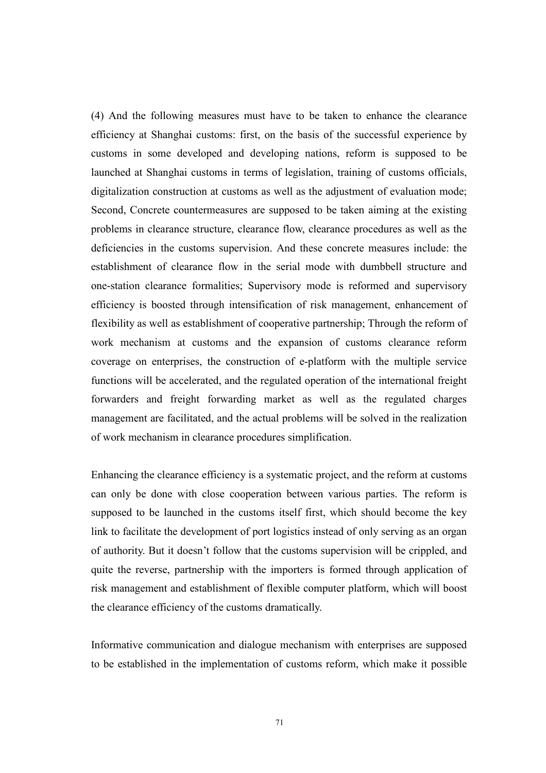(4) And the following measures must have to be taken to enhance the clearance efficiency at Shanghai customs: first, on the basis of the successful experience by customs in some developed and developing nations, reform is supposed to be launched at Shanghai customs in terms of legislation, training of customs officials, digitalization construction at customs as well as the adjustment of evaluation mode; Second, Concrete countermeasures are supposed to be taken aiming at the existing problems in clearance structure, clearance flow, clearance procedures as well as the deficiencies in the customs supervision. And these concrete measures include: the establishment of clearance flow in the serial mode with dumbbell structure and one-station clearance formalities; Supervisory mode is reformed and supervisory efficiency is boosted through intensification of risk management, enhancement of flexibility as well as establishment of cooperative partnership; Through the reform of work mechanism at customs and the expansion of customs clearance reform coverage on enterprises, the construction of e-platform with the multiple service functions will be accelerated, and the regulated operation of the international freight forwarders and freight forwarding market as well as the regulated charges management are facilitated, and the actual problems will be solved in the realization of work mechanism in clearance procedures simplification.

Enhancing the clearance efficiency is a systematic project, and the reform at customs can only be done with close cooperation between various parties. The reform is supposed to be launched in the customs itself first, which should become the key link to facilitate the development of port logistics instead of only serving as an organ of authority. But it doesn't follow that the customs supervision will be crippled, and quite the reverse, partnership with the importers is formed through application of risk management and establishment of flexible computer platform, which will boost the clearance efficiency of the customs dramatically.

Informative communication and dialogue mechanism with enterprises are supposed to be established in the implementation of customs reform, which make it possible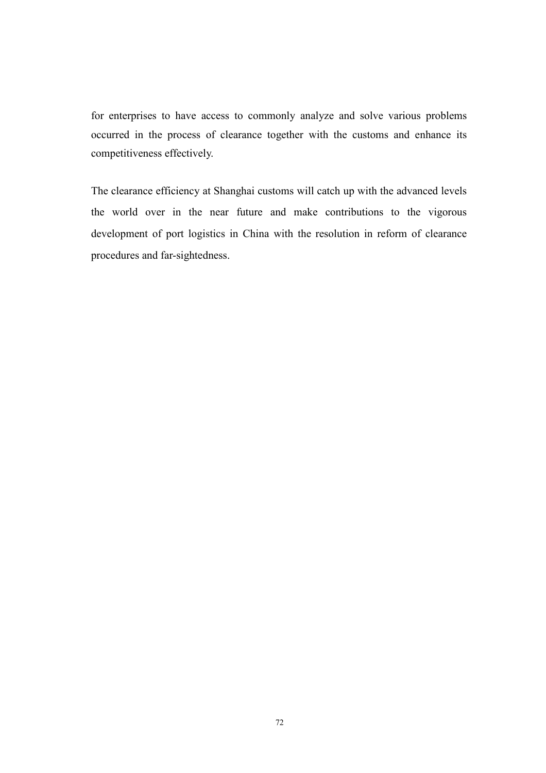for enterprises to have access to commonly analyze and solve various problems occurred in the process of clearance together with the customs and enhance its competitiveness effectively.

The clearance efficiency at Shanghai customs will catch up with the advanced levels the world over in the near future and make contributions to the vigorous development of port logistics in China with the resolution in reform of clearance procedures and far-sightedness.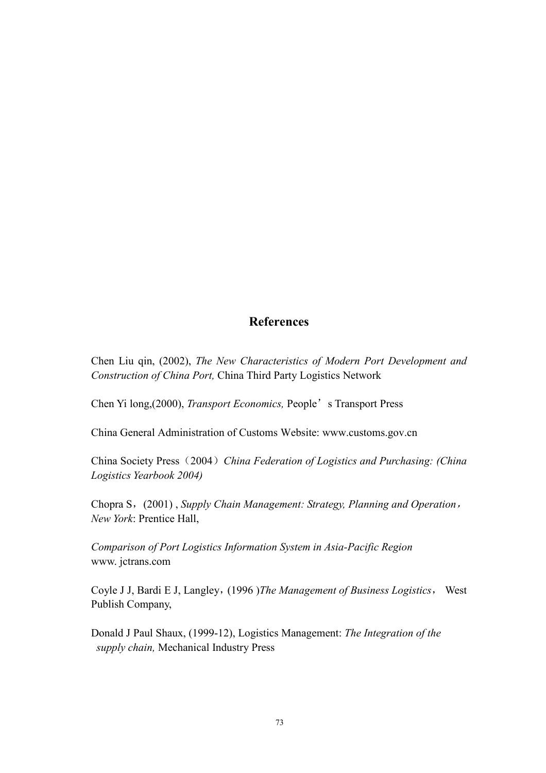## References

Chen Liu qin, (2002), The New Characteristics of Modern Port Development and Construction of China Port, China Third Party Logistics Network

Chen Yi long,(2000), Transport Economics, People's Transport Press

China General Administration of Customs Website: www.customs.gov.cn

China Society Press (2004) China Federation of Logistics and Purchasing: (China Logistics Yearbook 2004)

Chopra S, (2001), Supply Chain Management: Strategy, Planning and Operation, New York: Prentice Hall,

Comparison of Port Logistics Information System in Asia-Pacific Region www. jctrans.com

Coyle J J, Bardi E J, Langley, (1996 )The Management of Business Logistics, West Publish Company,

Donald J Paul Shaux, (1999-12), Logistics Management: The Integration of the supply chain, Mechanical Industry Press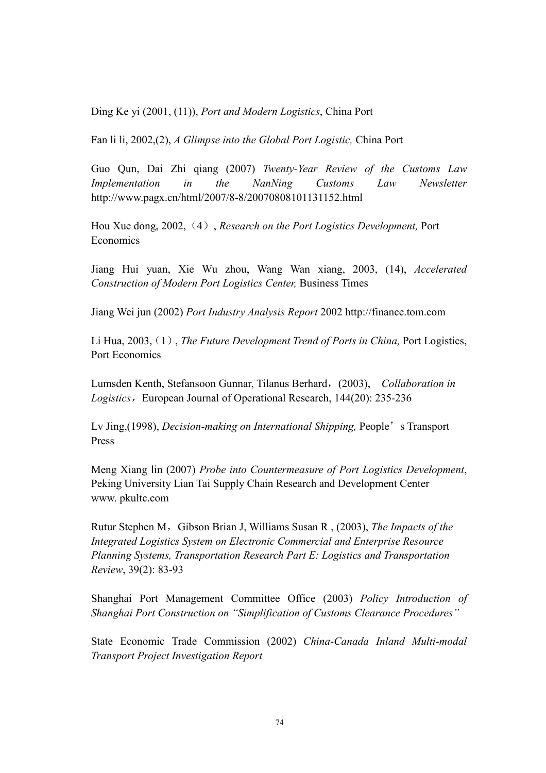Ding Ke yi (2001, (11)), Port and Modern Logistics, China Port

Fan li li, 2002,(2), A Glimpse into the Global Port Logistic, China Port

Guo Qun, Dai Zhi qiang (2007) Twenty-Year Review of the Customs Law Implementation in the NanNing Customs Law Newsletter http://www.pagx.cn/html/2007/8-8/20070808101131152.html

Hou Xue dong, 2002, (4), Research on the Port Logistics Development, Port Economics

Jiang Hui yuan, Xie Wu zhou, Wang Wan xiang, 2003, (14), Accelerated Construction of Modern Port Logistics Center, Business Times

Jiang Wei jun (2002) Port Industry Analysis Report 2002 http://finance.tom.com

Li Hua, 2003, (1), The Future Development Trend of Ports in China, Port Logistics, Port Economics

Lumsden Kenth, Stefansoon Gunnar, Tilanus Berhard, (2003), Collaboration in Logistics, European Journal of Operational Research, 144(20): 235-236

Ly Jing,(1998), *Decision-making on International Shipping*, People's Transport Press

Meng Xiang lin (2007) Probe into Countermeasure of Port Logistics Development, Peking University Lian Tai Supply Chain Research and Development Center www. pkultc.com

Rutur Stephen M, Gibson Brian J, Williams Susan R, (2003), The Impacts of the Integrated Logistics System on Electronic Commercial and Enterprise Resource Planning Systems, Transportation Research Part E: Logistics and Transportation Review, 39(2): 83-93

Shanghai Port Management Committee Office (2003) Policy Introduction of Shanghai Port Construction on "Simplification of Customs Clearance Procedures"

State Economic Trade Commission (2002) China-Canada Inland Multi-modal Transport Project Investigation Report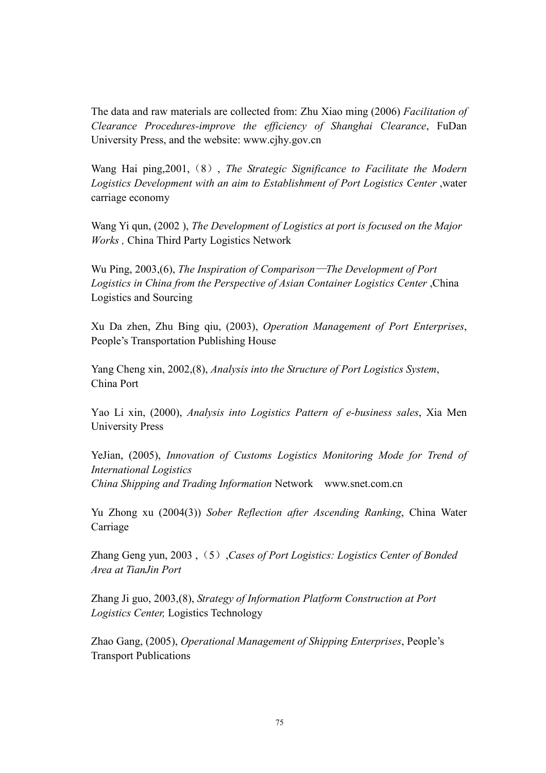The data and raw materials are collected from: Zhu Xiao ming (2006) Facilitation of Clearance Procedures-improve the efficiency of Shanghai Clearance, FuDan University Press, and the website: www.cjhy.gov.cn

Wang Hai ping, 2001, (8), The Strategic Significance to Facilitate the Modern Logistics Development with an aim to Establishment of Port Logistics Center ,water carriage economy

Wang Yi qun, (2002 ), The Development of Logistics at port is focused on the Major Works , China Third Party Logistics Network

Wu Ping, 2003,(6), The Inspiration of Comparison—The Development of Port Logistics in China from the Perspective of Asian Container Logistics Center ,China Logistics and Sourcing

Xu Da zhen, Zhu Bing qiu, (2003), Operation Management of Port Enterprises, People's Transportation Publishing House

Yang Cheng xin, 2002,(8), Analysis into the Structure of Port Logistics System, China Port

Yao Li xin, (2000), Analysis into Logistics Pattern of e-business sales, Xia Men University Press

YeJian, (2005), Innovation of Customs Logistics Monitoring Mode for Trend of International Logistics China Shipping and Trading Information Network www.snet.com.cn

Yu Zhong xu (2004(3)) Sober Reflection after Ascending Ranking, China Water Carriage

Zhang Geng yun, 2003, (5), Cases of Port Logistics: Logistics Center of Bonded Area at TianJin Port

Zhang Ji guo, 2003,(8), Strategy of Information Platform Construction at Port Logistics Center, Logistics Technology

Zhao Gang, (2005), Operational Management of Shipping Enterprises, People's Transport Publications